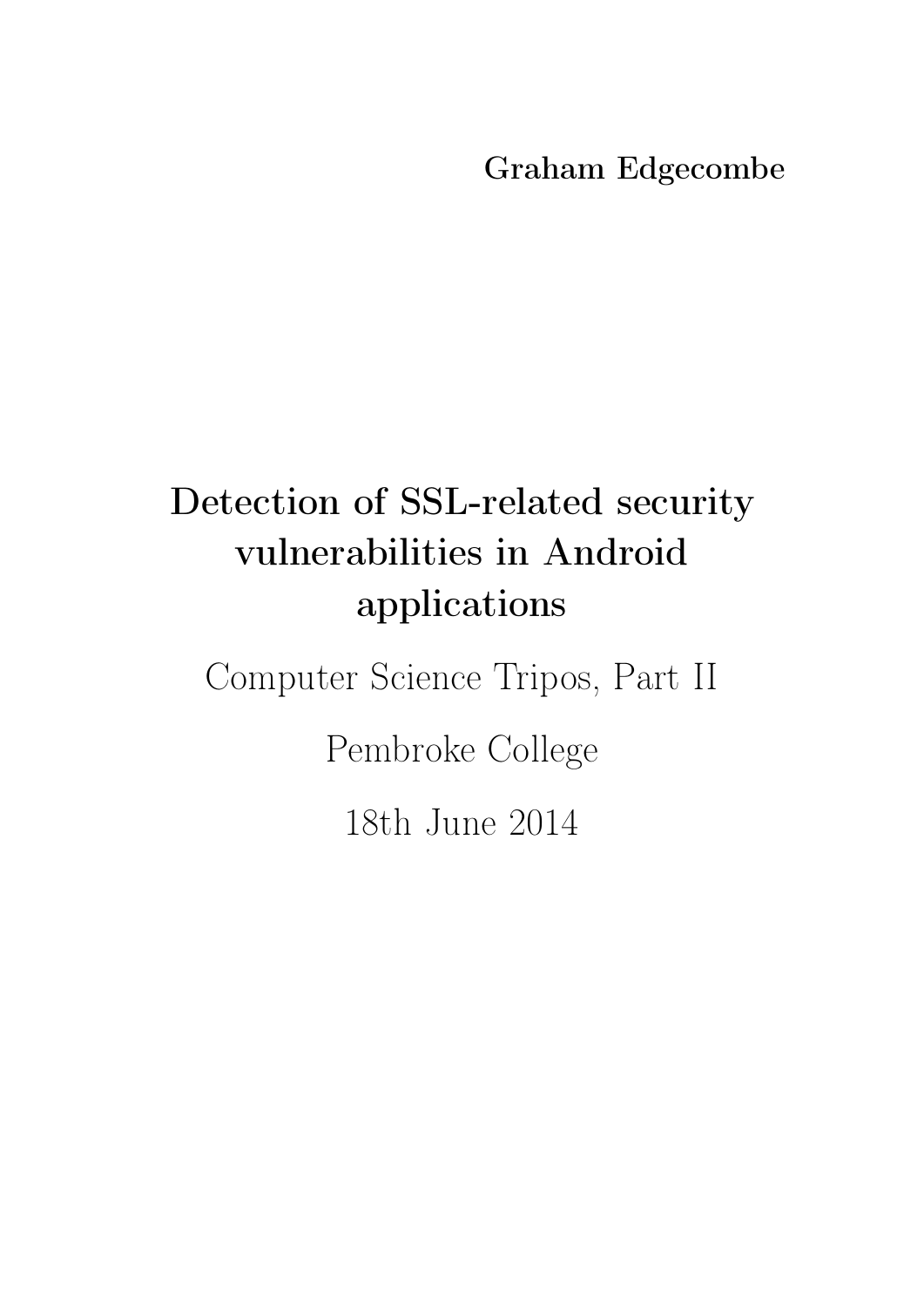Graham Edgecombe

## Detection of SSL-related security vulnerabilities in Android applications

Computer Science Tripos, Part II

Pembroke College

18th June 2014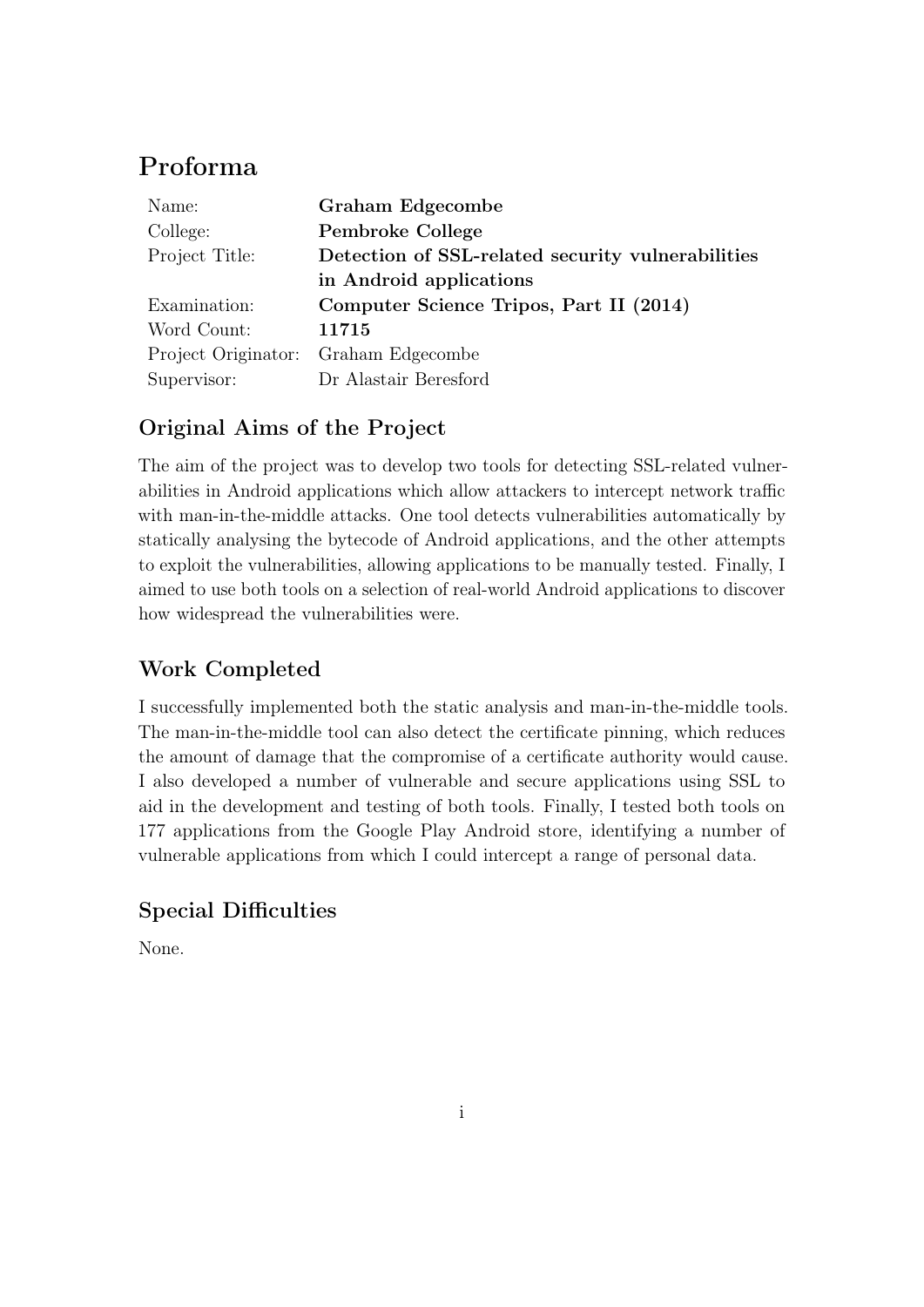## Proforma

| Name:          | Graham Edgecombe                                  |
|----------------|---------------------------------------------------|
| College:       | <b>Pembroke College</b>                           |
| Project Title: | Detection of SSL-related security vulnerabilities |
|                | in Android applications                           |
| Examination:   | Computer Science Tripos, Part II (2014)           |
| Word Count:    | 11715                                             |
|                | Project Originator: Graham Edgecombe              |
| Supervisor:    | Dr Alastair Beresford                             |

## Original Aims of the Project

The aim of the project was to develop two tools for detecting SSL-related vulnerabilities in Android applications which allow attackers to intercept network traffic with man-in-the-middle attacks. One tool detects vulnerabilities automatically by statically analysing the bytecode of Android applications, and the other attempts to exploit the vulnerabilities, allowing applications to be manually tested. Finally, I aimed to use both tools on a selection of real-world Android applications to discover how widespread the vulnerabilities were.

## Work Completed

I successfully implemented both the static analysis and man-in-the-middle tools. The man-in-the-middle tool can also detect the certificate pinning, which reduces the amount of damage that the compromise of a certificate authority would cause. I also developed a number of vulnerable and secure applications using SSL to aid in the development and testing of both tools. Finally, I tested both tools on 177 applications from the Google Play Android store, identifying a number of vulnerable applications from which I could intercept a range of personal data.

## Special Difficulties

None.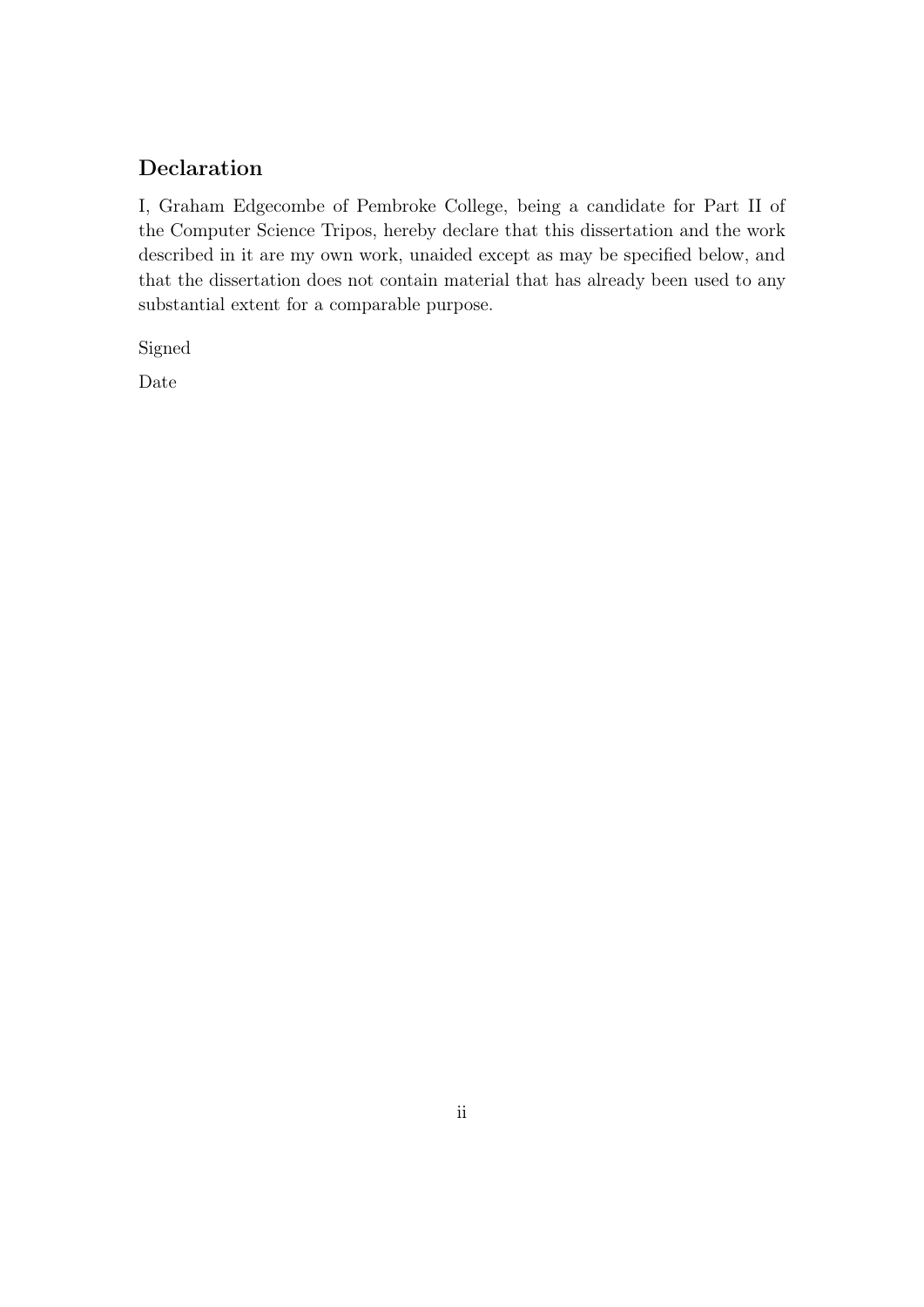## Declaration

I, Graham Edgecombe of Pembroke College, being a candidate for Part II of the Computer Science Tripos, hereby declare that this dissertation and the work described in it are my own work, unaided except as may be specified below, and that the dissertation does not contain material that has already been used to any substantial extent for a comparable purpose.

Signed

Date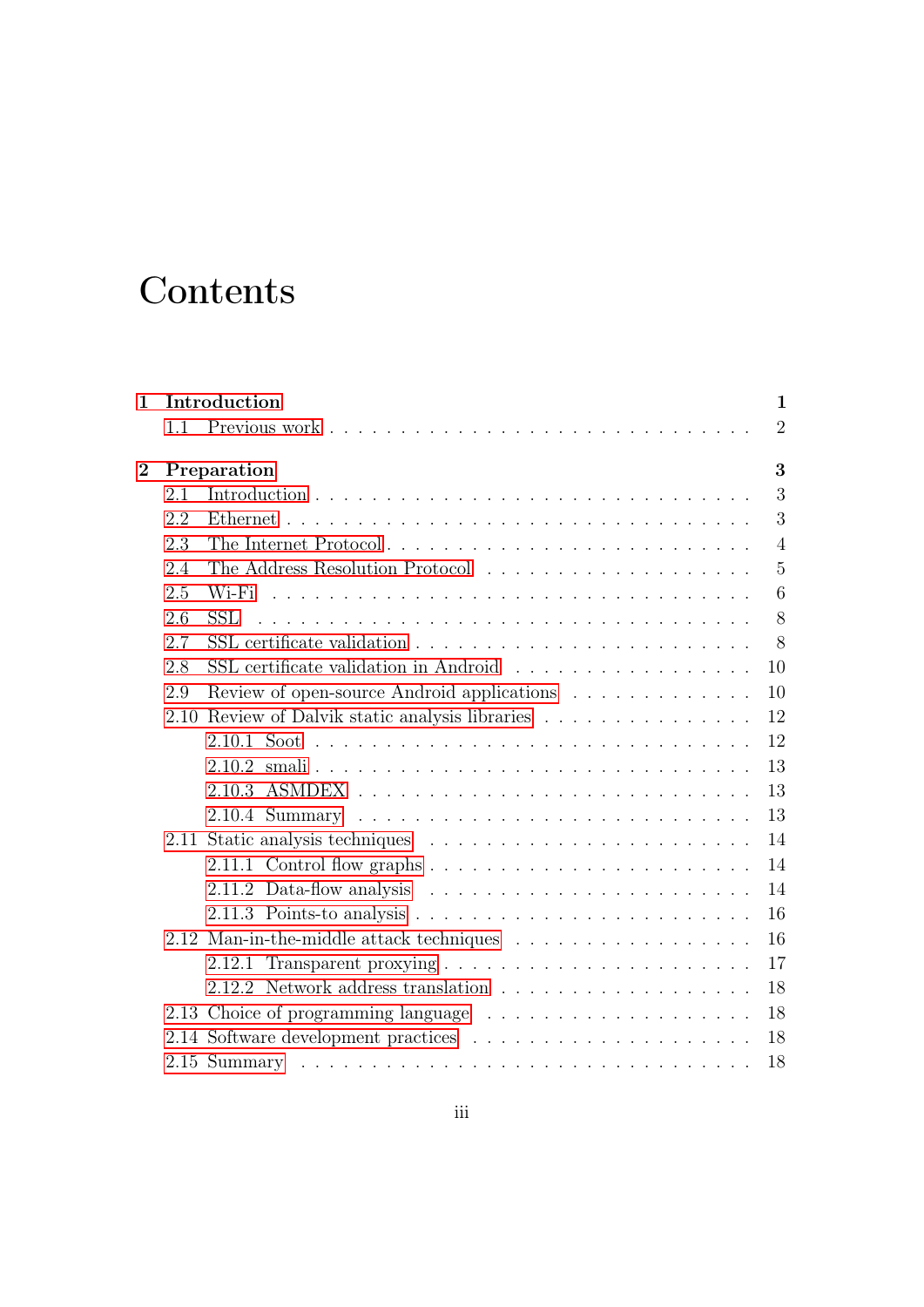## **Contents**

| $\mathbf{1}$   | Introduction |                                                  |  |  |
|----------------|--------------|--------------------------------------------------|--|--|
|                | 1.1          | $\overline{2}$                                   |  |  |
| $\overline{2}$ | Preparation  |                                                  |  |  |
|                | 2.1          | 3                                                |  |  |
|                | 2.2          | 3                                                |  |  |
|                | 2.3          | The Internet Protocol<br>$\overline{4}$          |  |  |
|                | 2.4          | $\overline{5}$                                   |  |  |
|                | 2.5          | 6                                                |  |  |
|                | 2.6          | 8<br><b>SSL</b>                                  |  |  |
|                | 2.7          | 8                                                |  |  |
|                | 2.8          | SSL certificate validation in Android<br>10      |  |  |
|                | 2.9          | Review of open-source Android applications<br>10 |  |  |
|                | 2.10         | 12<br>Review of Dalvik static analysis libraries |  |  |
|                |              | 12                                               |  |  |
|                |              | 13                                               |  |  |
|                |              | 13                                               |  |  |
|                |              | 13                                               |  |  |
|                | 2.11         | 14                                               |  |  |
|                |              | 14                                               |  |  |
|                |              | 14                                               |  |  |
|                |              | 16                                               |  |  |
|                |              | 16<br>2.12 Man-in-the-middle attack techniques   |  |  |
|                |              | 17                                               |  |  |
|                |              | 18                                               |  |  |
|                |              | 18                                               |  |  |
|                |              | 18                                               |  |  |
|                |              | 18                                               |  |  |
|                |              |                                                  |  |  |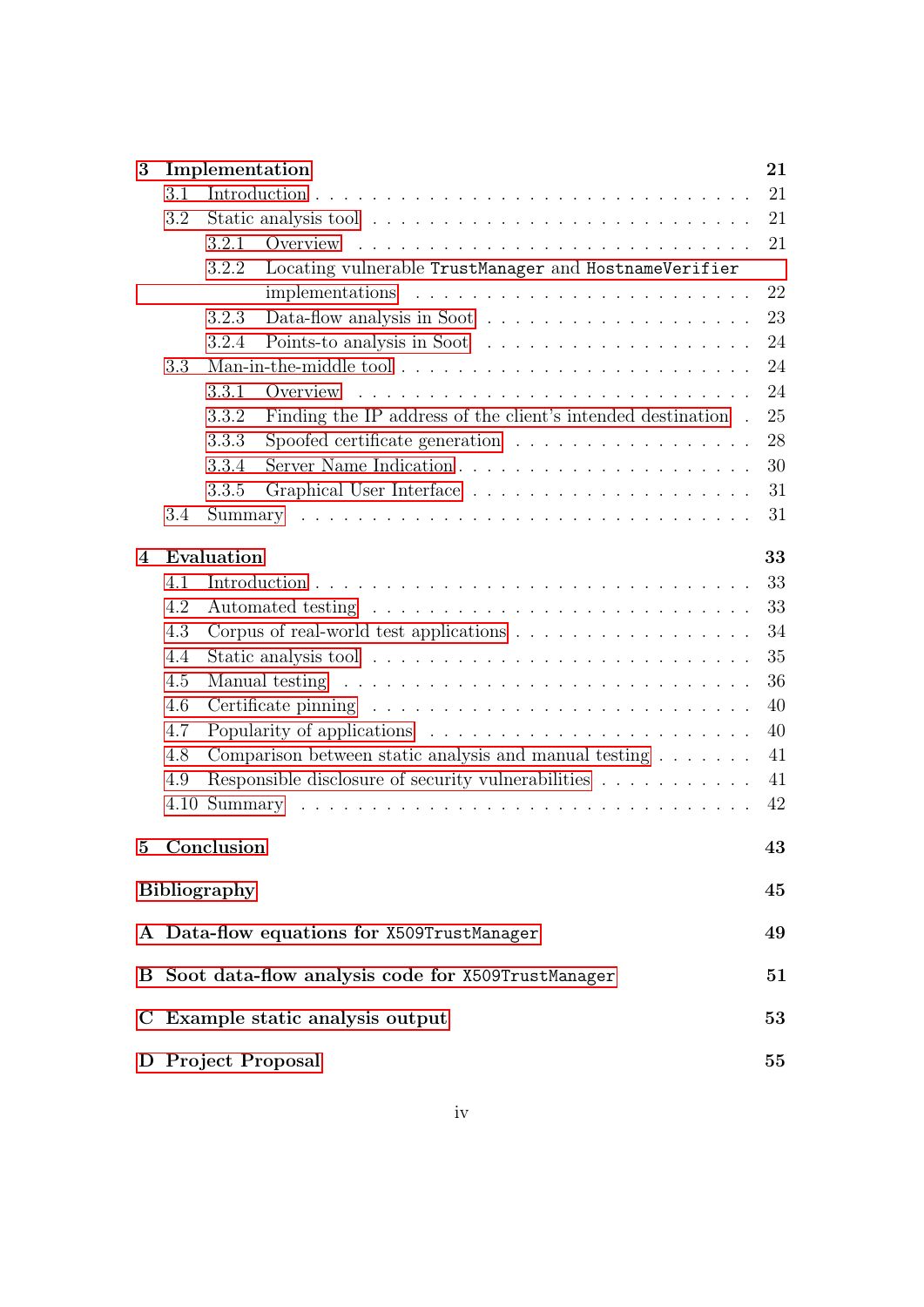| 3              | Implementation<br>21 |                                                                              |    |  |  |  |
|----------------|----------------------|------------------------------------------------------------------------------|----|--|--|--|
|                | 21<br>3.1            |                                                                              |    |  |  |  |
|                | 21<br>3.2            |                                                                              |    |  |  |  |
|                |                      | 3.2.1                                                                        | 21 |  |  |  |
|                |                      | Locating vulnerable TrustManager and HostnameVerifier<br>3.2.2               |    |  |  |  |
|                |                      |                                                                              | 22 |  |  |  |
|                |                      | 3.2.3                                                                        | 23 |  |  |  |
|                |                      | 3.2.4                                                                        | 24 |  |  |  |
|                | 3.3                  |                                                                              | 24 |  |  |  |
|                |                      | 3.3.1<br>Overview                                                            | 24 |  |  |  |
|                |                      | Finding the IP address of the client's intended destination.<br>3.3.2        | 25 |  |  |  |
|                |                      | 3.3.3<br>Spoofed certificate generation $\ldots \ldots \ldots \ldots \ldots$ | 28 |  |  |  |
|                |                      | 3.3.4                                                                        | 30 |  |  |  |
|                |                      | 3.3.5                                                                        | 31 |  |  |  |
|                | 3.4                  |                                                                              | 31 |  |  |  |
| $\overline{4}$ |                      | Evaluation                                                                   | 33 |  |  |  |
|                | 33<br>4.1            |                                                                              |    |  |  |  |
|                | 4.2                  |                                                                              | 33 |  |  |  |
|                | 34<br>4.3            |                                                                              |    |  |  |  |
|                | 35<br>4.4            |                                                                              |    |  |  |  |
|                | 4.5<br>36            |                                                                              |    |  |  |  |
|                | 40<br>4.6            |                                                                              |    |  |  |  |
|                | 40<br>4.7            |                                                                              |    |  |  |  |
|                | 4.8                  | Comparison between static analysis and manual testing $\ldots \ldots$        | 41 |  |  |  |
|                | 4.9                  | Responsible disclosure of security vulnerabilities                           | 41 |  |  |  |
|                | 4.10                 |                                                                              | 42 |  |  |  |
| $\overline{5}$ |                      | Conclusion                                                                   | 43 |  |  |  |
|                |                      | Bibliography                                                                 | 45 |  |  |  |
|                |                      |                                                                              |    |  |  |  |
|                |                      | A Data-flow equations for X509TrustManager                                   | 49 |  |  |  |
| В              |                      | Soot data-flow analysis code for X509TrustManager                            | 51 |  |  |  |
| C              |                      | Example static analysis output                                               | 53 |  |  |  |
| D              |                      | <b>Project Proposal</b>                                                      | 55 |  |  |  |
|                |                      |                                                                              |    |  |  |  |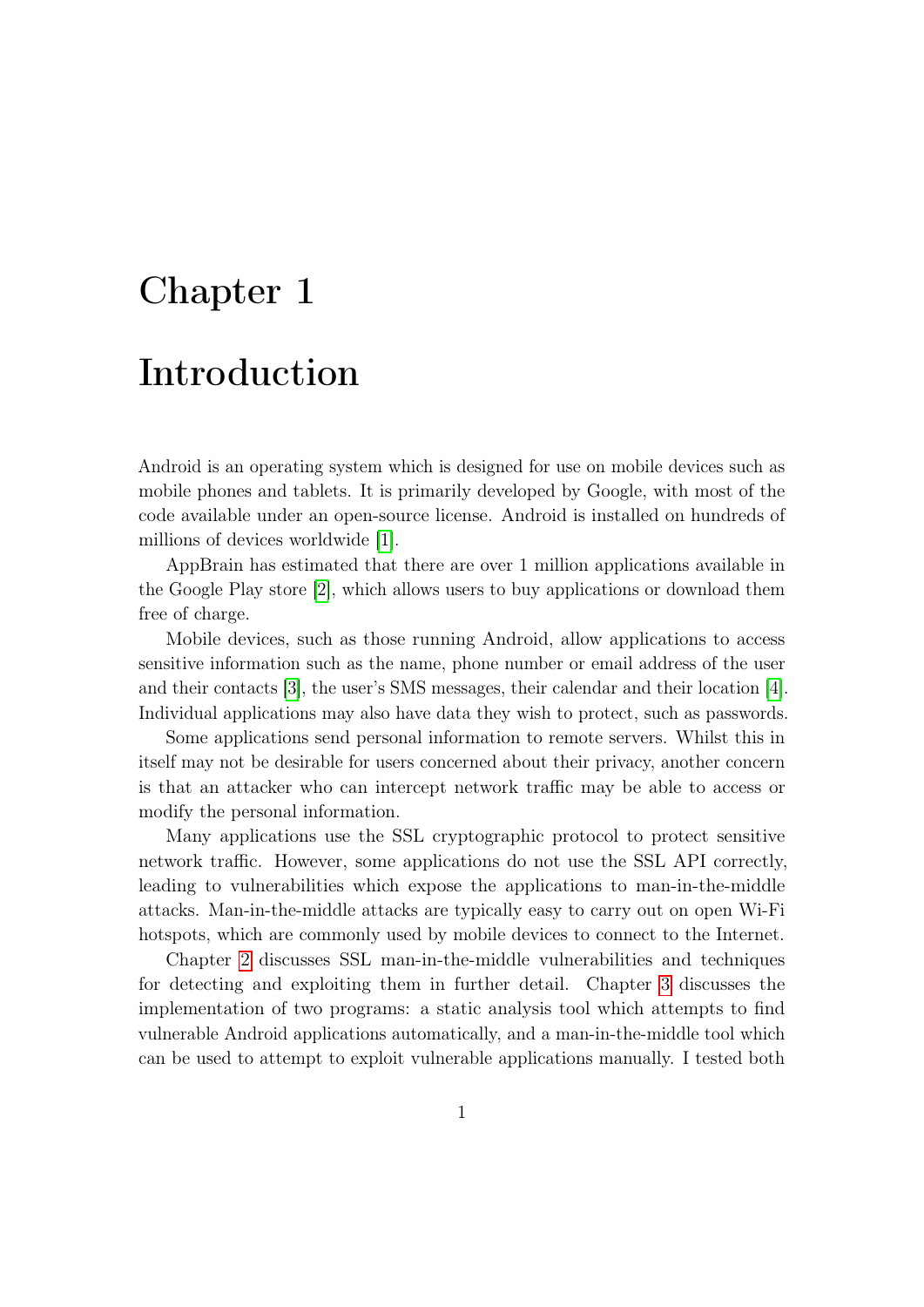# <span id="page-6-0"></span>Chapter 1 Introduction

Android is an operating system which is designed for use on mobile devices such as mobile phones and tablets. It is primarily developed by Google, with most of the code available under an open-source license. Android is installed on hundreds of millions of devices worldwide [\[1\]](#page-50-0).

AppBrain has estimated that there are over 1 million applications available in the Google Play store [\[2\]](#page-50-1), which allows users to buy applications or download them free of charge.

Mobile devices, such as those running Android, allow applications to access sensitive information such as the name, phone number or email address of the user and their contacts [\[3\]](#page-50-2), the user's SMS messages, their calendar and their location [\[4\]](#page-50-3). Individual applications may also have data they wish to protect, such as passwords.

Some applications send personal information to remote servers. Whilst this in itself may not be desirable for users concerned about their privacy, another concern is that an attacker who can intercept network traffic may be able to access or modify the personal information.

Many applications use the SSL cryptographic protocol to protect sensitive network traffic. However, some applications do not use the SSL API correctly, leading to vulnerabilities which expose the applications to man-in-the-middle attacks. Man-in-the-middle attacks are typically easy to carry out on open Wi-Fi hotspots, which are commonly used by mobile devices to connect to the Internet.

Chapter [2](#page-8-0) discusses SSL man-in-the-middle vulnerabilities and techniques for detecting and exploiting them in further detail. Chapter [3](#page-26-0) discusses the implementation of two programs: a static analysis tool which attempts to find vulnerable Android applications automatically, and a man-in-the-middle tool which can be used to attempt to exploit vulnerable applications manually. I tested both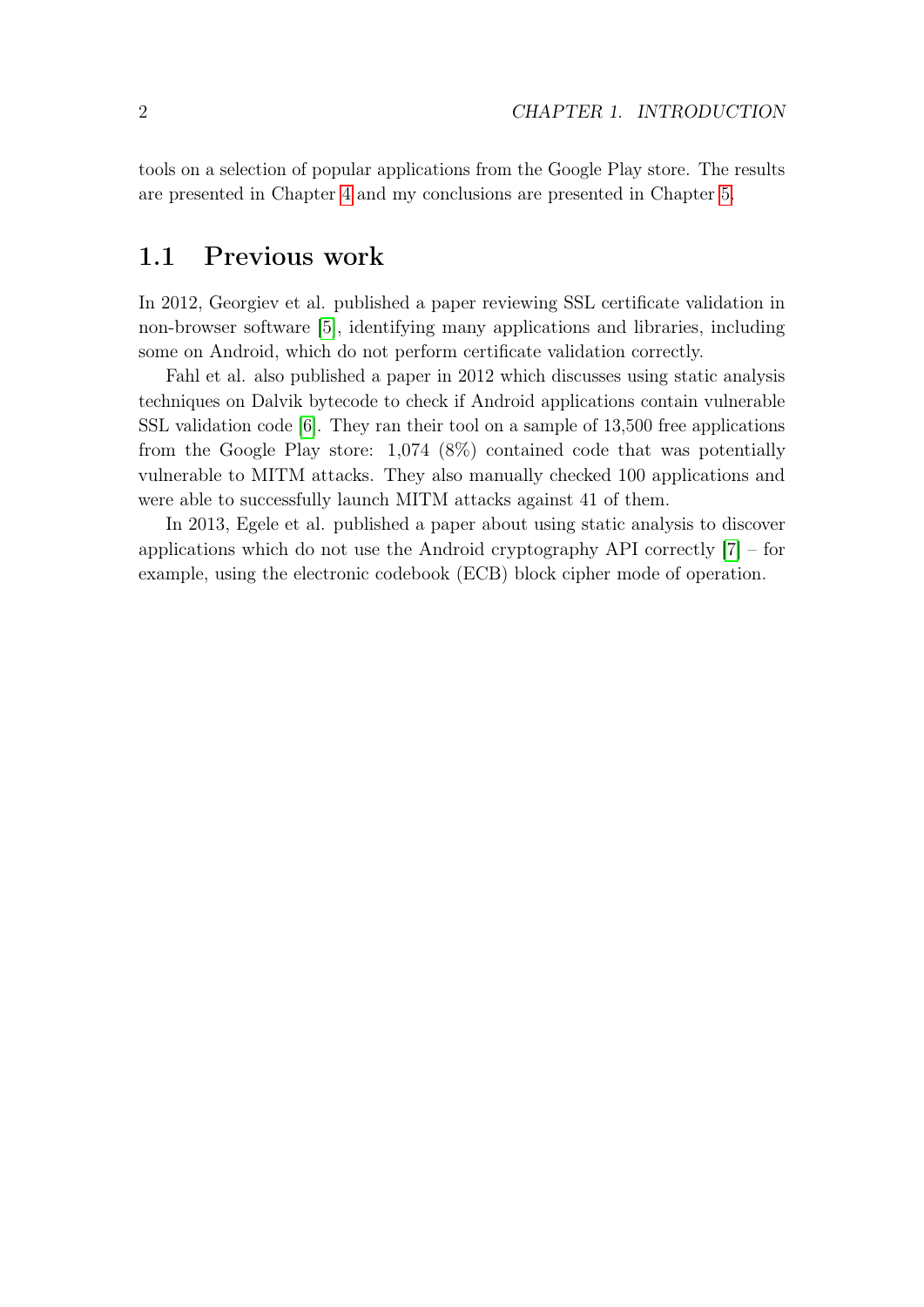tools on a selection of popular applications from the Google Play store. The results are presented in Chapter [4](#page-38-0) and my conclusions are presented in Chapter [5.](#page-48-0)

## <span id="page-7-0"></span>1.1 Previous work

In 2012, Georgiev et al. published a paper reviewing SSL certificate validation in non-browser software [\[5\]](#page-50-4), identifying many applications and libraries, including some on Android, which do not perform certificate validation correctly.

Fahl et al. also published a paper in 2012 which discusses using static analysis techniques on Dalvik bytecode to check if Android applications contain vulnerable SSL validation code [\[6\]](#page-50-5). They ran their tool on a sample of 13,500 free applications from the Google Play store: 1,074 (8%) contained code that was potentially vulnerable to MITM attacks. They also manually checked 100 applications and were able to successfully launch MITM attacks against 41 of them.

In 2013, Egele et al. published a paper about using static analysis to discover applications which do not use the Android cryptography API correctly [\[7\]](#page-50-6) – for example, using the electronic codebook (ECB) block cipher mode of operation.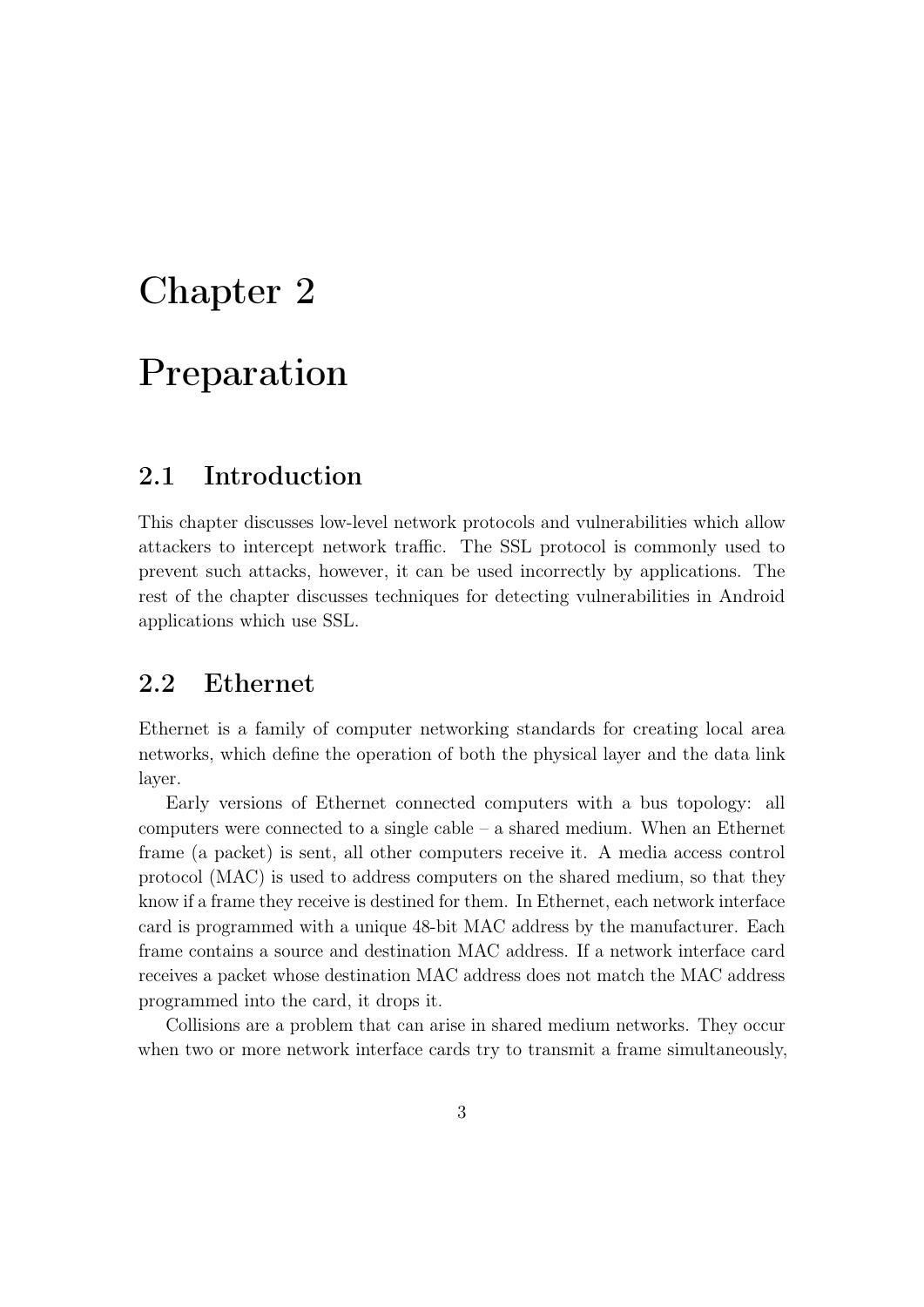# <span id="page-8-0"></span>Chapter 2 Preparation

## <span id="page-8-1"></span>2.1 Introduction

This chapter discusses low-level network protocols and vulnerabilities which allow attackers to intercept network traffic. The SSL protocol is commonly used to prevent such attacks, however, it can be used incorrectly by applications. The rest of the chapter discusses techniques for detecting vulnerabilities in Android applications which use SSL.

## <span id="page-8-2"></span>2.2 Ethernet

Ethernet is a family of computer networking standards for creating local area networks, which define the operation of both the physical layer and the data link layer.

Early versions of Ethernet connected computers with a bus topology: all computers were connected to a single cable – a shared medium. When an Ethernet frame (a packet) is sent, all other computers receive it. A media access control protocol (MAC) is used to address computers on the shared medium, so that they know if a frame they receive is destined for them. In Ethernet, each network interface card is programmed with a unique 48-bit MAC address by the manufacturer. Each frame contains a source and destination MAC address. If a network interface card receives a packet whose destination MAC address does not match the MAC address programmed into the card, it drops it.

Collisions are a problem that can arise in shared medium networks. They occur when two or more network interface cards try to transmit a frame simultaneously,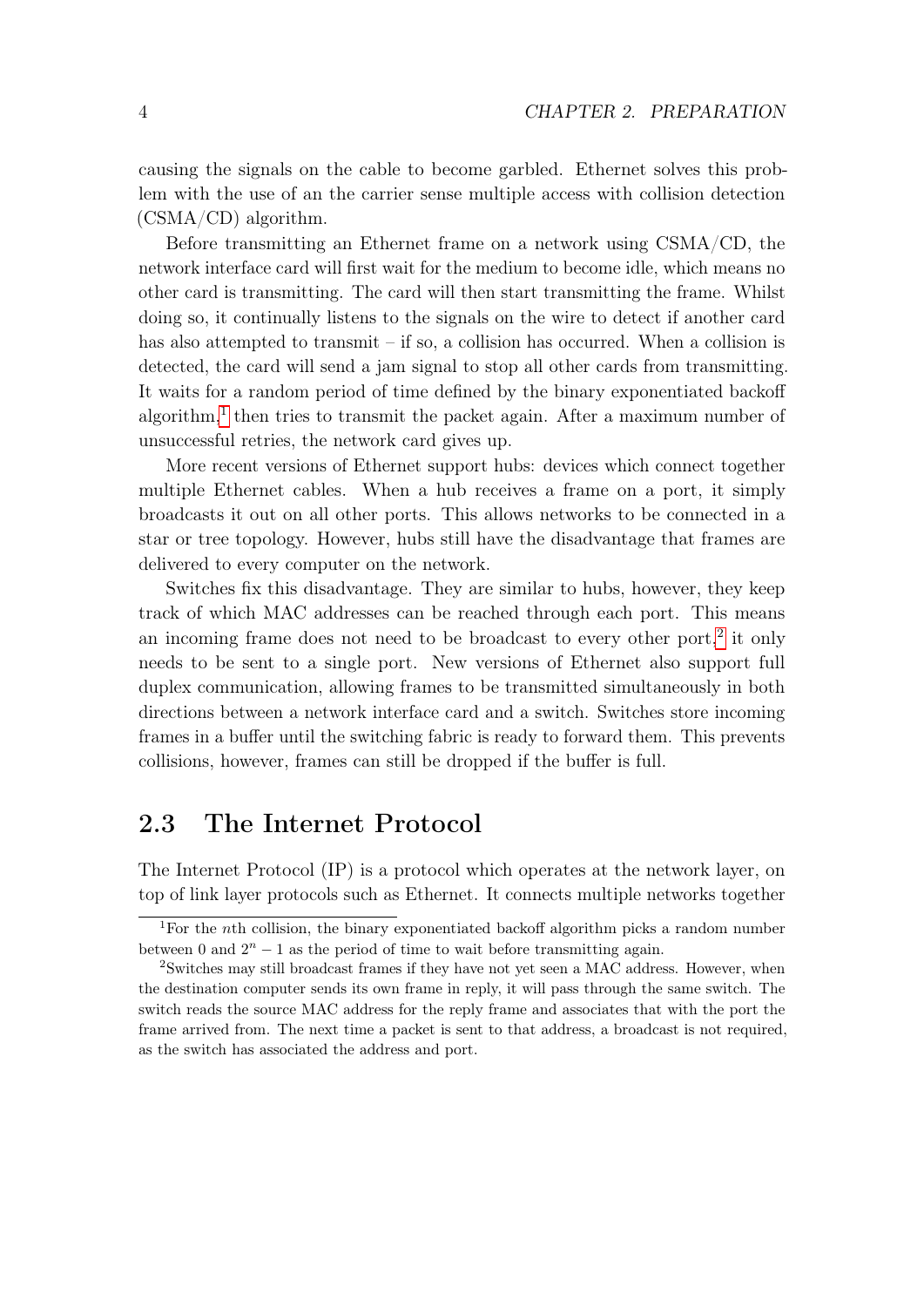causing the signals on the cable to become garbled. Ethernet solves this problem with the use of an the carrier sense multiple access with collision detection (CSMA/CD) algorithm.

Before transmitting an Ethernet frame on a network using CSMA/CD, the network interface card will first wait for the medium to become idle, which means no other card is transmitting. The card will then start transmitting the frame. Whilst doing so, it continually listens to the signals on the wire to detect if another card has also attempted to transmit – if so, a collision has occurred. When a collision is detected, the card will send a jam signal to stop all other cards from transmitting. It waits for a random period of time defined by the binary exponentiated backoff algorithm,<sup>[1](#page-9-1)</sup> then tries to transmit the packet again. After a maximum number of unsuccessful retries, the network card gives up.

More recent versions of Ethernet support hubs: devices which connect together multiple Ethernet cables. When a hub receives a frame on a port, it simply broadcasts it out on all other ports. This allows networks to be connected in a star or tree topology. However, hubs still have the disadvantage that frames are delivered to every computer on the network.

Switches fix this disadvantage. They are similar to hubs, however, they keep track of which MAC addresses can be reached through each port. This means an incoming frame does not need to be broadcast to every other port,<sup>[2](#page-9-2)</sup> it only needs to be sent to a single port. New versions of Ethernet also support full duplex communication, allowing frames to be transmitted simultaneously in both directions between a network interface card and a switch. Switches store incoming frames in a buffer until the switching fabric is ready to forward them. This prevents collisions, however, frames can still be dropped if the buffer is full.

## <span id="page-9-0"></span>2.3 The Internet Protocol

The Internet Protocol (IP) is a protocol which operates at the network layer, on top of link layer protocols such as Ethernet. It connects multiple networks together

<span id="page-9-1"></span><sup>&</sup>lt;sup>1</sup>For the *n*th collision, the binary exponentiated backoff algorithm picks a random number between 0 and  $2^n - 1$  as the period of time to wait before transmitting again.

<span id="page-9-2"></span><sup>2</sup>Switches may still broadcast frames if they have not yet seen a MAC address. However, when the destination computer sends its own frame in reply, it will pass through the same switch. The switch reads the source MAC address for the reply frame and associates that with the port the frame arrived from. The next time a packet is sent to that address, a broadcast is not required, as the switch has associated the address and port.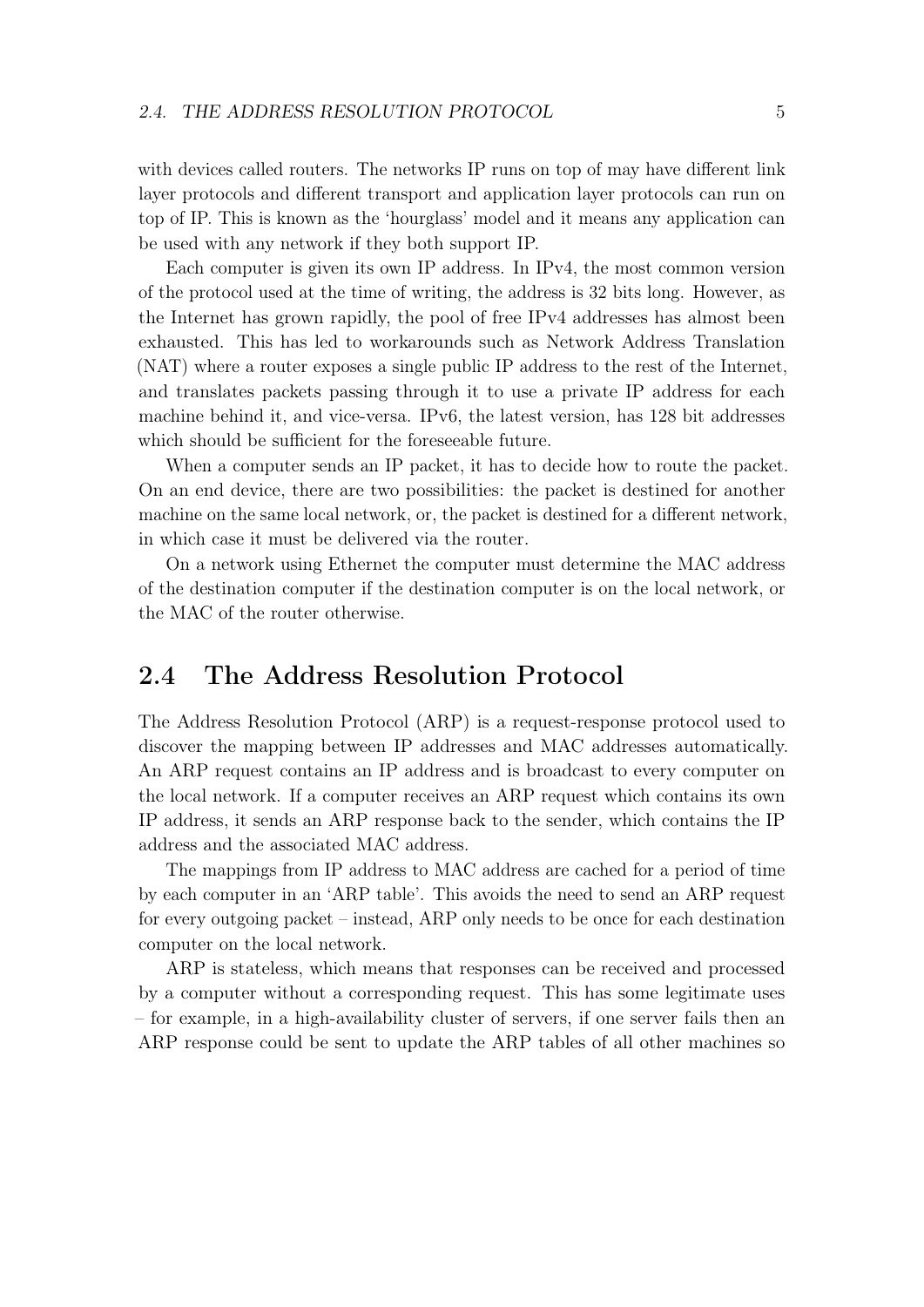with devices called routers. The networks IP runs on top of may have different link layer protocols and different transport and application layer protocols can run on top of IP. This is known as the 'hourglass' model and it means any application can be used with any network if they both support IP.

Each computer is given its own IP address. In IPv4, the most common version of the protocol used at the time of writing, the address is 32 bits long. However, as the Internet has grown rapidly, the pool of free IPv4 addresses has almost been exhausted. This has led to workarounds such as Network Address Translation (NAT) where a router exposes a single public IP address to the rest of the Internet, and translates packets passing through it to use a private IP address for each machine behind it, and vice-versa. IPv6, the latest version, has 128 bit addresses which should be sufficient for the foreseeable future.

When a computer sends an IP packet, it has to decide how to route the packet. On an end device, there are two possibilities: the packet is destined for another machine on the same local network, or, the packet is destined for a different network, in which case it must be delivered via the router.

On a network using Ethernet the computer must determine the MAC address of the destination computer if the destination computer is on the local network, or the MAC of the router otherwise.

### <span id="page-10-0"></span>2.4 The Address Resolution Protocol

The Address Resolution Protocol (ARP) is a request-response protocol used to discover the mapping between IP addresses and MAC addresses automatically. An ARP request contains an IP address and is broadcast to every computer on the local network. If a computer receives an ARP request which contains its own IP address, it sends an ARP response back to the sender, which contains the IP address and the associated MAC address.

The mappings from IP address to MAC address are cached for a period of time by each computer in an 'ARP table'. This avoids the need to send an ARP request for every outgoing packet – instead, ARP only needs to be once for each destination computer on the local network.

ARP is stateless, which means that responses can be received and processed by a computer without a corresponding request. This has some legitimate uses – for example, in a high-availability cluster of servers, if one server fails then an ARP response could be sent to update the ARP tables of all other machines so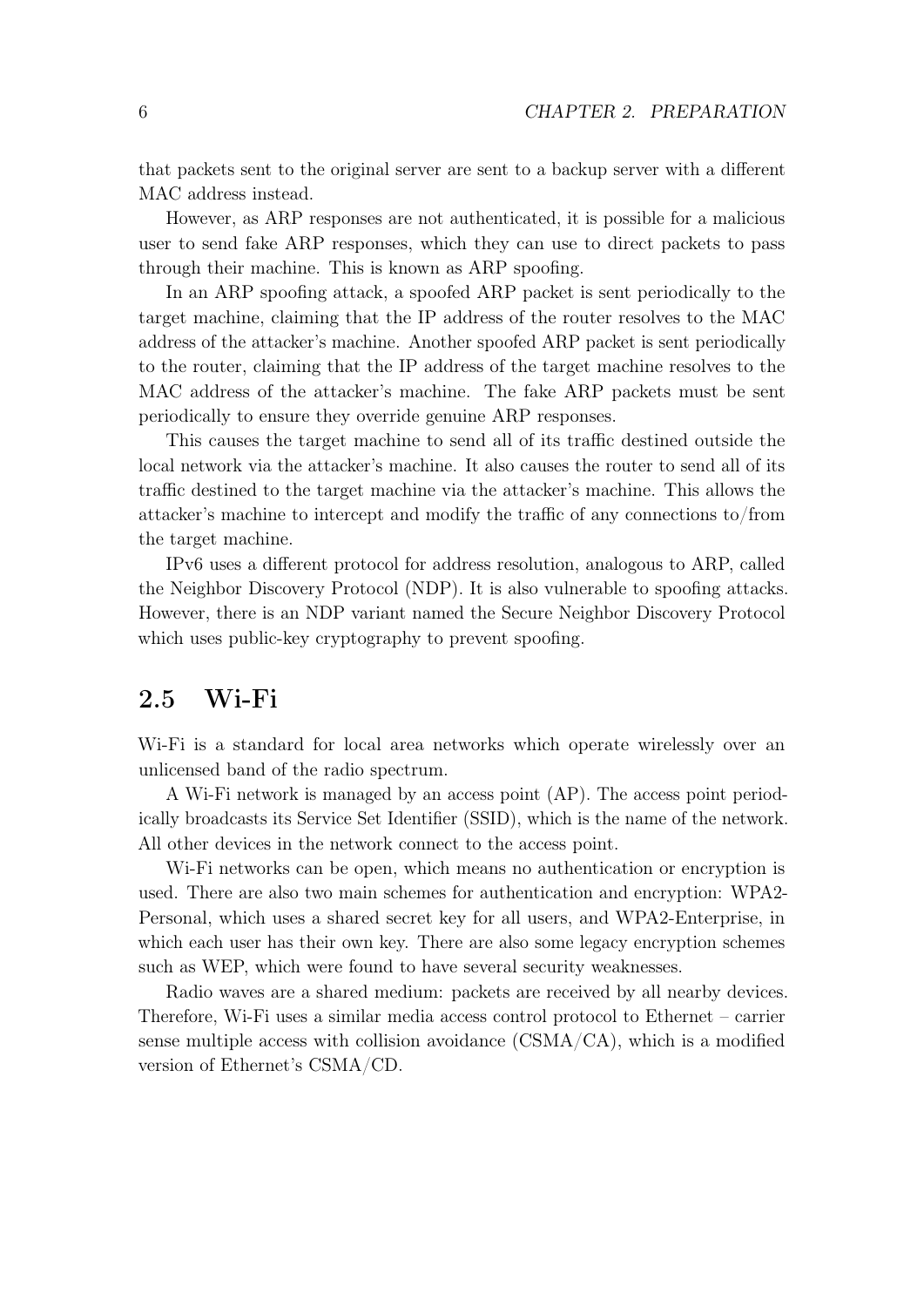that packets sent to the original server are sent to a backup server with a different MAC address instead.

However, as ARP responses are not authenticated, it is possible for a malicious user to send fake ARP responses, which they can use to direct packets to pass through their machine. This is known as ARP spoofing.

In an ARP spoofing attack, a spoofed ARP packet is sent periodically to the target machine, claiming that the IP address of the router resolves to the MAC address of the attacker's machine. Another spoofed ARP packet is sent periodically to the router, claiming that the IP address of the target machine resolves to the MAC address of the attacker's machine. The fake ARP packets must be sent periodically to ensure they override genuine ARP responses.

This causes the target machine to send all of its traffic destined outside the local network via the attacker's machine. It also causes the router to send all of its traffic destined to the target machine via the attacker's machine. This allows the attacker's machine to intercept and modify the traffic of any connections to/from the target machine.

IPv6 uses a different protocol for address resolution, analogous to ARP, called the Neighbor Discovery Protocol (NDP). It is also vulnerable to spoofing attacks. However, there is an NDP variant named the Secure Neighbor Discovery Protocol which uses public-key cryptography to prevent spoofing.

### <span id="page-11-0"></span>2.5 Wi-Fi

Wi-Fi is a standard for local area networks which operate wirelessly over an unlicensed band of the radio spectrum.

A Wi-Fi network is managed by an access point (AP). The access point periodically broadcasts its Service Set Identifier (SSID), which is the name of the network. All other devices in the network connect to the access point.

Wi-Fi networks can be open, which means no authentication or encryption is used. There are also two main schemes for authentication and encryption: WPA2- Personal, which uses a shared secret key for all users, and WPA2-Enterprise, in which each user has their own key. There are also some legacy encryption schemes such as WEP, which were found to have several security weaknesses.

Radio waves are a shared medium: packets are received by all nearby devices. Therefore, Wi-Fi uses a similar media access control protocol to Ethernet – carrier sense multiple access with collision avoidance  $(\text{CSMA}/\text{CA})$ , which is a modified version of Ethernet's CSMA/CD.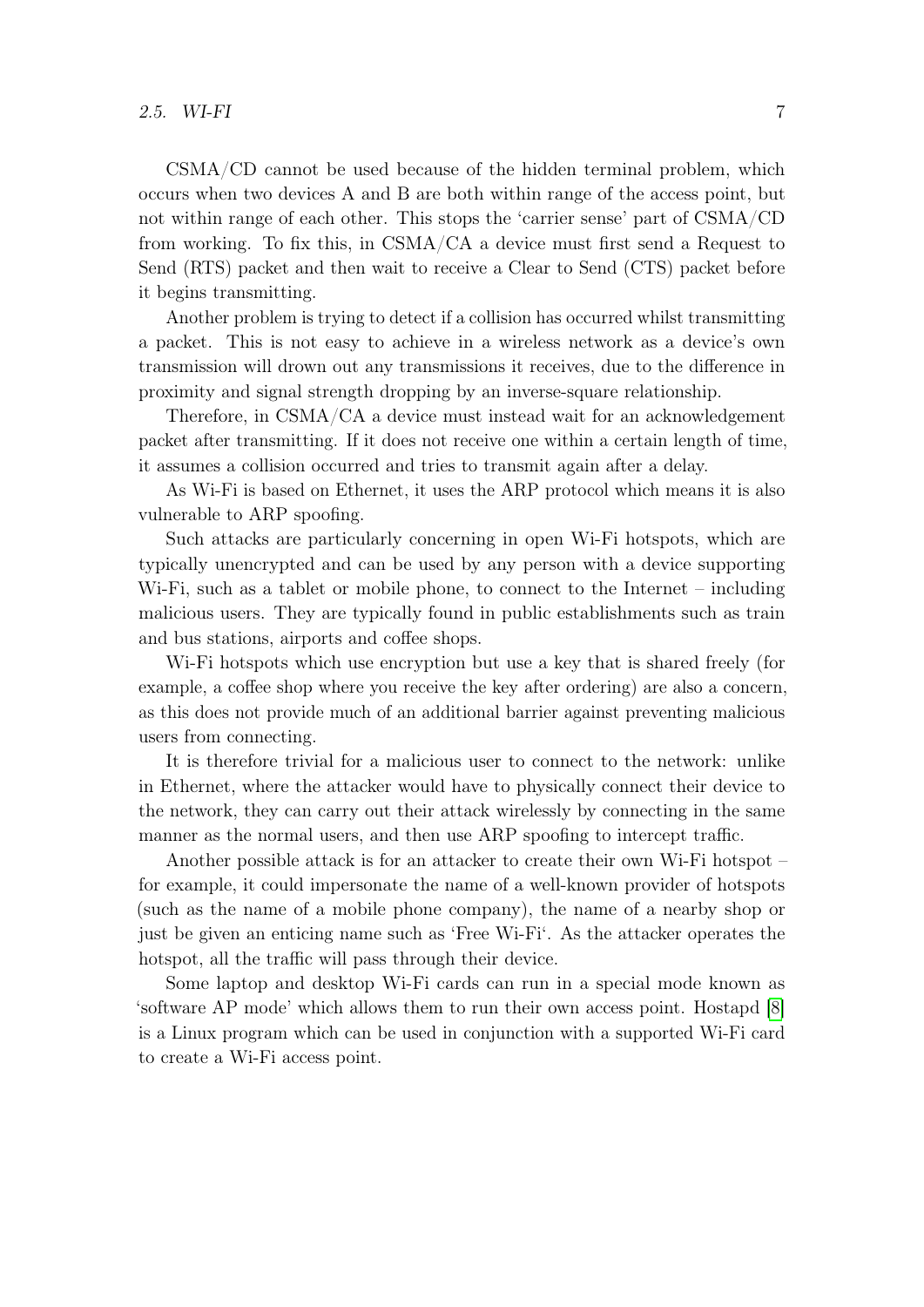CSMA/CD cannot be used because of the hidden terminal problem, which occurs when two devices A and B are both within range of the access point, but not within range of each other. This stops the 'carrier sense' part of CSMA/CD from working. To fix this, in CSMA/CA a device must first send a Request to Send (RTS) packet and then wait to receive a Clear to Send (CTS) packet before it begins transmitting.

Another problem is trying to detect if a collision has occurred whilst transmitting a packet. This is not easy to achieve in a wireless network as a device's own transmission will drown out any transmissions it receives, due to the difference in proximity and signal strength dropping by an inverse-square relationship.

Therefore, in CSMA/CA a device must instead wait for an acknowledgement packet after transmitting. If it does not receive one within a certain length of time, it assumes a collision occurred and tries to transmit again after a delay.

As Wi-Fi is based on Ethernet, it uses the ARP protocol which means it is also vulnerable to ARP spoofing.

Such attacks are particularly concerning in open Wi-Fi hotspots, which are typically unencrypted and can be used by any person with a device supporting Wi-Fi, such as a tablet or mobile phone, to connect to the Internet – including malicious users. They are typically found in public establishments such as train and bus stations, airports and coffee shops.

Wi-Fi hotspots which use encryption but use a key that is shared freely (for example, a coffee shop where you receive the key after ordering) are also a concern, as this does not provide much of an additional barrier against preventing malicious users from connecting.

It is therefore trivial for a malicious user to connect to the network: unlike in Ethernet, where the attacker would have to physically connect their device to the network, they can carry out their attack wirelessly by connecting in the same manner as the normal users, and then use ARP spoofing to intercept traffic.

Another possible attack is for an attacker to create their own Wi-Fi hotspot – for example, it could impersonate the name of a well-known provider of hotspots (such as the name of a mobile phone company), the name of a nearby shop or just be given an enticing name such as 'Free Wi-Fi'. As the attacker operates the hotspot, all the traffic will pass through their device.

Some laptop and desktop Wi-Fi cards can run in a special mode known as 'software AP mode' which allows them to run their own access point. Hostapd [\[8\]](#page-50-7) is a Linux program which can be used in conjunction with a supported Wi-Fi card to create a Wi-Fi access point.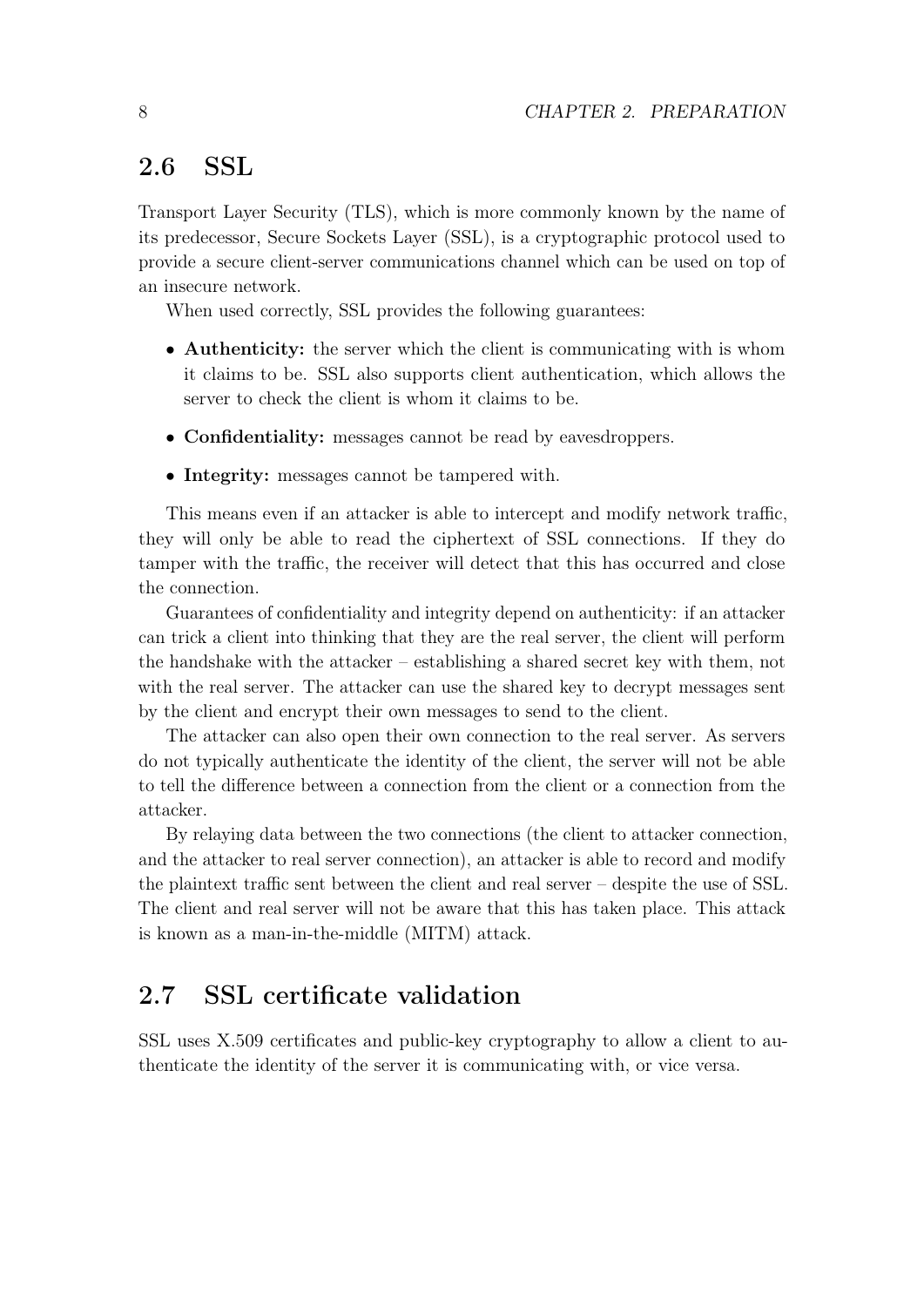## <span id="page-13-0"></span>2.6 SSL

Transport Layer Security (TLS), which is more commonly known by the name of its predecessor, Secure Sockets Layer (SSL), is a cryptographic protocol used to provide a secure client-server communications channel which can be used on top of an insecure network.

When used correctly, SSL provides the following guarantees:

- Authenticity: the server which the client is communicating with is whom it claims to be. SSL also supports client authentication, which allows the server to check the client is whom it claims to be.
- Confidentiality: messages cannot be read by eavesdroppers.
- Integrity: messages cannot be tampered with.

This means even if an attacker is able to intercept and modify network traffic, they will only be able to read the ciphertext of SSL connections. If they do tamper with the traffic, the receiver will detect that this has occurred and close the connection.

Guarantees of confidentiality and integrity depend on authenticity: if an attacker can trick a client into thinking that they are the real server, the client will perform the handshake with the attacker – establishing a shared secret key with them, not with the real server. The attacker can use the shared key to decrypt messages sent by the client and encrypt their own messages to send to the client.

The attacker can also open their own connection to the real server. As servers do not typically authenticate the identity of the client, the server will not be able to tell the difference between a connection from the client or a connection from the attacker.

By relaying data between the two connections (the client to attacker connection, and the attacker to real server connection), an attacker is able to record and modify the plaintext traffic sent between the client and real server – despite the use of SSL. The client and real server will not be aware that this has taken place. This attack is known as a man-in-the-middle (MITM) attack.

## <span id="page-13-1"></span>2.7 SSL certificate validation

SSL uses X.509 certificates and public-key cryptography to allow a client to authenticate the identity of the server it is communicating with, or vice versa.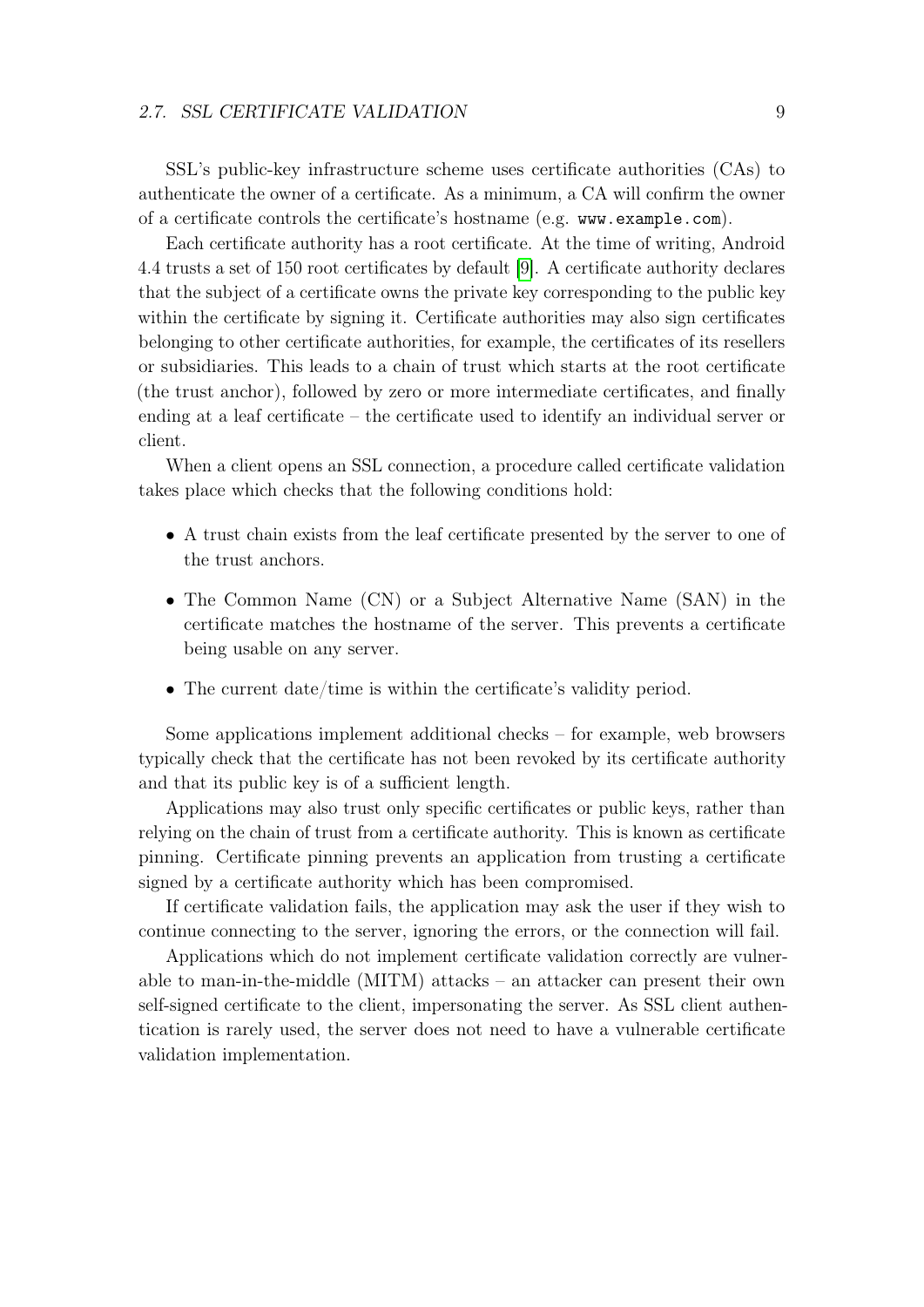#### 2.7. SSL CERTIFICATE VALIDATION 9

SSL's public-key infrastructure scheme uses certificate authorities (CAs) to authenticate the owner of a certificate. As a minimum, a CA will confirm the owner of a certificate controls the certificate's hostname (e.g. www.example.com).

Each certificate authority has a root certificate. At the time of writing, Android 4.4 trusts a set of 150 root certificates by default [\[9\]](#page-50-8). A certificate authority declares that the subject of a certificate owns the private key corresponding to the public key within the certificate by signing it. Certificate authorities may also sign certificates belonging to other certificate authorities, for example, the certificates of its resellers or subsidiaries. This leads to a chain of trust which starts at the root certificate (the trust anchor), followed by zero or more intermediate certificates, and finally ending at a leaf certificate – the certificate used to identify an individual server or client.

When a client opens an SSL connection, a procedure called certificate validation takes place which checks that the following conditions hold:

- A trust chain exists from the leaf certificate presented by the server to one of the trust anchors.
- The Common Name (CN) or a Subject Alternative Name (SAN) in the certificate matches the hostname of the server. This prevents a certificate being usable on any server.
- The current date/time is within the certificate's validity period.

Some applications implement additional checks – for example, web browsers typically check that the certificate has not been revoked by its certificate authority and that its public key is of a sufficient length.

Applications may also trust only specific certificates or public keys, rather than relying on the chain of trust from a certificate authority. This is known as certificate pinning. Certificate pinning prevents an application from trusting a certificate signed by a certificate authority which has been compromised.

If certificate validation fails, the application may ask the user if they wish to continue connecting to the server, ignoring the errors, or the connection will fail.

Applications which do not implement certificate validation correctly are vulnerable to man-in-the-middle (MITM) attacks – an attacker can present their own self-signed certificate to the client, impersonating the server. As SSL client authentication is rarely used, the server does not need to have a vulnerable certificate validation implementation.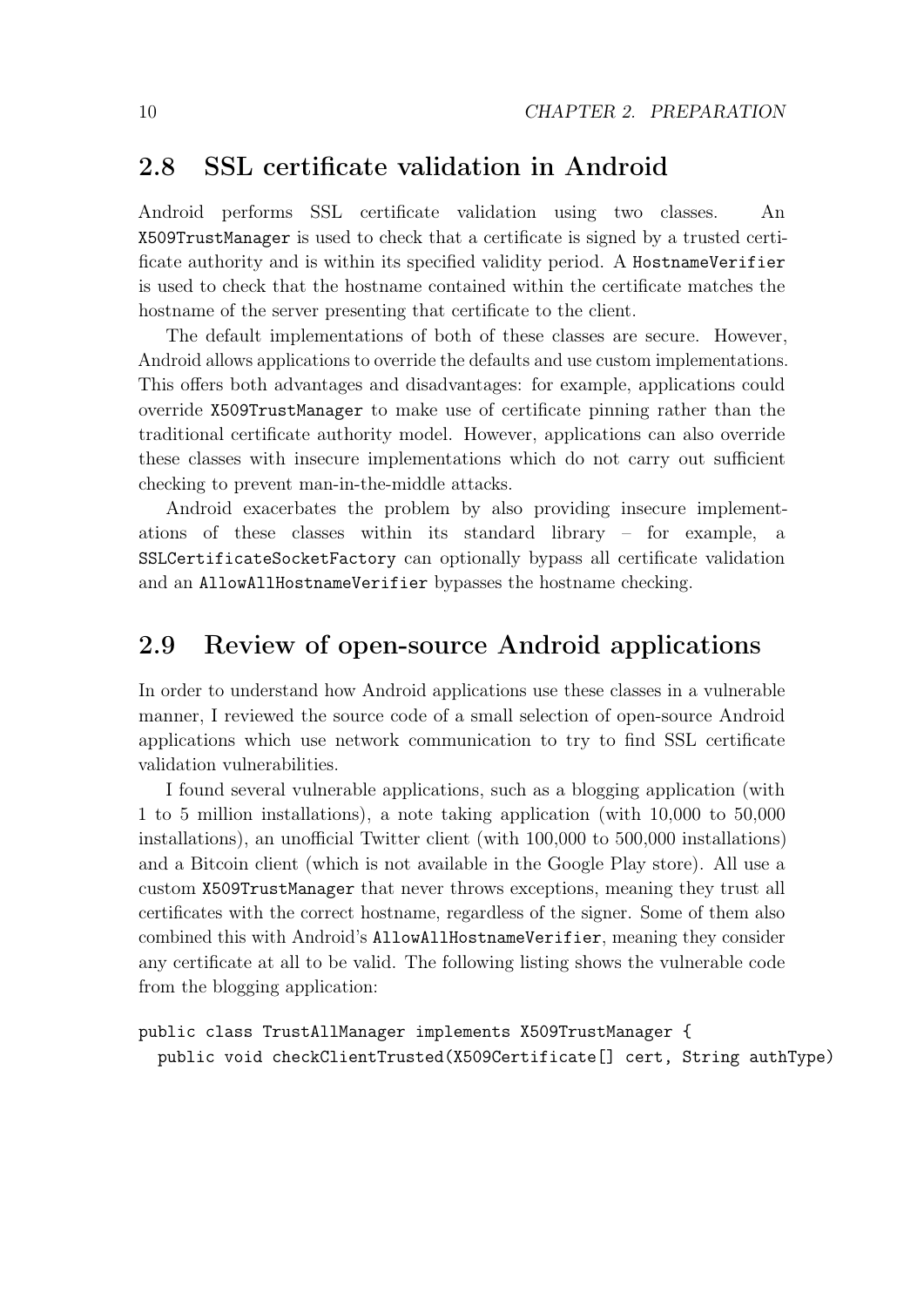### <span id="page-15-0"></span>2.8 SSL certificate validation in Android

Android performs SSL certificate validation using two classes. An X509TrustManager is used to check that a certificate is signed by a trusted certificate authority and is within its specified validity period. A HostnameVerifier is used to check that the hostname contained within the certificate matches the hostname of the server presenting that certificate to the client.

The default implementations of both of these classes are secure. However, Android allows applications to override the defaults and use custom implementations. This offers both advantages and disadvantages: for example, applications could override X509TrustManager to make use of certificate pinning rather than the traditional certificate authority model. However, applications can also override these classes with insecure implementations which do not carry out sufficient checking to prevent man-in-the-middle attacks.

Android exacerbates the problem by also providing insecure implementations of these classes within its standard library – for example, a SSLCertificateSocketFactory can optionally bypass all certificate validation and an AllowAllHostnameVerifier bypasses the hostname checking.

## <span id="page-15-1"></span>2.9 Review of open-source Android applications

In order to understand how Android applications use these classes in a vulnerable manner, I reviewed the source code of a small selection of open-source Android applications which use network communication to try to find SSL certificate validation vulnerabilities.

I found several vulnerable applications, such as a blogging application (with 1 to 5 million installations), a note taking application (with 10,000 to 50,000 installations), an unofficial Twitter client (with 100,000 to 500,000 installations) and a Bitcoin client (which is not available in the Google Play store). All use a custom X509TrustManager that never throws exceptions, meaning they trust all certificates with the correct hostname, regardless of the signer. Some of them also combined this with Android's AllowAllHostnameVerifier, meaning they consider any certificate at all to be valid. The following listing shows the vulnerable code from the blogging application:

```
public class TrustAllManager implements X509TrustManager {
  public void checkClientTrusted(X509Certificate[] cert, String authType)
```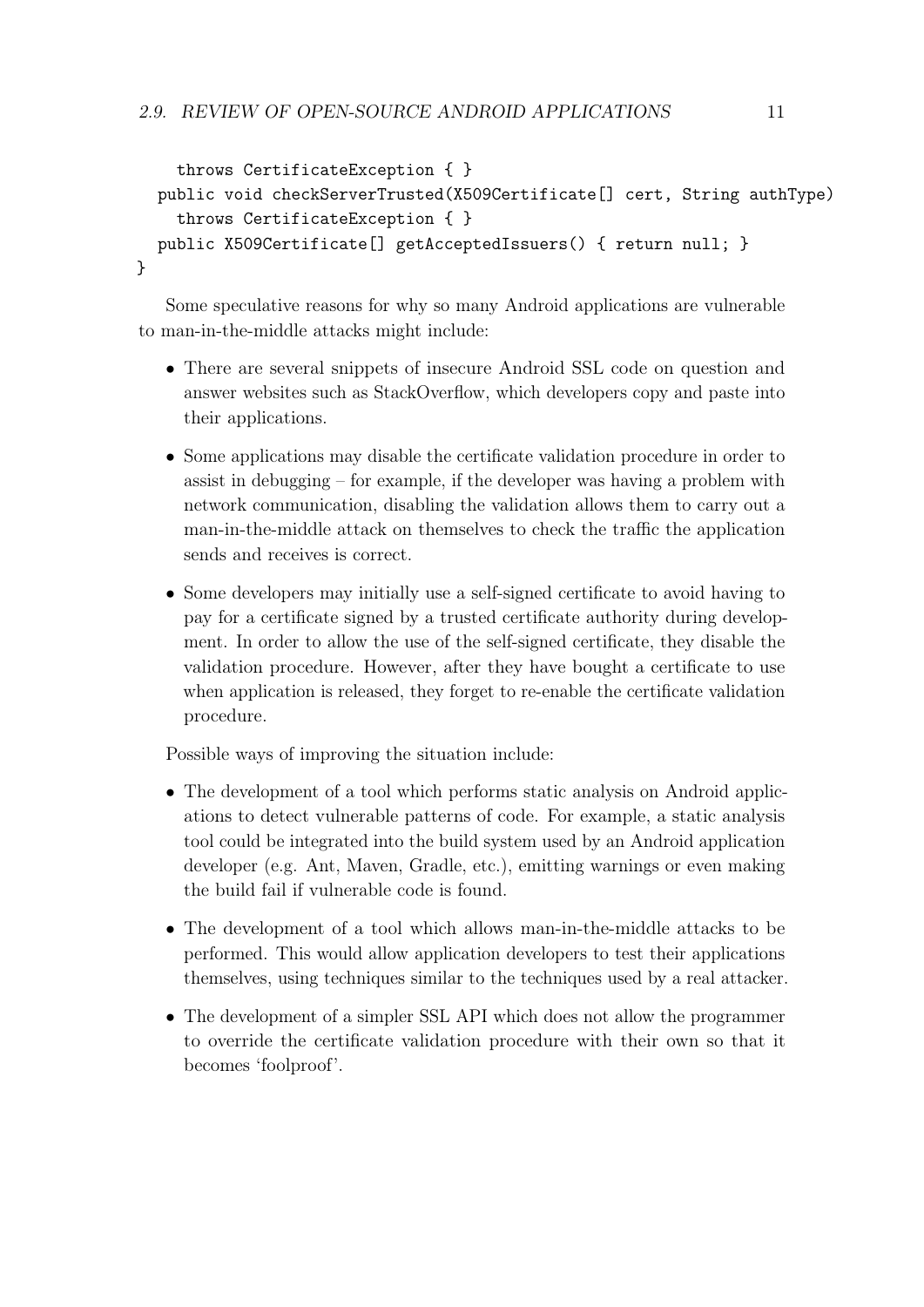```
throws CertificateException { }
  public void checkServerTrusted(X509Certificate[] cert, String authType)
    throws CertificateException { }
  public X509Certificate[] getAcceptedIssuers() { return null; }
}
```
Some speculative reasons for why so many Android applications are vulnerable to man-in-the-middle attacks might include:

- There are several snippets of insecure Android SSL code on question and answer websites such as StackOverflow, which developers copy and paste into their applications.
- Some applications may disable the certificate validation procedure in order to assist in debugging – for example, if the developer was having a problem with network communication, disabling the validation allows them to carry out a man-in-the-middle attack on themselves to check the traffic the application sends and receives is correct.
- Some developers may initially use a self-signed certificate to avoid having to pay for a certificate signed by a trusted certificate authority during development. In order to allow the use of the self-signed certificate, they disable the validation procedure. However, after they have bought a certificate to use when application is released, they forget to re-enable the certificate validation procedure.

Possible ways of improving the situation include:

- The development of a tool which performs static analysis on Android applications to detect vulnerable patterns of code. For example, a static analysis tool could be integrated into the build system used by an Android application developer (e.g. Ant, Maven, Gradle, etc.), emitting warnings or even making the build fail if vulnerable code is found.
- The development of a tool which allows man-in-the-middle attacks to be performed. This would allow application developers to test their applications themselves, using techniques similar to the techniques used by a real attacker.
- The development of a simpler SSL API which does not allow the programmer to override the certificate validation procedure with their own so that it becomes 'foolproof'.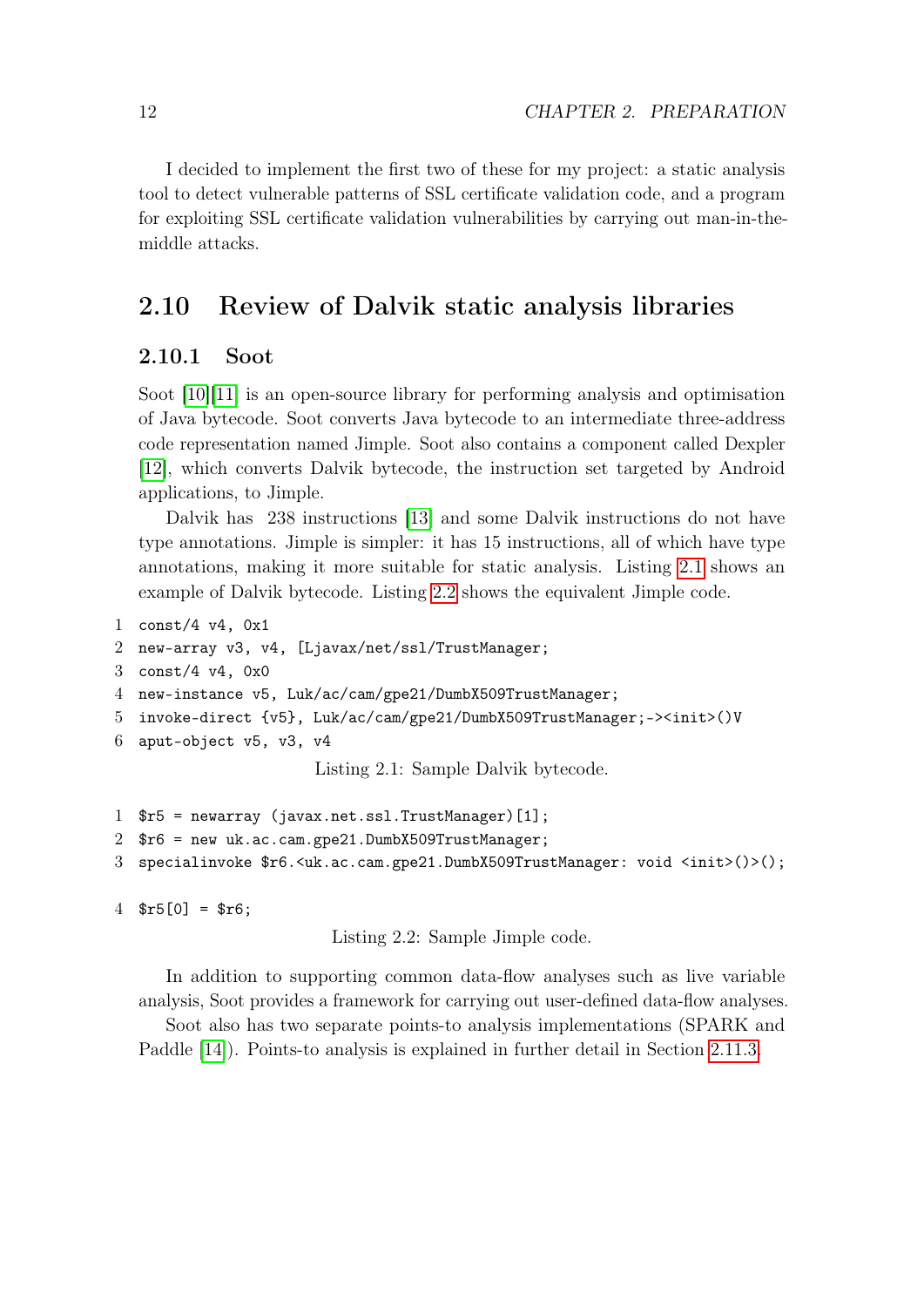I decided to implement the first two of these for my project: a static analysis tool to detect vulnerable patterns of SSL certificate validation code, and a program for exploiting SSL certificate validation vulnerabilities by carrying out man-in-themiddle attacks.

## <span id="page-17-0"></span>2.10 Review of Dalvik static analysis libraries

#### <span id="page-17-1"></span>2.10.1 Soot

Soot [\[10\]](#page-51-0)[\[11\]](#page-51-1) is an open-source library for performing analysis and optimisation of Java bytecode. Soot converts Java bytecode to an intermediate three-address code representation named Jimple. Soot also contains a component called Dexpler [\[12\]](#page-51-2), which converts Dalvik bytecode, the instruction set targeted by Android applications, to Jimple.

Dalvik has 238 instructions [\[13\]](#page-51-3) and some Dalvik instructions do not have type annotations. Jimple is simpler: it has 15 instructions, all of which have type annotations, making it more suitable for static analysis. Listing [2.1](#page-17-2) shows an example of Dalvik bytecode. Listing [2.2](#page-17-3) shows the equivalent Jimple code.

```
1 const/4 v4, 0x1
2 new-array v3, v4, [Ljavax/net/ssl/TrustManager;
3 const/4 v4, 0x0
4 new-instance v5, Luk/ac/cam/gpe21/DumbX509TrustManager;
5 invoke-direct {v5}, Luk/ac/cam/gpe21/DumbX509TrustManager;-><init>()V
6 aput-object v5, v3, v4
                       Listing 2.1: Sample Dalvik bytecode.
1 $r5 = newarray (javax.net.ssl.TrustManager)[1];
```

```
2 $r6 = new uk.ac.cam.gpe21.DumbX509TrustManager;
3 specialinvoke $r6.<uk.ac.cam.gpe21.DumbX509TrustManager: void <init>()>();
```
 $4$   $$r5[0] = $r6;$ 

Listing 2.2: Sample Jimple code.

In addition to supporting common data-flow analyses such as live variable analysis, Soot provides a framework for carrying out user-defined data-flow analyses.

Soot also has two separate points-to analysis implementations (SPARK and Paddle [\[14\]](#page-51-4)). Points-to analysis is explained in further detail in Section [2.11.3.](#page-21-0)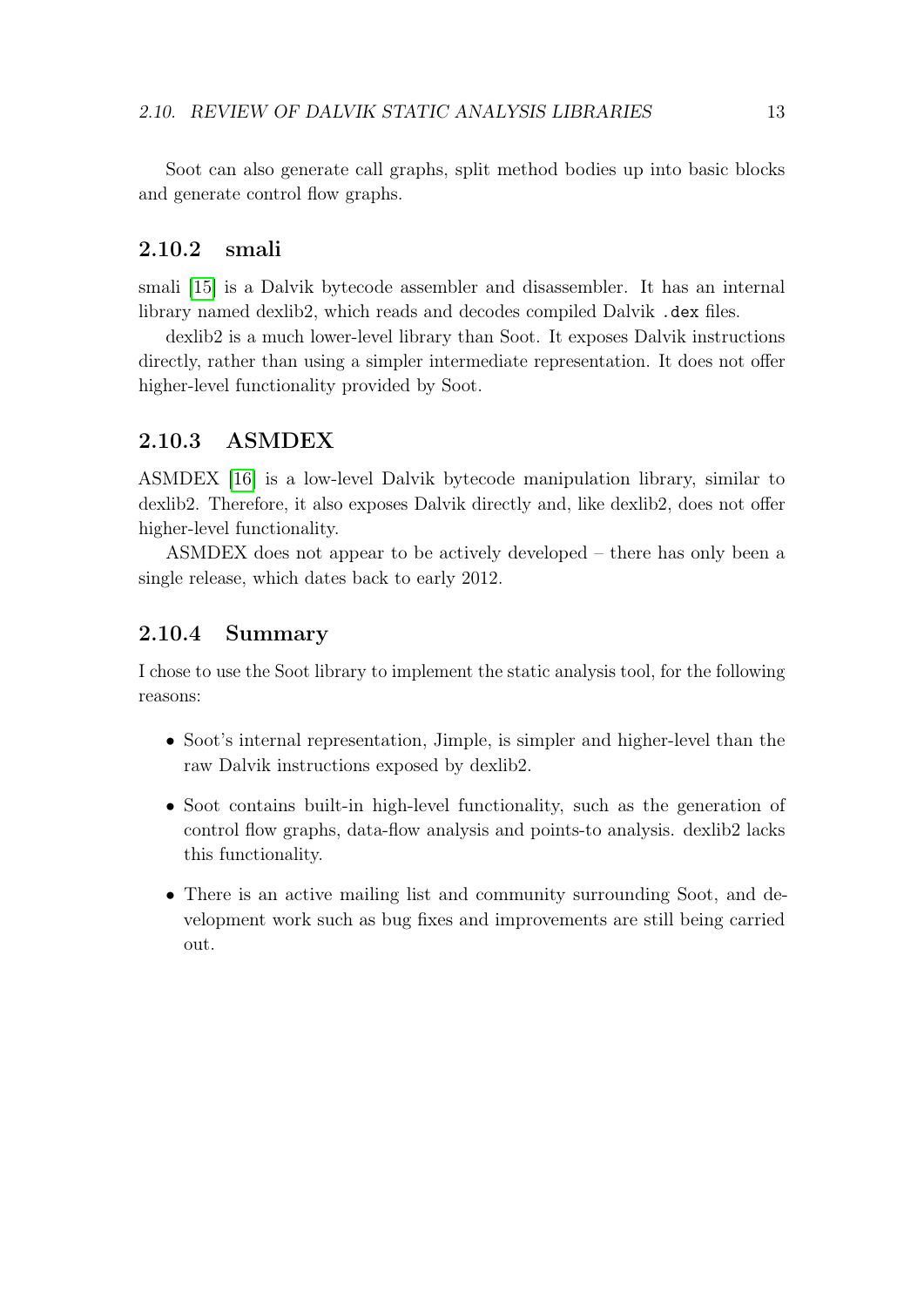Soot can also generate call graphs, split method bodies up into basic blocks and generate control flow graphs.

#### <span id="page-18-0"></span>2.10.2 smali

smali [\[15\]](#page-51-5) is a Dalvik bytecode assembler and disassembler. It has an internal library named dexlib2, which reads and decodes compiled Dalvik .dex files.

dexlib2 is a much lower-level library than Soot. It exposes Dalvik instructions directly, rather than using a simpler intermediate representation. It does not offer higher-level functionality provided by Soot.

#### <span id="page-18-1"></span>2.10.3 ASMDEX

ASMDEX [\[16\]](#page-51-6) is a low-level Dalvik bytecode manipulation library, similar to dexlib2. Therefore, it also exposes Dalvik directly and, like dexlib2, does not offer higher-level functionality.

ASMDEX does not appear to be actively developed – there has only been a single release, which dates back to early 2012.

#### <span id="page-18-2"></span>2.10.4 Summary

I chose to use the Soot library to implement the static analysis tool, for the following reasons:

- Soot's internal representation, Jimple, is simpler and higher-level than the raw Dalvik instructions exposed by dexlib2.
- Soot contains built-in high-level functionality, such as the generation of control flow graphs, data-flow analysis and points-to analysis. dexlib2 lacks this functionality.
- There is an active mailing list and community surrounding Soot, and development work such as bug fixes and improvements are still being carried out.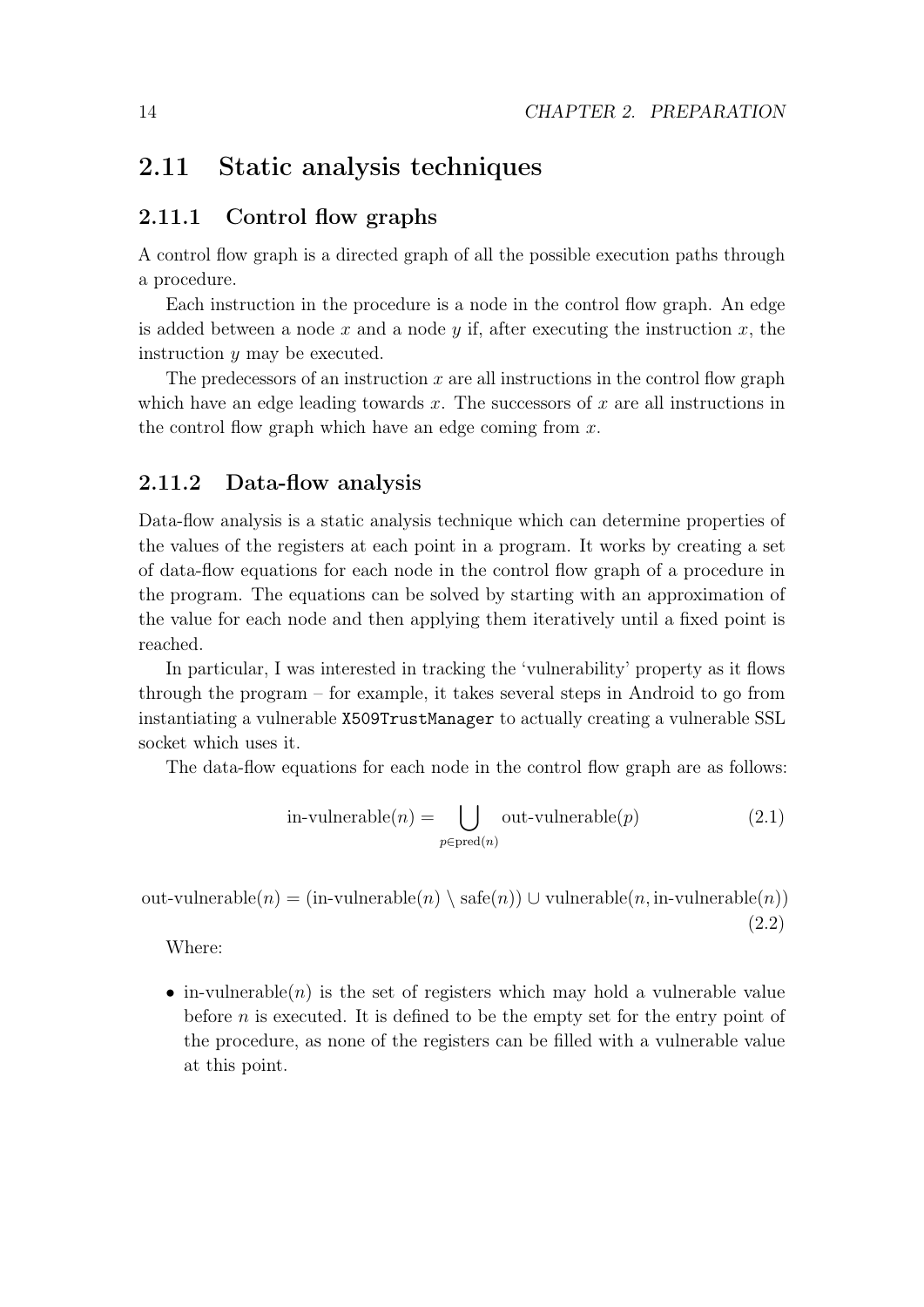### <span id="page-19-0"></span>2.11 Static analysis techniques

#### <span id="page-19-1"></span>2.11.1 Control flow graphs

A control flow graph is a directed graph of all the possible execution paths through a procedure.

Each instruction in the procedure is a node in the control flow graph. An edge is added between a node x and a node y if, after executing the instruction  $x$ , the instruction y may be executed.

The predecessors of an instruction  $x$  are all instructions in the control flow graph which have an edge leading towards x. The successors of x are all instructions in the control flow graph which have an edge coming from  $x$ .

#### <span id="page-19-2"></span>2.11.2 Data-flow analysis

Data-flow analysis is a static analysis technique which can determine properties of the values of the registers at each point in a program. It works by creating a set of data-flow equations for each node in the control flow graph of a procedure in the program. The equations can be solved by starting with an approximation of the value for each node and then applying them iteratively until a fixed point is reached.

In particular, I was interested in tracking the 'vulnerability' property as it flows through the program – for example, it takes several steps in Android to go from instantiating a vulnerable X509TrustManager to actually creating a vulnerable SSL socket which uses it.

The data-flow equations for each node in the control flow graph are as follows:

in-vulnerable
$$
(n)
$$
 =  $\bigcup_{p \in \text{pred}(n)} \text{out-vulnerable}(p)$  (2.1)

out-vulnerable(n) = (in-vulnerable(n) \ safe(n)) ∪ vulnerable(n, in-vulnerable(n)) (2.2)

Where:

• in-vulnerable $(n)$  is the set of registers which may hold a vulnerable value before  $n$  is executed. It is defined to be the empty set for the entry point of the procedure, as none of the registers can be filled with a vulnerable value at this point.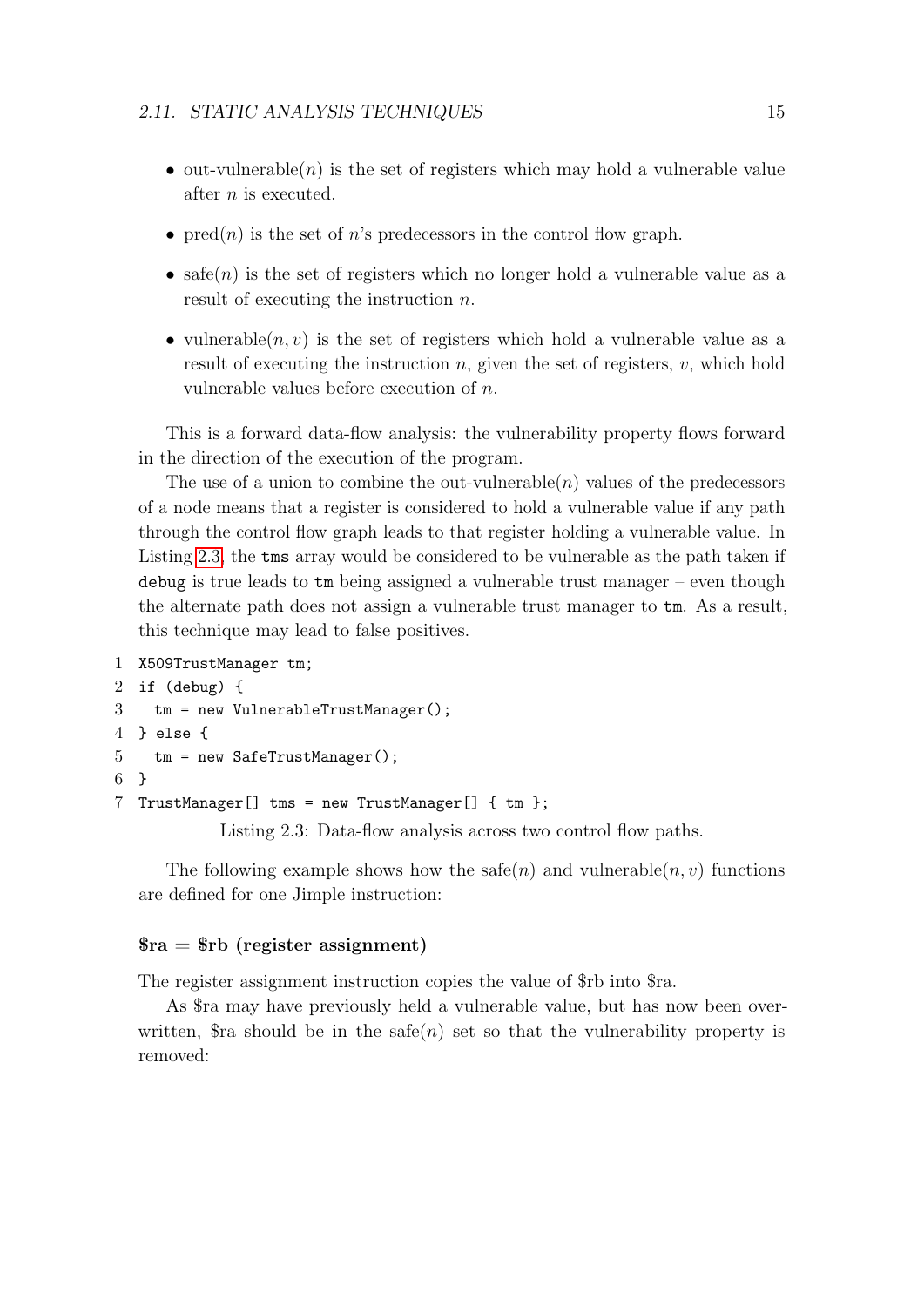- out-vulnerable $(n)$  is the set of registers which may hold a vulnerable value after n is executed.
- pred $(n)$  is the set of n's predecessors in the control flow graph.
- safe $(n)$  is the set of registers which no longer hold a vulnerable value as a result of executing the instruction n.
- vulnerable $(n, v)$  is the set of registers which hold a vulnerable value as a result of executing the instruction  $n$ , given the set of registers,  $v$ , which hold vulnerable values before execution of n.

This is a forward data-flow analysis: the vulnerability property flows forward in the direction of the execution of the program.

The use of a union to combine the out-vulnerable  $(n)$  values of the predecessors of a node means that a register is considered to hold a vulnerable value if any path through the control flow graph leads to that register holding a vulnerable value. In Listing [2.3,](#page-20-0) the tms array would be considered to be vulnerable as the path taken if debug is true leads to tm being assigned a vulnerable trust manager – even though the alternate path does not assign a vulnerable trust manager to tm. As a result, this technique may lead to false positives.

```
1 X509TrustManager tm;
2 if (debug) {
3 tm = new VulnerableTrustManager();
4 } else {
5 tm = new SafeTrustManager();
6 }
7 TrustManager[] tms = new TrustManager[] { tm };
```
Listing 2.3: Data-flow analysis across two control flow paths.

The following example shows how the safe(n) and vulnerable(n, v) functions are defined for one Jimple instruction:

#### $\$ra = \$rb$  (register assignment)

The register assignment instruction copies the value of \$rb into \$ra.

As \$ra may have previously held a vulnerable value, but has now been overwritten, \$ra should be in the safe(n) set so that the vulnerability property is removed: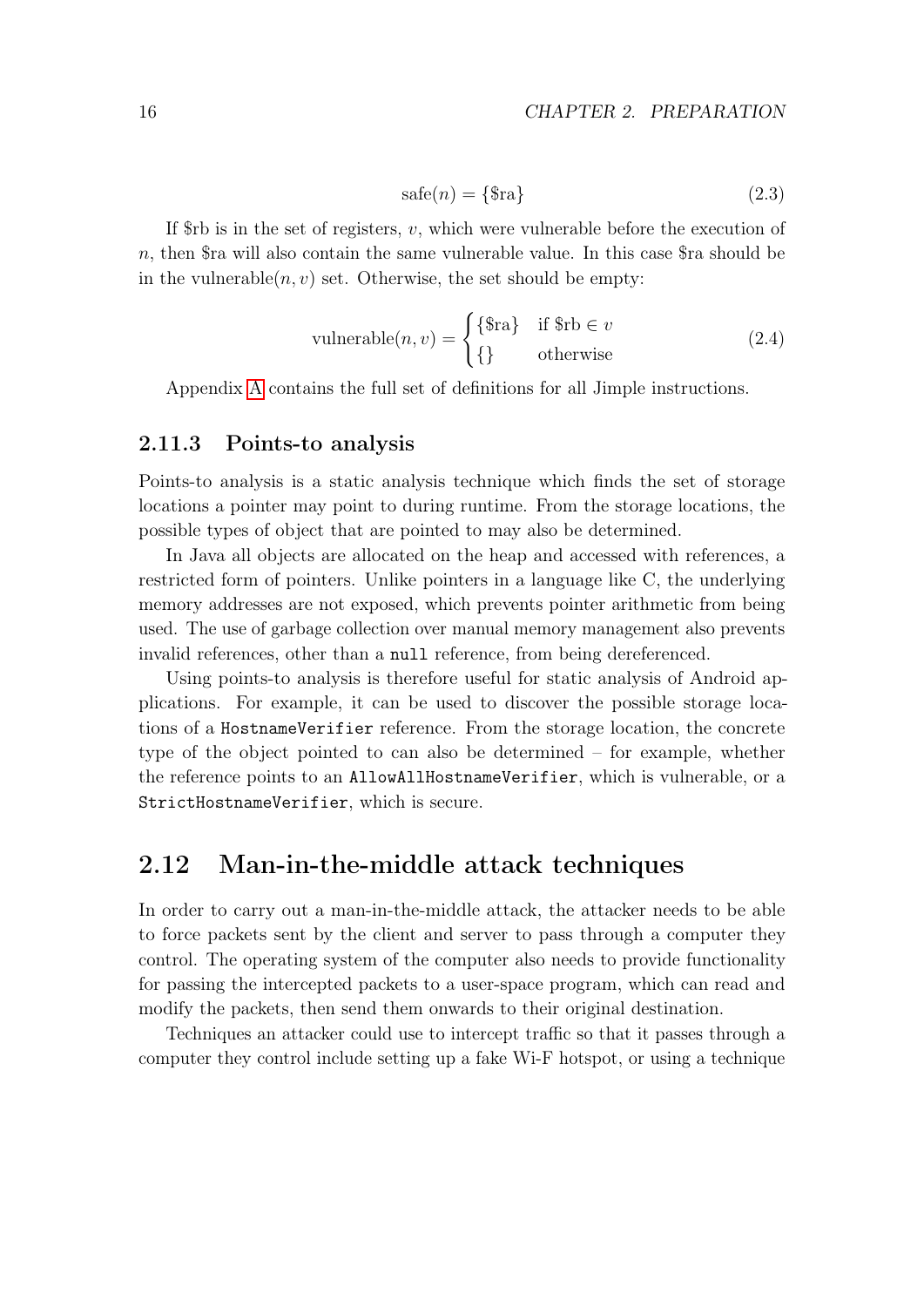$$
safe(n) = \{\$ra\} \tag{2.3}
$$

If  $r$  is in the set of registers, v, which were vulnerable before the execution of n, then \$ra will also contain the same vulnerable value. In this case \$ra should be in the vulnerable $(n, v)$  set. Otherwise, the set should be empty:

$$
vunderable(n, v) = \begin{cases} {\$ra\} & \text{if $s$rb \in v} \\ {\{\} & \text{otherwise} \end{cases}
$$
 (2.4)

Appendix [A](#page-54-0) contains the full set of definitions for all Jimple instructions.

#### <span id="page-21-0"></span>2.11.3 Points-to analysis

Points-to analysis is a static analysis technique which finds the set of storage locations a pointer may point to during runtime. From the storage locations, the possible types of object that are pointed to may also be determined.

In Java all objects are allocated on the heap and accessed with references, a restricted form of pointers. Unlike pointers in a language like C, the underlying memory addresses are not exposed, which prevents pointer arithmetic from being used. The use of garbage collection over manual memory management also prevents invalid references, other than a null reference, from being dereferenced.

Using points-to analysis is therefore useful for static analysis of Android applications. For example, it can be used to discover the possible storage locations of a HostnameVerifier reference. From the storage location, the concrete type of the object pointed to can also be determined – for example, whether the reference points to an AllowAllHostnameVerifier, which is vulnerable, or a StrictHostnameVerifier, which is secure.

## <span id="page-21-1"></span>2.12 Man-in-the-middle attack techniques

In order to carry out a man-in-the-middle attack, the attacker needs to be able to force packets sent by the client and server to pass through a computer they control. The operating system of the computer also needs to provide functionality for passing the intercepted packets to a user-space program, which can read and modify the packets, then send them onwards to their original destination.

Techniques an attacker could use to intercept traffic so that it passes through a computer they control include setting up a fake Wi-F hotspot, or using a technique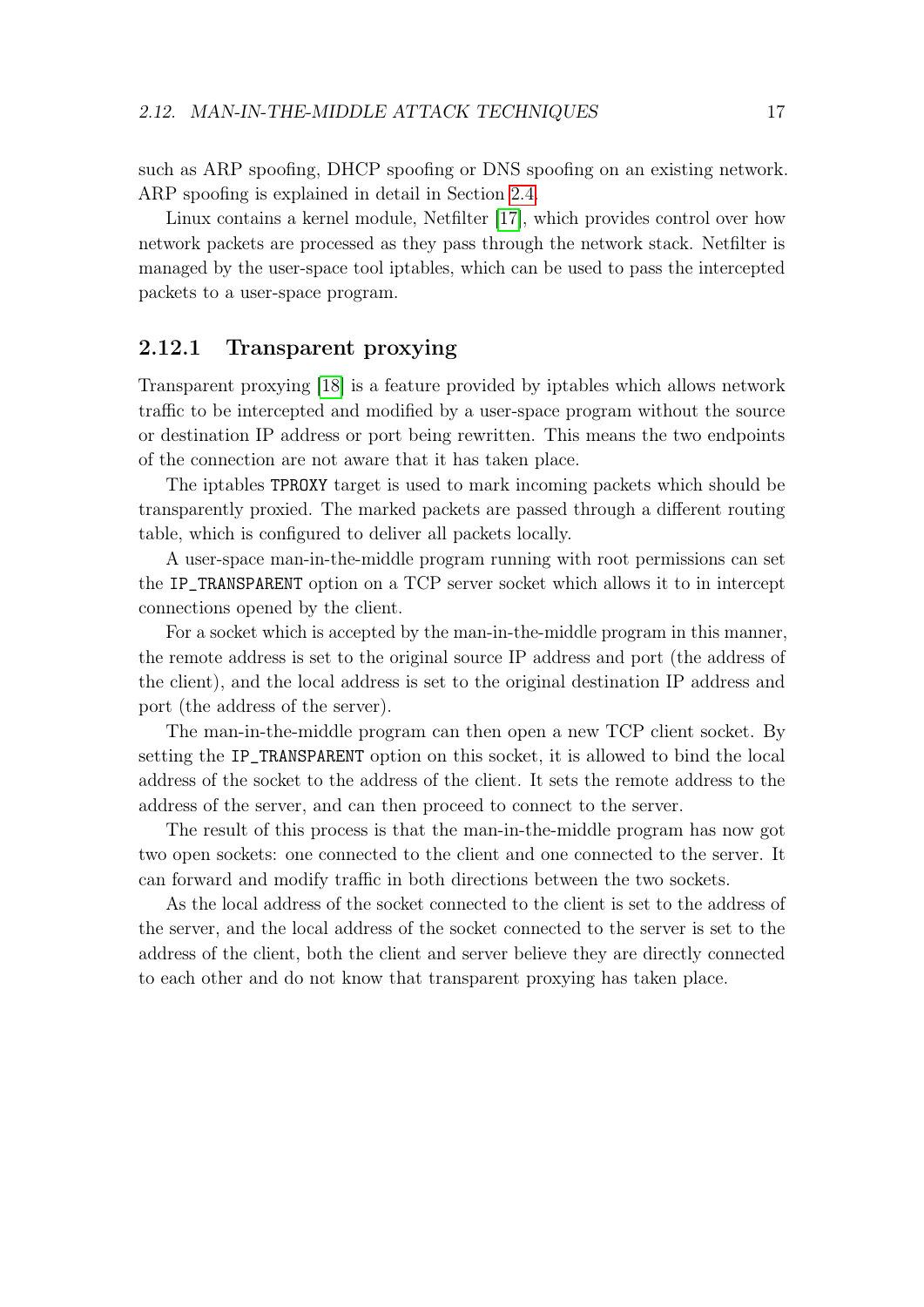such as ARP spoofing, DHCP spoofing or DNS spoofing on an existing network. ARP spoofing is explained in detail in Section [2.4.](#page-10-0)

Linux contains a kernel module, Netfilter [\[17\]](#page-51-7), which provides control over how network packets are processed as they pass through the network stack. Netfilter is managed by the user-space tool iptables, which can be used to pass the intercepted packets to a user-space program.

#### <span id="page-22-0"></span>2.12.1 Transparent proxying

Transparent proxying [\[18\]](#page-51-8) is a feature provided by iptables which allows network traffic to be intercepted and modified by a user-space program without the source or destination IP address or port being rewritten. This means the two endpoints of the connection are not aware that it has taken place.

The iptables TPROXY target is used to mark incoming packets which should be transparently proxied. The marked packets are passed through a different routing table, which is configured to deliver all packets locally.

A user-space man-in-the-middle program running with root permissions can set the IP\_TRANSPARENT option on a TCP server socket which allows it to in intercept connections opened by the client.

For a socket which is accepted by the man-in-the-middle program in this manner, the remote address is set to the original source IP address and port (the address of the client), and the local address is set to the original destination IP address and port (the address of the server).

The man-in-the-middle program can then open a new TCP client socket. By setting the IP\_TRANSPARENT option on this socket, it is allowed to bind the local address of the socket to the address of the client. It sets the remote address to the address of the server, and can then proceed to connect to the server.

The result of this process is that the man-in-the-middle program has now got two open sockets: one connected to the client and one connected to the server. It can forward and modify traffic in both directions between the two sockets.

As the local address of the socket connected to the client is set to the address of the server, and the local address of the socket connected to the server is set to the address of the client, both the client and server believe they are directly connected to each other and do not know that transparent proxying has taken place.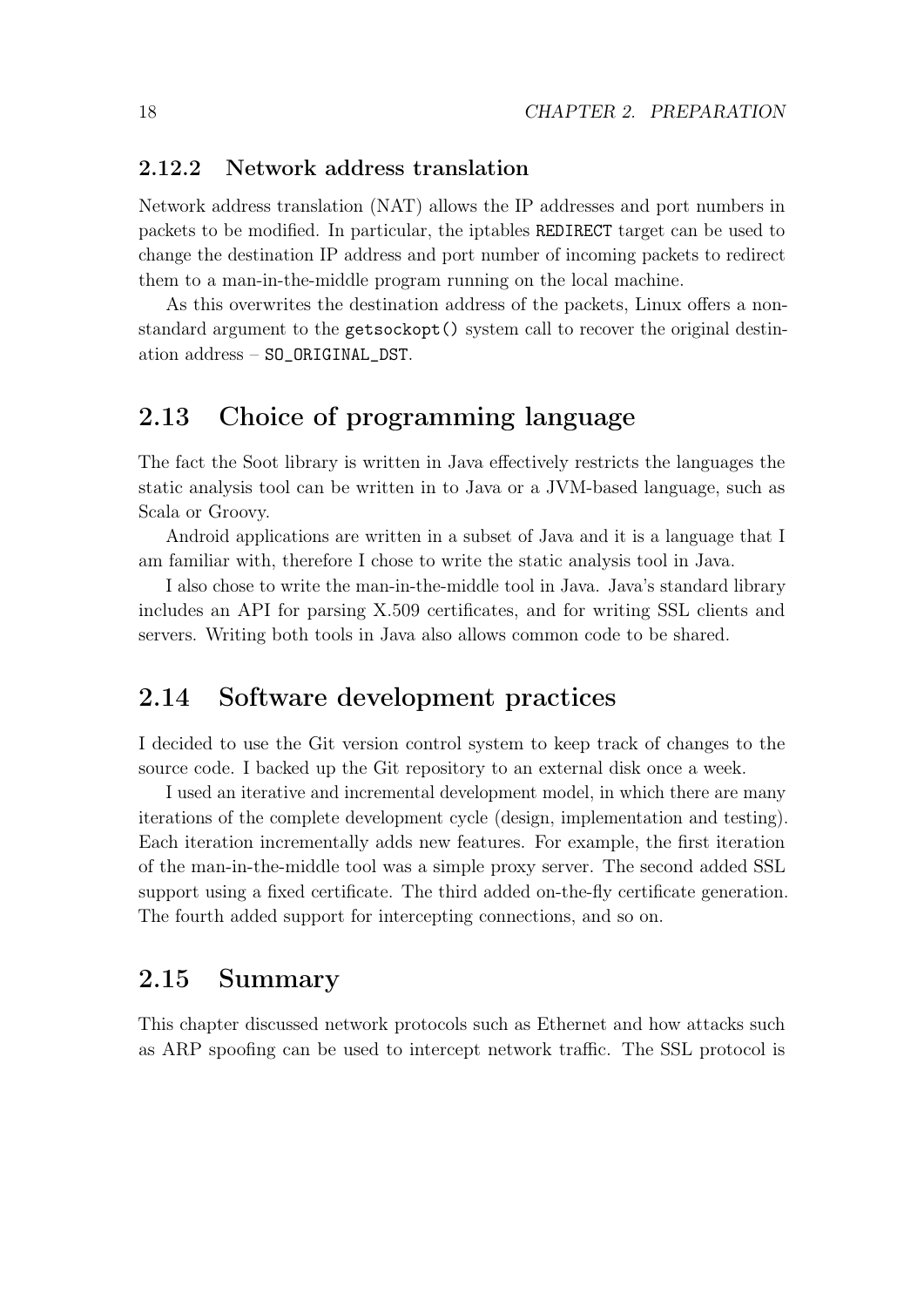#### <span id="page-23-0"></span>2.12.2 Network address translation

Network address translation (NAT) allows the IP addresses and port numbers in packets to be modified. In particular, the iptables REDIRECT target can be used to change the destination IP address and port number of incoming packets to redirect them to a man-in-the-middle program running on the local machine.

As this overwrites the destination address of the packets, Linux offers a nonstandard argument to the getsockopt() system call to recover the original destination address – SO\_ORIGINAL\_DST.

## <span id="page-23-1"></span>2.13 Choice of programming language

The fact the Soot library is written in Java effectively restricts the languages the static analysis tool can be written in to Java or a JVM-based language, such as Scala or Groovy.

Android applications are written in a subset of Java and it is a language that I am familiar with, therefore I chose to write the static analysis tool in Java.

I also chose to write the man-in-the-middle tool in Java. Java's standard library includes an API for parsing X.509 certificates, and for writing SSL clients and servers. Writing both tools in Java also allows common code to be shared.

## <span id="page-23-2"></span>2.14 Software development practices

I decided to use the Git version control system to keep track of changes to the source code. I backed up the Git repository to an external disk once a week.

I used an iterative and incremental development model, in which there are many iterations of the complete development cycle (design, implementation and testing). Each iteration incrementally adds new features. For example, the first iteration of the man-in-the-middle tool was a simple proxy server. The second added SSL support using a fixed certificate. The third added on-the-fly certificate generation. The fourth added support for intercepting connections, and so on.

### <span id="page-23-3"></span>2.15 Summary

This chapter discussed network protocols such as Ethernet and how attacks such as ARP spoofing can be used to intercept network traffic. The SSL protocol is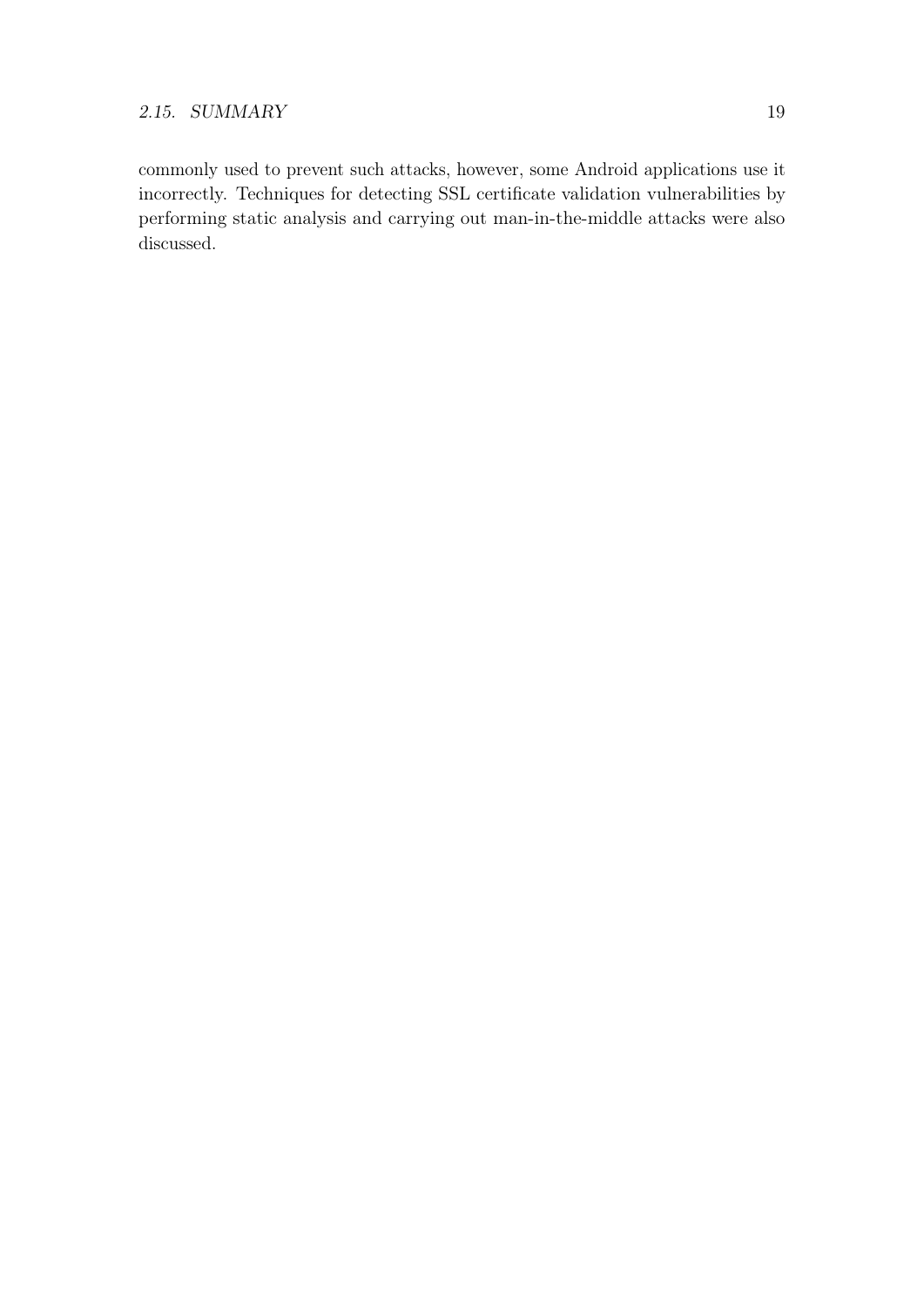commonly used to prevent such attacks, however, some Android applications use it incorrectly. Techniques for detecting SSL certificate validation vulnerabilities by performing static analysis and carrying out man-in-the-middle attacks were also discussed.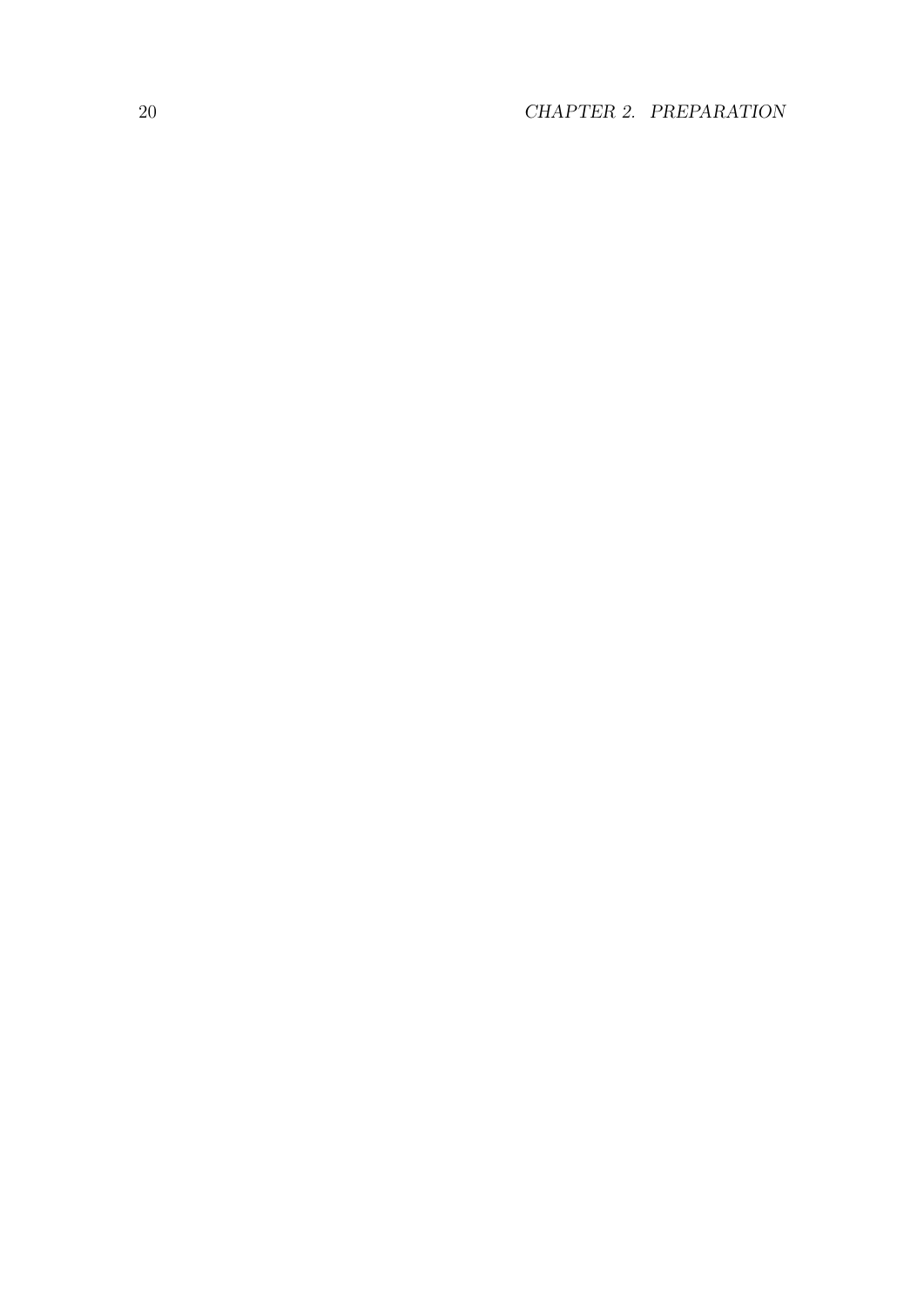CHAPTER 2. PREPARATION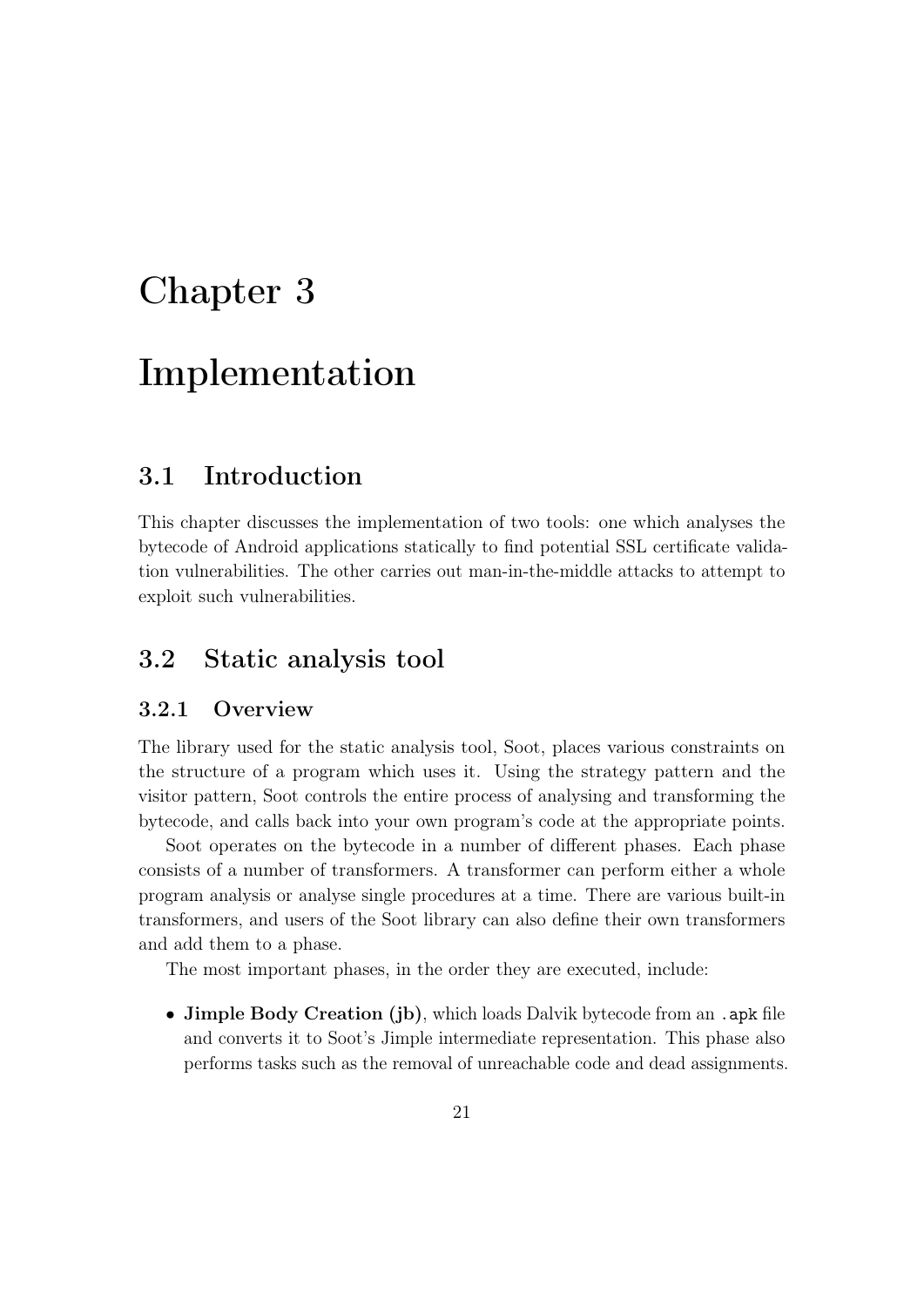## <span id="page-26-0"></span>Chapter 3

## Implementation

## <span id="page-26-1"></span>3.1 Introduction

This chapter discusses the implementation of two tools: one which analyses the bytecode of Android applications statically to find potential SSL certificate validation vulnerabilities. The other carries out man-in-the-middle attacks to attempt to exploit such vulnerabilities.

## <span id="page-26-2"></span>3.2 Static analysis tool

#### <span id="page-26-3"></span>3.2.1 Overview

The library used for the static analysis tool, Soot, places various constraints on the structure of a program which uses it. Using the strategy pattern and the visitor pattern, Soot controls the entire process of analysing and transforming the bytecode, and calls back into your own program's code at the appropriate points.

Soot operates on the bytecode in a number of different phases. Each phase consists of a number of transformers. A transformer can perform either a whole program analysis or analyse single procedures at a time. There are various built-in transformers, and users of the Soot library can also define their own transformers and add them to a phase.

The most important phases, in the order they are executed, include:

• **Jimple Body Creation** (jb), which loads Dalvik bytecode from an .apk file and converts it to Soot's Jimple intermediate representation. This phase also performs tasks such as the removal of unreachable code and dead assignments.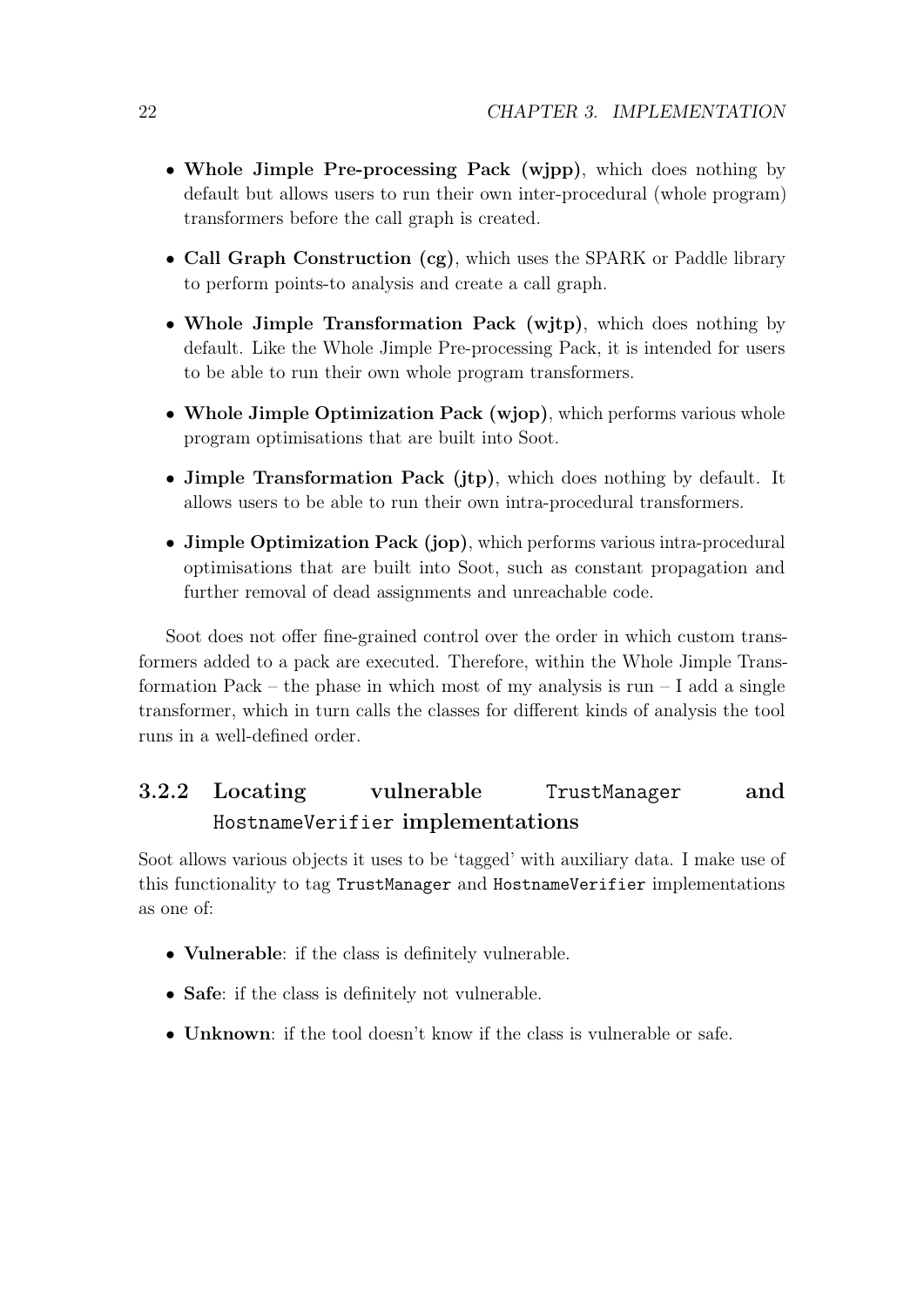- Whole Jimple Pre-processing Pack (wjpp), which does nothing by default but allows users to run their own inter-procedural (whole program) transformers before the call graph is created.
- Call Graph Construction (cg), which uses the SPARK or Paddle library to perform points-to analysis and create a call graph.
- Whole Jimple Transformation Pack (wjtp), which does nothing by default. Like the Whole Jimple Pre-processing Pack, it is intended for users to be able to run their own whole program transformers.
- Whole Jimple Optimization Pack (wjop), which performs various whole program optimisations that are built into Soot.
- Jimple Transformation Pack (jtp), which does nothing by default. It allows users to be able to run their own intra-procedural transformers.
- Jimple Optimization Pack (jop), which performs various intra-procedural optimisations that are built into Soot, such as constant propagation and further removal of dead assignments and unreachable code.

Soot does not offer fine-grained control over the order in which custom transformers added to a pack are executed. Therefore, within the Whole Jimple Transformation Pack – the phase in which most of my analysis is  $run - I$  add a single transformer, which in turn calls the classes for different kinds of analysis the tool runs in a well-defined order.

## <span id="page-27-0"></span>3.2.2 Locating vulnerable TrustManager and HostnameVerifier implementations

Soot allows various objects it uses to be 'tagged' with auxiliary data. I make use of this functionality to tag TrustManager and HostnameVerifier implementations as one of:

- Vulnerable: if the class is definitely vulnerable.
- Safe: if the class is definitely not vulnerable.
- Unknown: if the tool doesn't know if the class is vulnerable or safe.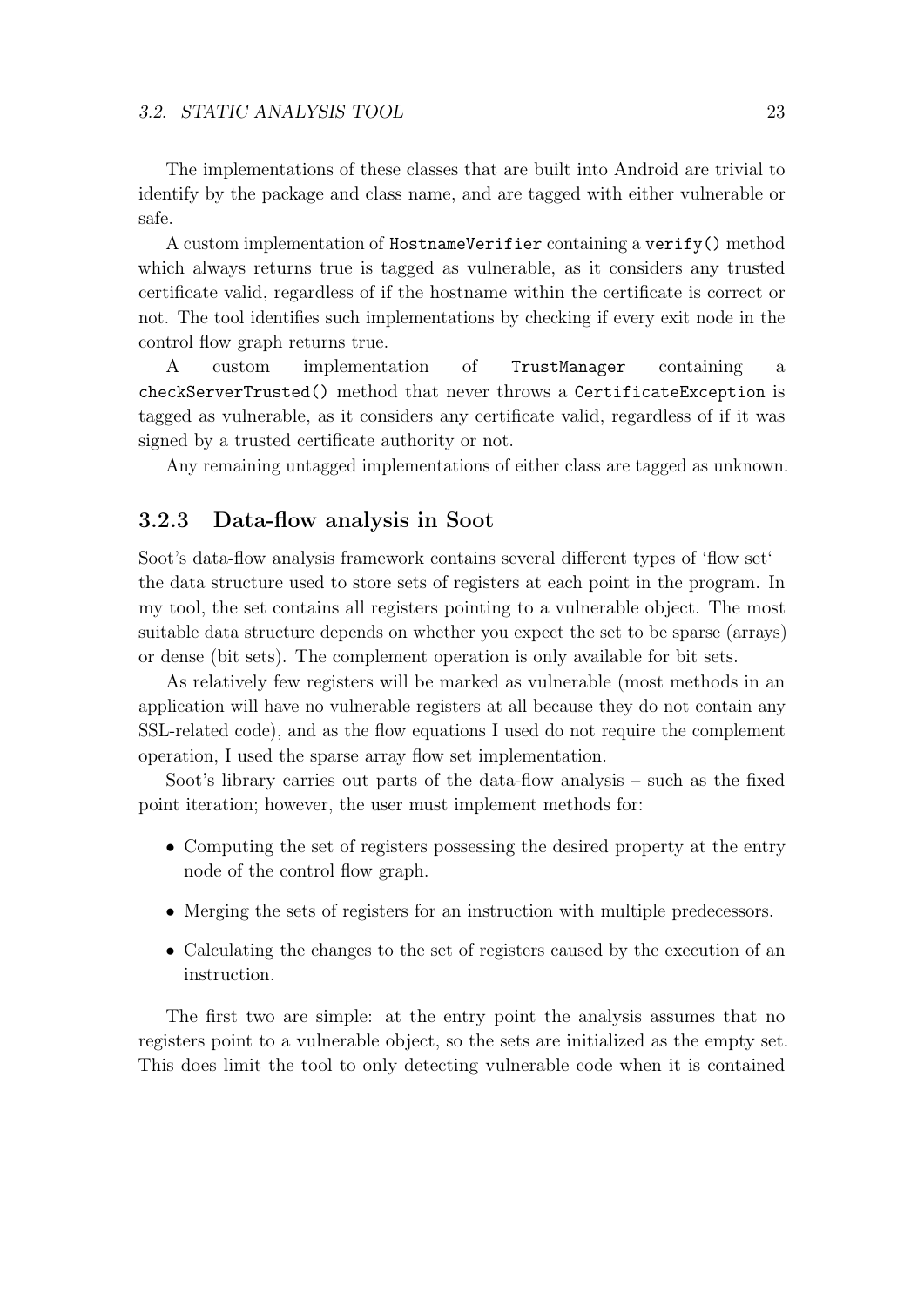The implementations of these classes that are built into Android are trivial to identify by the package and class name, and are tagged with either vulnerable or safe.

A custom implementation of HostnameVerifier containing a verify() method which always returns true is tagged as vulnerable, as it considers any trusted certificate valid, regardless of if the hostname within the certificate is correct or not. The tool identifies such implementations by checking if every exit node in the control flow graph returns true.

A custom implementation of TrustManager containing a checkServerTrusted() method that never throws a CertificateException is tagged as vulnerable, as it considers any certificate valid, regardless of if it was signed by a trusted certificate authority or not.

Any remaining untagged implementations of either class are tagged as unknown.

#### <span id="page-28-0"></span>3.2.3 Data-flow analysis in Soot

Soot's data-flow analysis framework contains several different types of 'flow set' – the data structure used to store sets of registers at each point in the program. In my tool, the set contains all registers pointing to a vulnerable object. The most suitable data structure depends on whether you expect the set to be sparse (arrays) or dense (bit sets). The complement operation is only available for bit sets.

As relatively few registers will be marked as vulnerable (most methods in an application will have no vulnerable registers at all because they do not contain any SSL-related code), and as the flow equations I used do not require the complement operation, I used the sparse array flow set implementation.

Soot's library carries out parts of the data-flow analysis – such as the fixed point iteration; however, the user must implement methods for:

- Computing the set of registers possessing the desired property at the entry node of the control flow graph.
- Merging the sets of registers for an instruction with multiple predecessors.
- Calculating the changes to the set of registers caused by the execution of an instruction.

The first two are simple: at the entry point the analysis assumes that no registers point to a vulnerable object, so the sets are initialized as the empty set. This does limit the tool to only detecting vulnerable code when it is contained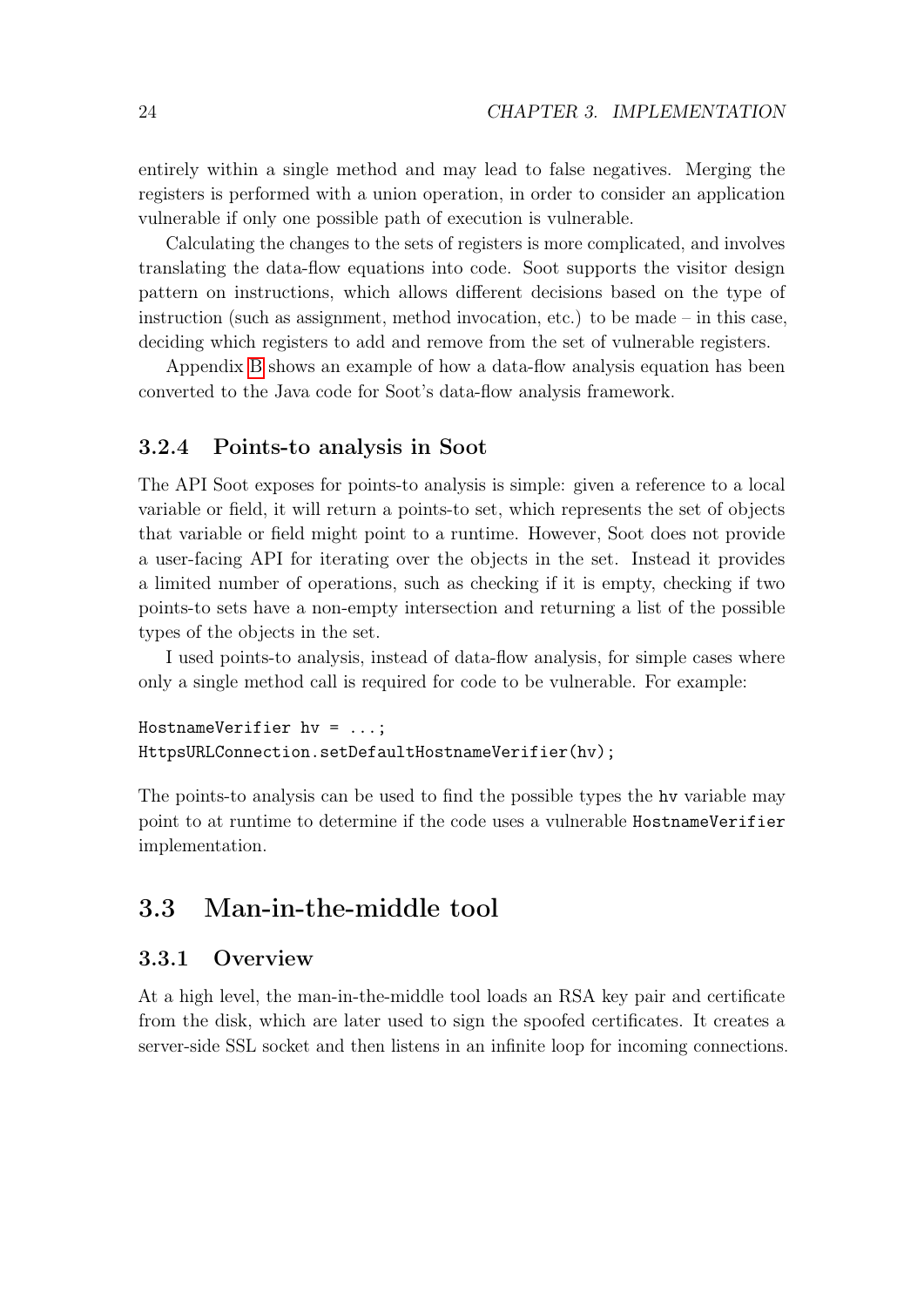entirely within a single method and may lead to false negatives. Merging the registers is performed with a union operation, in order to consider an application vulnerable if only one possible path of execution is vulnerable.

Calculating the changes to the sets of registers is more complicated, and involves translating the data-flow equations into code. Soot supports the visitor design pattern on instructions, which allows different decisions based on the type of instruction (such as assignment, method invocation, etc.) to be made – in this case, deciding which registers to add and remove from the set of vulnerable registers.

Appendix [B](#page-56-0) shows an example of how a data-flow analysis equation has been converted to the Java code for Soot's data-flow analysis framework.

#### <span id="page-29-0"></span>3.2.4 Points-to analysis in Soot

The API Soot exposes for points-to analysis is simple: given a reference to a local variable or field, it will return a points-to set, which represents the set of objects that variable or field might point to a runtime. However, Soot does not provide a user-facing API for iterating over the objects in the set. Instead it provides a limited number of operations, such as checking if it is empty, checking if two points-to sets have a non-empty intersection and returning a list of the possible types of the objects in the set.

I used points-to analysis, instead of data-flow analysis, for simple cases where only a single method call is required for code to be vulnerable. For example:

```
HostnameVerifier hv = ...;
HttpsURLConnection.setDefaultHostnameVerifier(hv);
```
The points-to analysis can be used to find the possible types the hv variable may point to at runtime to determine if the code uses a vulnerable HostnameVerifier implementation.

## <span id="page-29-1"></span>3.3 Man-in-the-middle tool

#### <span id="page-29-2"></span>3.3.1 Overview

At a high level, the man-in-the-middle tool loads an RSA key pair and certificate from the disk, which are later used to sign the spoofed certificates. It creates a server-side SSL socket and then listens in an infinite loop for incoming connections.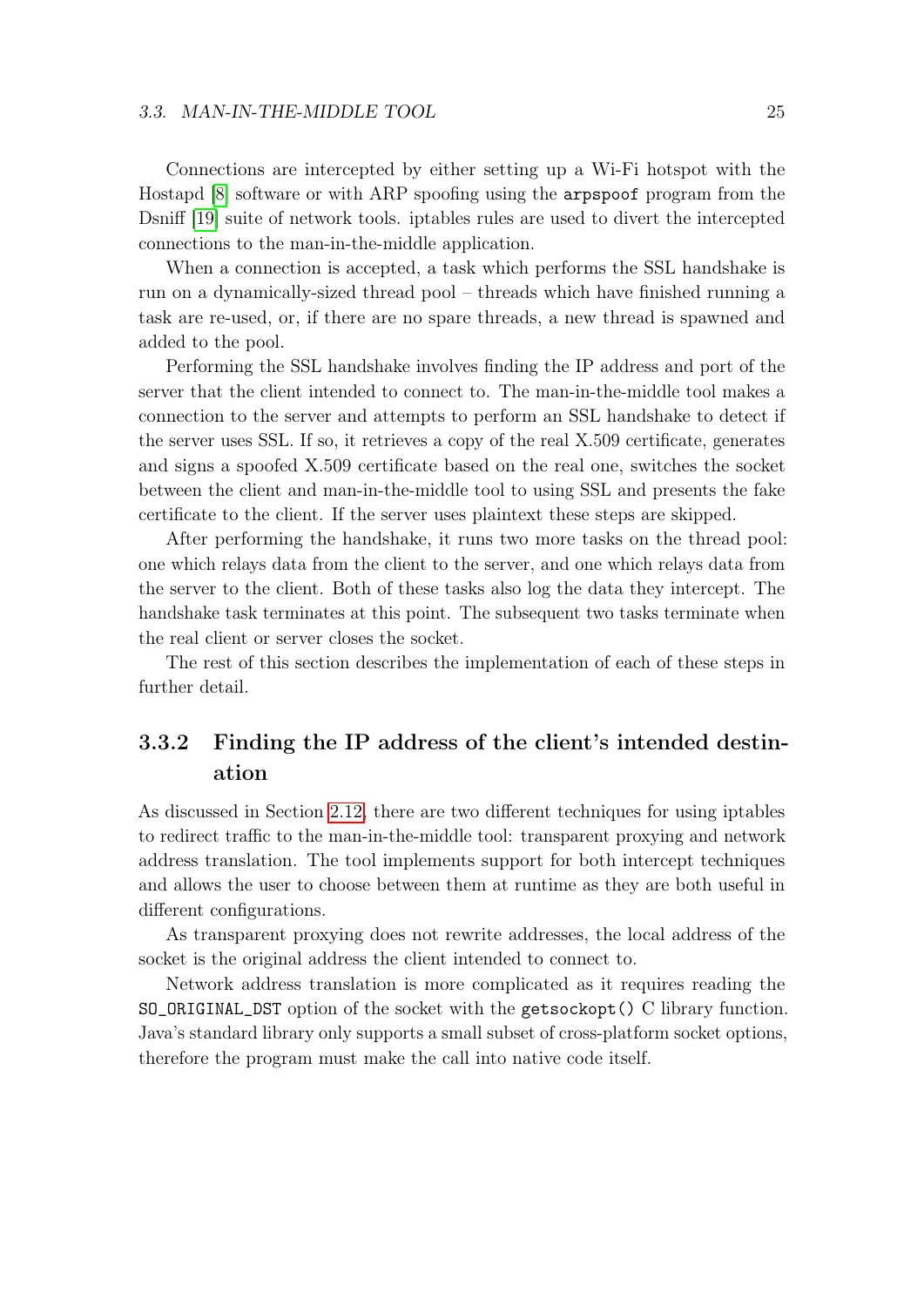#### 3.3. MAN-IN-THE-MIDDLE TOOL 25

Connections are intercepted by either setting up a Wi-Fi hotspot with the Hostapd [\[8\]](#page-50-7) software or with ARP spoofing using the arpspoof program from the Dsniff [\[19\]](#page-51-9) suite of network tools. iptables rules are used to divert the intercepted connections to the man-in-the-middle application.

When a connection is accepted, a task which performs the SSL handshake is run on a dynamically-sized thread pool – threads which have finished running a task are re-used, or, if there are no spare threads, a new thread is spawned and added to the pool.

Performing the SSL handshake involves finding the IP address and port of the server that the client intended to connect to. The man-in-the-middle tool makes a connection to the server and attempts to perform an SSL handshake to detect if the server uses SSL. If so, it retrieves a copy of the real X.509 certificate, generates and signs a spoofed X.509 certificate based on the real one, switches the socket between the client and man-in-the-middle tool to using SSL and presents the fake certificate to the client. If the server uses plaintext these steps are skipped.

After performing the handshake, it runs two more tasks on the thread pool: one which relays data from the client to the server, and one which relays data from the server to the client. Both of these tasks also log the data they intercept. The handshake task terminates at this point. The subsequent two tasks terminate when the real client or server closes the socket.

The rest of this section describes the implementation of each of these steps in further detail.

## <span id="page-30-0"></span>3.3.2 Finding the IP address of the client's intended destination

As discussed in Section [2.12,](#page-21-1) there are two different techniques for using iptables to redirect traffic to the man-in-the-middle tool: transparent proxying and network address translation. The tool implements support for both intercept techniques and allows the user to choose between them at runtime as they are both useful in different configurations.

As transparent proxying does not rewrite addresses, the local address of the socket is the original address the client intended to connect to.

Network address translation is more complicated as it requires reading the SO\_ORIGINAL\_DST option of the socket with the getsockopt() C library function. Java's standard library only supports a small subset of cross-platform socket options, therefore the program must make the call into native code itself.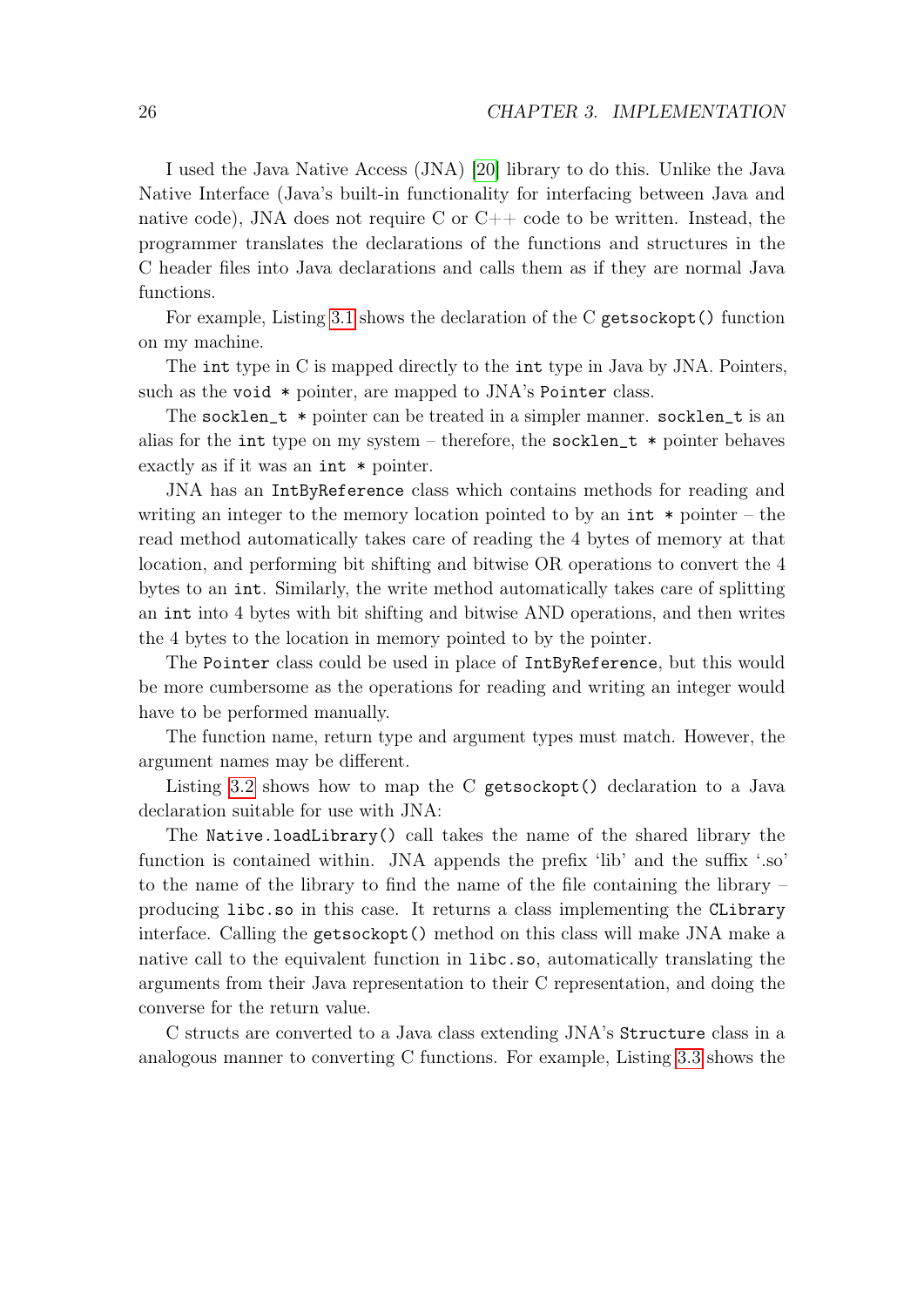I used the Java Native Access (JNA) [\[20\]](#page-51-10) library to do this. Unlike the Java Native Interface (Java's built-in functionality for interfacing between Java and native code), JNA does not require C or  $C_{++}$  code to be written. Instead, the programmer translates the declarations of the functions and structures in the C header files into Java declarations and calls them as if they are normal Java functions.

For example, Listing [3.1](#page-32-0) shows the declaration of the C getsockopt() function on my machine.

The int type in C is mapped directly to the int type in Java by JNA. Pointers, such as the void \* pointer, are mapped to JNA's Pointer class.

The socklen\_t \* pointer can be treated in a simpler manner. socklen\_t is an alias for the int type on my system – therefore, the socklen\_t  $*$  pointer behaves exactly as if it was an int \* pointer.

JNA has an IntByReference class which contains methods for reading and writing an integer to the memory location pointed to by an  $int * pointer - the$ read method automatically takes care of reading the 4 bytes of memory at that location, and performing bit shifting and bitwise OR operations to convert the 4 bytes to an int. Similarly, the write method automatically takes care of splitting an int into 4 bytes with bit shifting and bitwise AND operations, and then writes the 4 bytes to the location in memory pointed to by the pointer.

The Pointer class could be used in place of IntByReference, but this would be more cumbersome as the operations for reading and writing an integer would have to be performed manually.

The function name, return type and argument types must match. However, the argument names may be different.

Listing [3.2](#page-32-1) shows how to map the C getsockopt() declaration to a Java declaration suitable for use with JNA:

The Native.loadLibrary() call takes the name of the shared library the function is contained within. JNA appends the prefix 'lib' and the suffix '.so' to the name of the library to find the name of the file containing the library – producing libc.so in this case. It returns a class implementing the CLibrary interface. Calling the getsockopt() method on this class will make JNA make a native call to the equivalent function in libc.so, automatically translating the arguments from their Java representation to their C representation, and doing the converse for the return value.

C structs are converted to a Java class extending JNA's Structure class in a analogous manner to converting C functions. For example, Listing [3.3](#page-32-2) shows the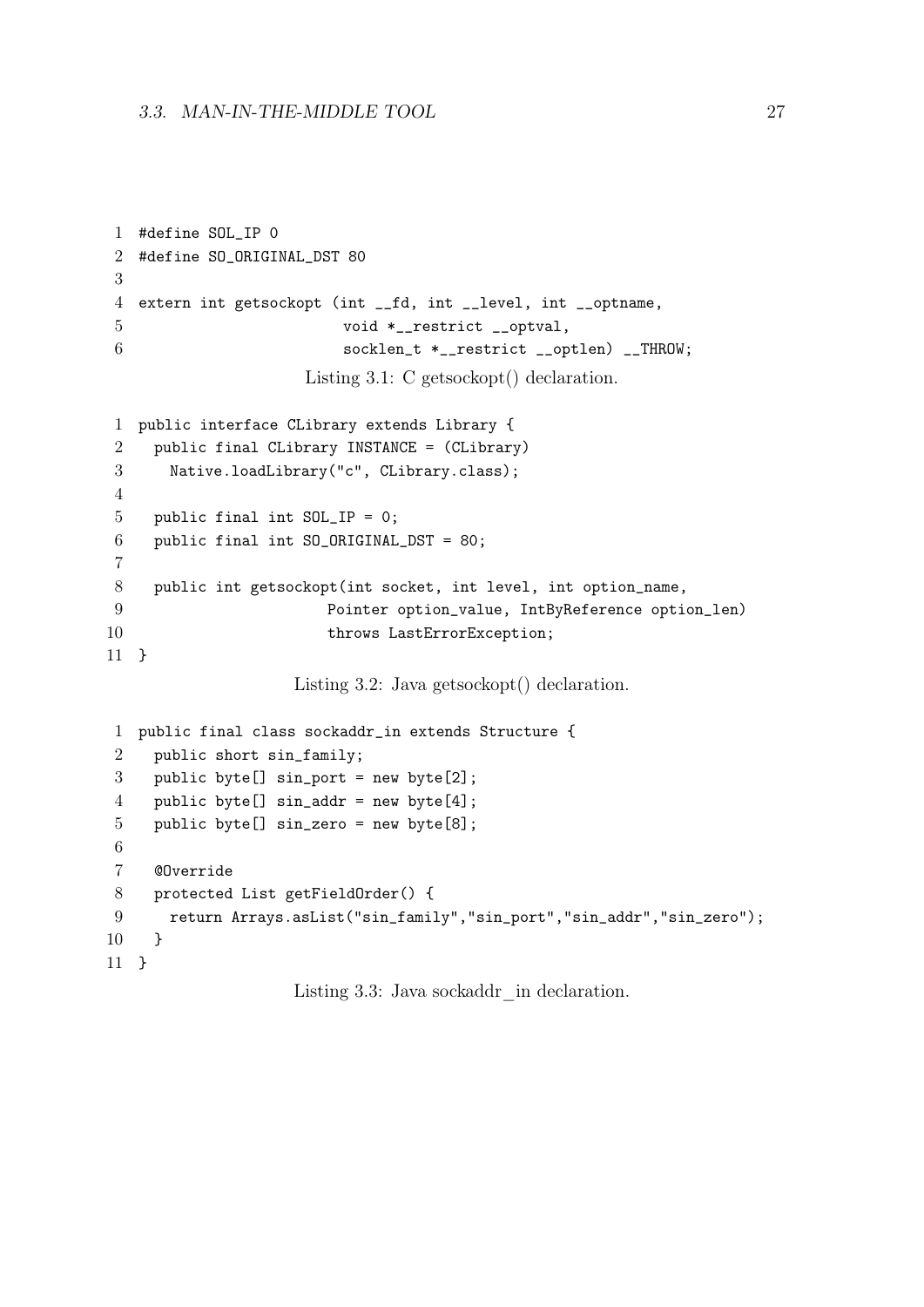```
1 #define SOL_IP 0
2 #define SO_ORIGINAL_DST 80
3
4 extern int getsockopt (int __fd, int __level, int __optname,
5 void *__restrict __optval,
6 socklen_t *__restrict __optlen) __THROW;
                    Listing 3.1: C getsockopt() declaration.
1 public interface CLibrary extends Library {
2 public final CLibrary INSTANCE = (CLibrary)
3 Native.loadLibrary("c", CLibrary.class);
4
5 public final int SOL_IP = 0;
6 public final int SO_0RIGINAL_DST = 80;
7
8 public int getsockopt(int socket, int level, int option_name,
9 Pointer option_value, IntByReference option_len)
10 throws LastErrorException;
11 }
                   Listing 3.2: Java getsockopt() declaration.
1 public final class sockaddr_in extends Structure {
2 public short sin_family;
3 public byte[] sin_port = new byte[2];
4 public byte[] sin\_addr = new byte[4];
5 public byte[] sin_zero = new byte[8];
6
7 @Override
8 protected List getFieldOrder() {
9 return Arrays.asList("sin_family","sin_port","sin_addr","sin_zero");
10 }
11 }
```

```
Listing 3.3: Java sockaddr in declaration.
```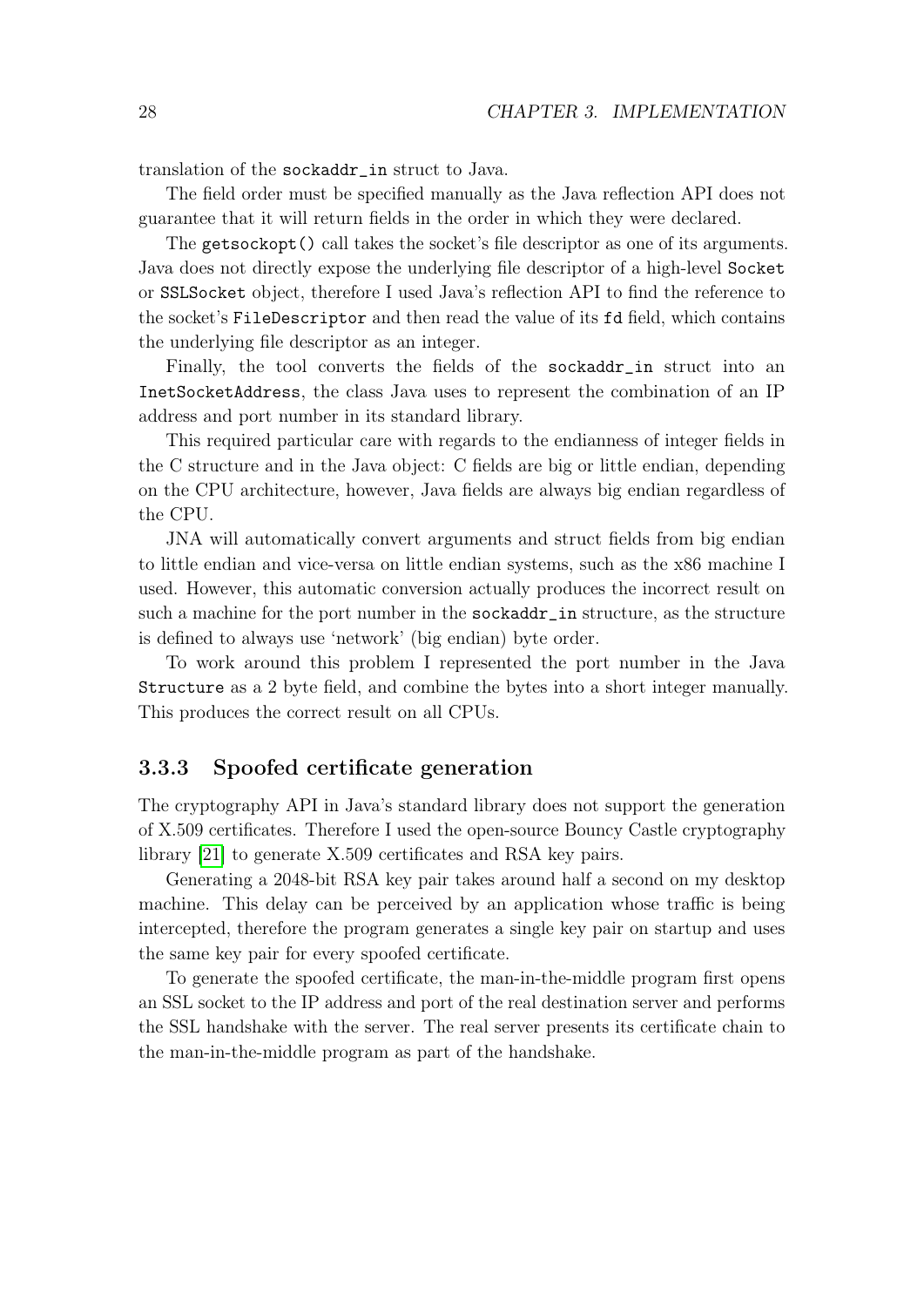translation of the sockaddr\_in struct to Java.

The field order must be specified manually as the Java reflection API does not guarantee that it will return fields in the order in which they were declared.

The getsockopt() call takes the socket's file descriptor as one of its arguments. Java does not directly expose the underlying file descriptor of a high-level Socket or SSLSocket object, therefore I used Java's reflection API to find the reference to the socket's FileDescriptor and then read the value of its fd field, which contains the underlying file descriptor as an integer.

Finally, the tool converts the fields of the sockaddr\_in struct into an InetSocketAddress, the class Java uses to represent the combination of an IP address and port number in its standard library.

This required particular care with regards to the endianness of integer fields in the C structure and in the Java object: C fields are big or little endian, depending on the CPU architecture, however, Java fields are always big endian regardless of the CPU.

JNA will automatically convert arguments and struct fields from big endian to little endian and vice-versa on little endian systems, such as the x86 machine I used. However, this automatic conversion actually produces the incorrect result on such a machine for the port number in the sockaddr\_in structure, as the structure is defined to always use 'network' (big endian) byte order.

To work around this problem I represented the port number in the Java Structure as a 2 byte field, and combine the bytes into a short integer manually. This produces the correct result on all CPUs.

#### <span id="page-33-0"></span>3.3.3 Spoofed certificate generation

The cryptography API in Java's standard library does not support the generation of X.509 certificates. Therefore I used the open-source Bouncy Castle cryptography library [\[21\]](#page-51-11) to generate X.509 certificates and RSA key pairs.

Generating a 2048-bit RSA key pair takes around half a second on my desktop machine. This delay can be perceived by an application whose traffic is being intercepted, therefore the program generates a single key pair on startup and uses the same key pair for every spoofed certificate.

To generate the spoofed certificate, the man-in-the-middle program first opens an SSL socket to the IP address and port of the real destination server and performs the SSL handshake with the server. The real server presents its certificate chain to the man-in-the-middle program as part of the handshake.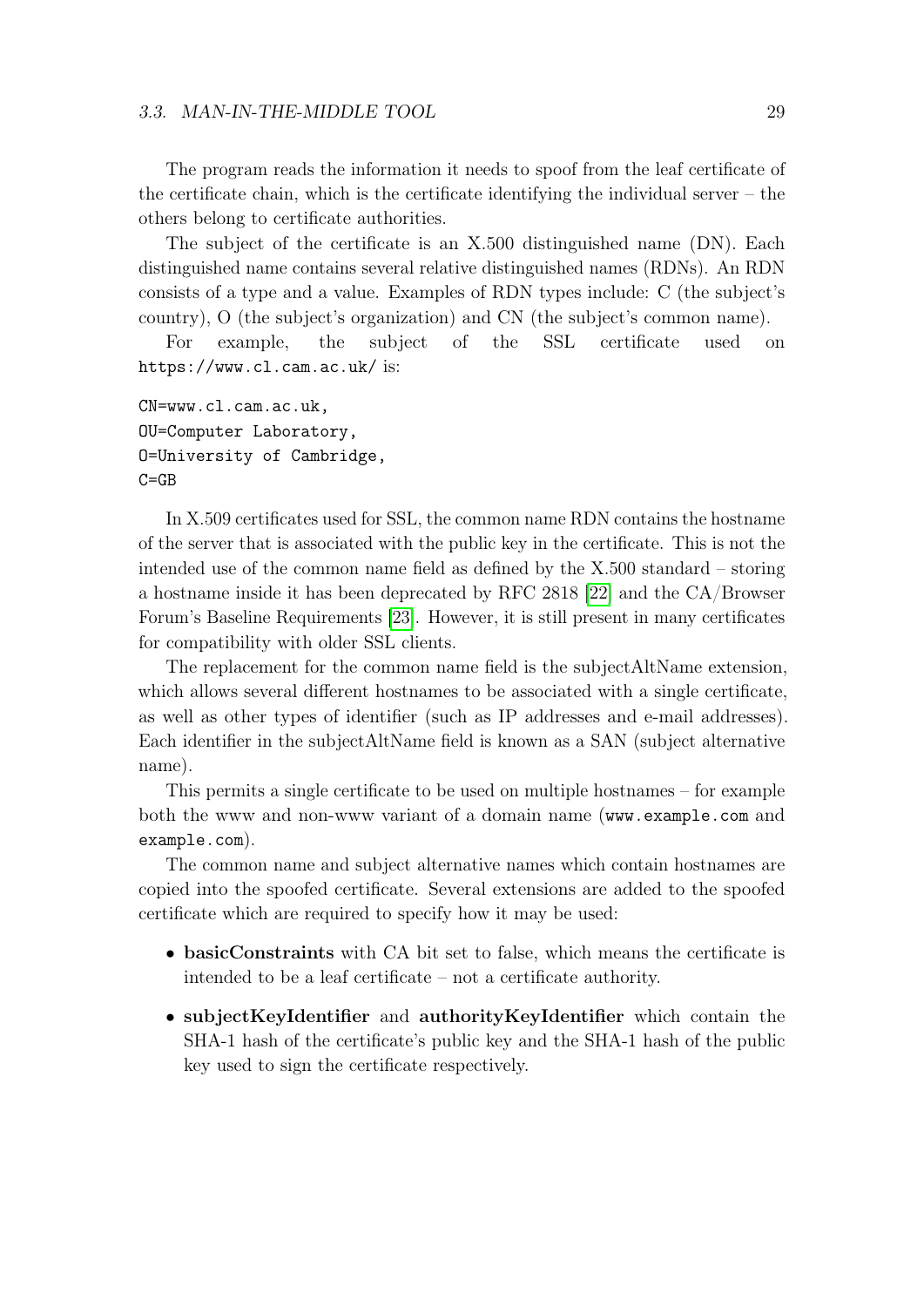#### 3.3. MAN-IN-THE-MIDDLE TOOL 29

The program reads the information it needs to spoof from the leaf certificate of the certificate chain, which is the certificate identifying the individual server – the others belong to certificate authorities.

The subject of the certificate is an X.500 distinguished name (DN). Each distinguished name contains several relative distinguished names (RDNs). An RDN consists of a type and a value. Examples of RDN types include: C (the subject's country), O (the subject's organization) and CN (the subject's common name).

```
For example, the subject of the SSL certificate used on
https://www.cl.cam.ac.uk/ is:
```

```
CN=www.cl.cam.ac.uk,
OU=Computer Laboratory,
O=University of Cambridge,
C=GB
```
In X.509 certificates used for SSL, the common name RDN contains the hostname of the server that is associated with the public key in the certificate. This is not the intended use of the common name field as defined by the X.500 standard – storing a hostname inside it has been deprecated by RFC 2818 [\[22\]](#page-51-12) and the CA/Browser Forum's Baseline Requirements [\[23\]](#page-52-0). However, it is still present in many certificates for compatibility with older SSL clients.

The replacement for the common name field is the subjectAltName extension, which allows several different hostnames to be associated with a single certificate, as well as other types of identifier (such as IP addresses and e-mail addresses). Each identifier in the subjectAltName field is known as a SAN (subject alternative name).

This permits a single certificate to be used on multiple hostnames – for example both the www and non-www variant of a domain name (www.example.com and example.com).

The common name and subject alternative names which contain hostnames are copied into the spoofed certificate. Several extensions are added to the spoofed certificate which are required to specify how it may be used:

- basicConstraints with CA bit set to false, which means the certificate is intended to be a leaf certificate – not a certificate authority.
- subjectKeyIdentifier and authorityKeyIdentifier which contain the SHA-1 hash of the certificate's public key and the SHA-1 hash of the public key used to sign the certificate respectively.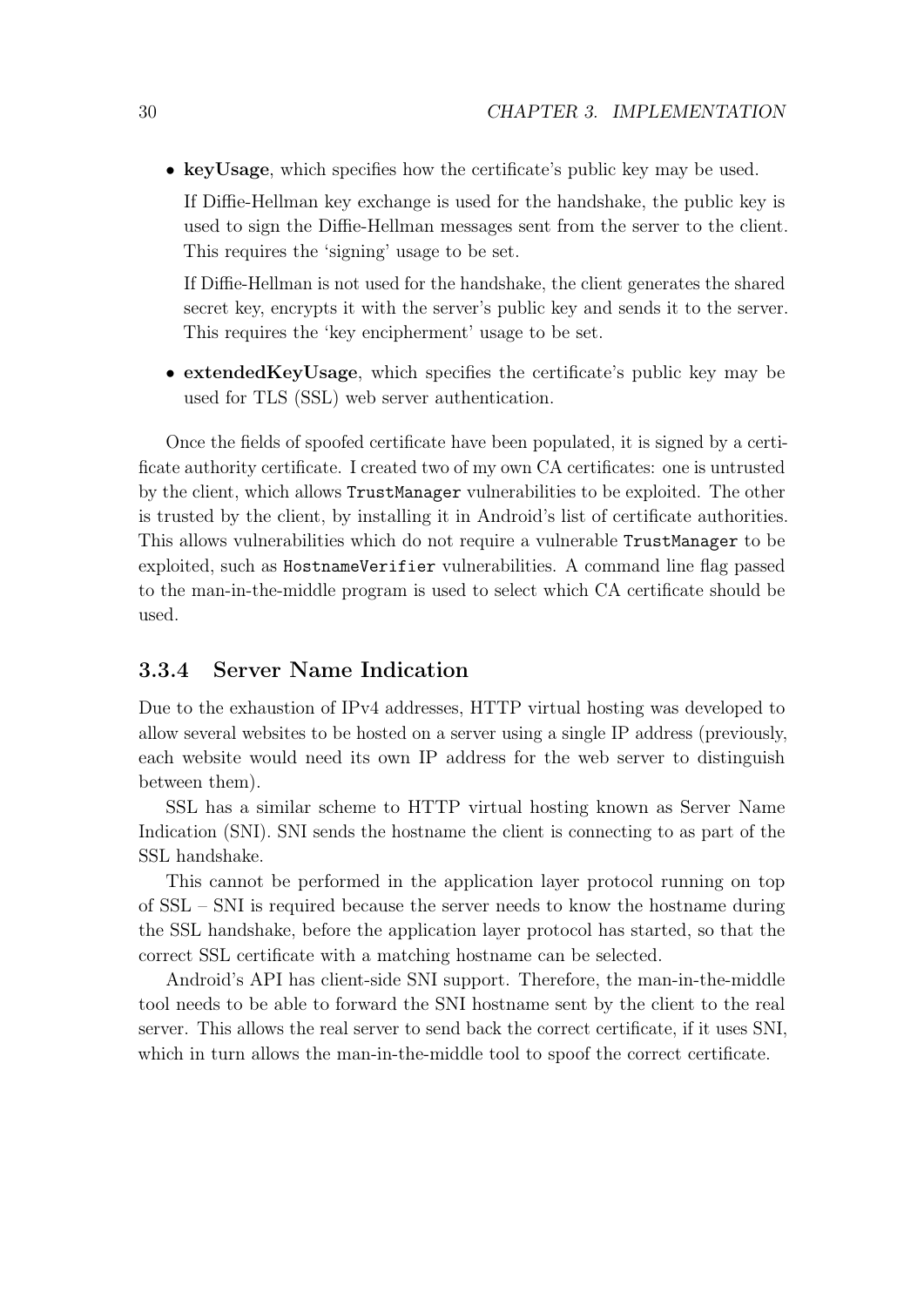• key Usage, which specifies how the certificate's public key may be used.

If Diffie-Hellman key exchange is used for the handshake, the public key is used to sign the Diffie-Hellman messages sent from the server to the client. This requires the 'signing' usage to be set.

If Diffie-Hellman is not used for the handshake, the client generates the shared secret key, encrypts it with the server's public key and sends it to the server. This requires the 'key encipherment' usage to be set.

• extended Key Usage, which specifies the certificate's public key may be used for TLS (SSL) web server authentication.

Once the fields of spoofed certificate have been populated, it is signed by a certificate authority certificate. I created two of my own CA certificates: one is untrusted by the client, which allows TrustManager vulnerabilities to be exploited. The other is trusted by the client, by installing it in Android's list of certificate authorities. This allows vulnerabilities which do not require a vulnerable TrustManager to be exploited, such as HostnameVerifier vulnerabilities. A command line flag passed to the man-in-the-middle program is used to select which CA certificate should be used.

#### <span id="page-35-0"></span>3.3.4 Server Name Indication

Due to the exhaustion of IPv4 addresses, HTTP virtual hosting was developed to allow several websites to be hosted on a server using a single IP address (previously, each website would need its own IP address for the web server to distinguish between them).

SSL has a similar scheme to HTTP virtual hosting known as Server Name Indication (SNI). SNI sends the hostname the client is connecting to as part of the SSL handshake.

This cannot be performed in the application layer protocol running on top of SSL – SNI is required because the server needs to know the hostname during the SSL handshake, before the application layer protocol has started, so that the correct SSL certificate with a matching hostname can be selected.

Android's API has client-side SNI support. Therefore, the man-in-the-middle tool needs to be able to forward the SNI hostname sent by the client to the real server. This allows the real server to send back the correct certificate, if it uses SNI, which in turn allows the man-in-the-middle tool to spoof the correct certificate.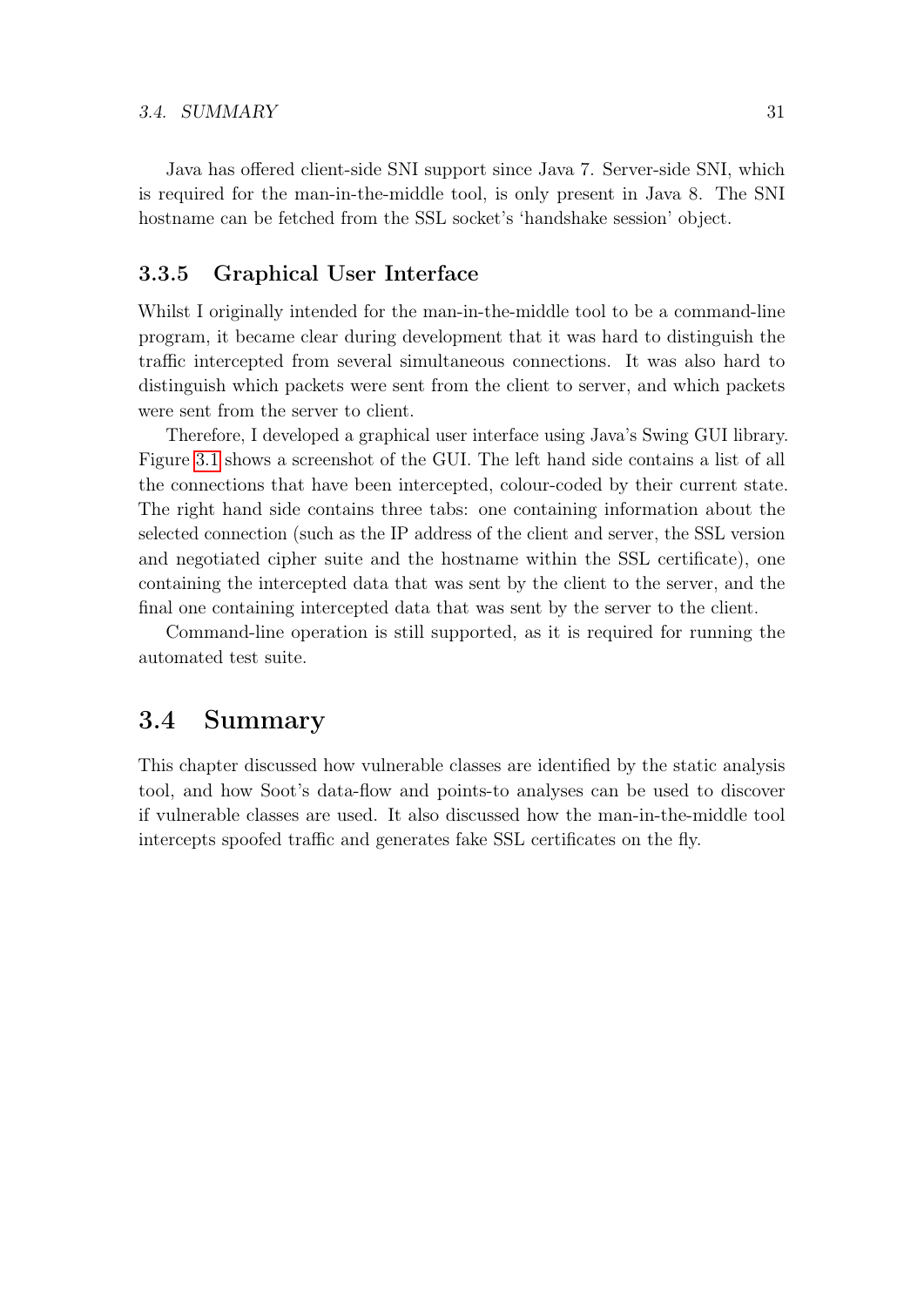Java has offered client-side SNI support since Java 7. Server-side SNI, which is required for the man-in-the-middle tool, is only present in Java 8. The SNI hostname can be fetched from the SSL socket's 'handshake session' object.

#### <span id="page-36-0"></span>3.3.5 Graphical User Interface

Whilst I originally intended for the man-in-the-middle tool to be a command-line program, it became clear during development that it was hard to distinguish the traffic intercepted from several simultaneous connections. It was also hard to distinguish which packets were sent from the client to server, and which packets were sent from the server to client.

Therefore, I developed a graphical user interface using Java's Swing GUI library. Figure [3.1](#page-37-0) shows a screenshot of the GUI. The left hand side contains a list of all the connections that have been intercepted, colour-coded by their current state. The right hand side contains three tabs: one containing information about the selected connection (such as the IP address of the client and server, the SSL version and negotiated cipher suite and the hostname within the SSL certificate), one containing the intercepted data that was sent by the client to the server, and the final one containing intercepted data that was sent by the server to the client.

Command-line operation is still supported, as it is required for running the automated test suite.

### <span id="page-36-1"></span>3.4 Summary

This chapter discussed how vulnerable classes are identified by the static analysis tool, and how Soot's data-flow and points-to analyses can be used to discover if vulnerable classes are used. It also discussed how the man-in-the-middle tool intercepts spoofed traffic and generates fake SSL certificates on the fly.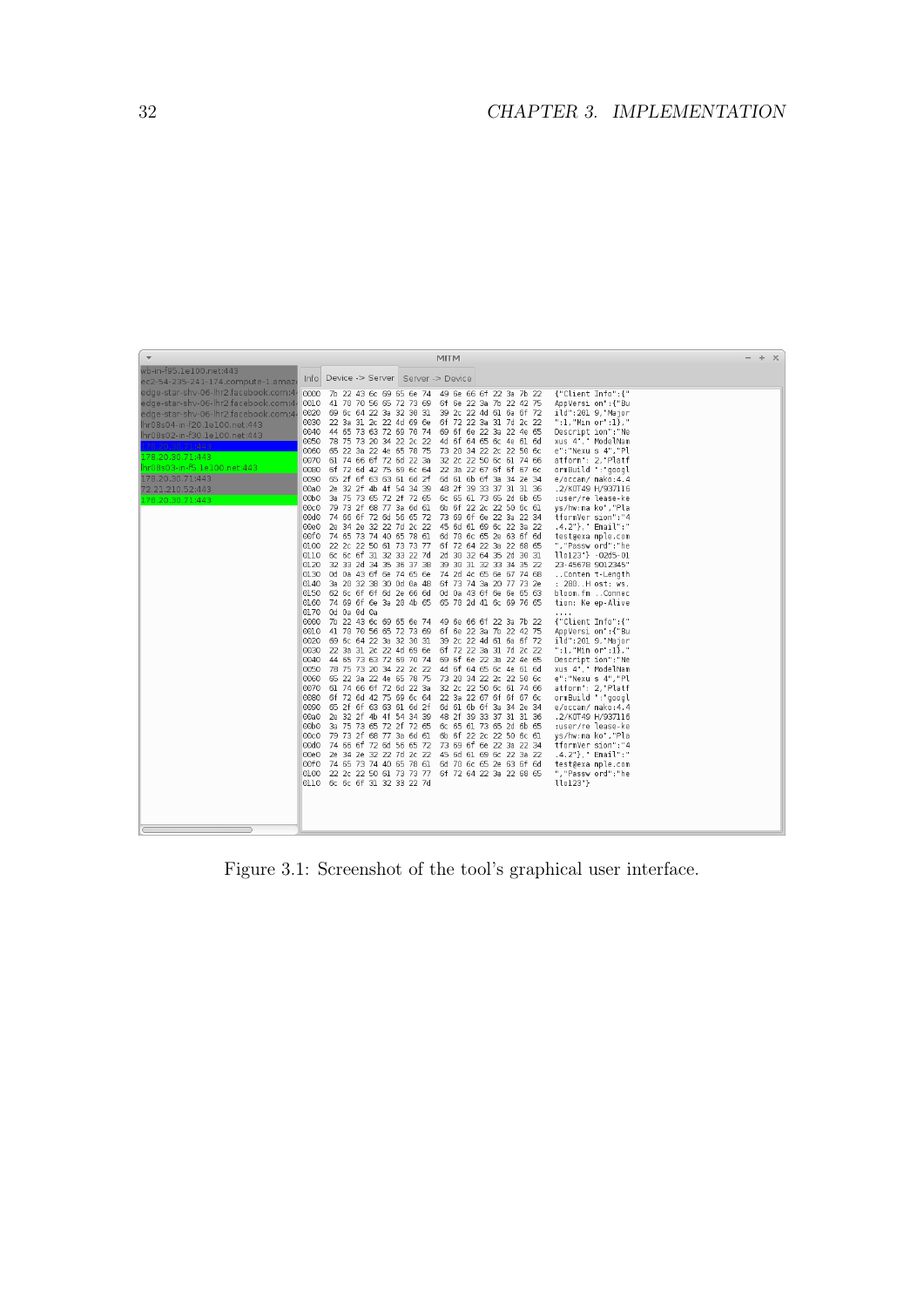

<span id="page-37-0"></span>Figure 3.1: Screenshot of the tool's graphical user interface.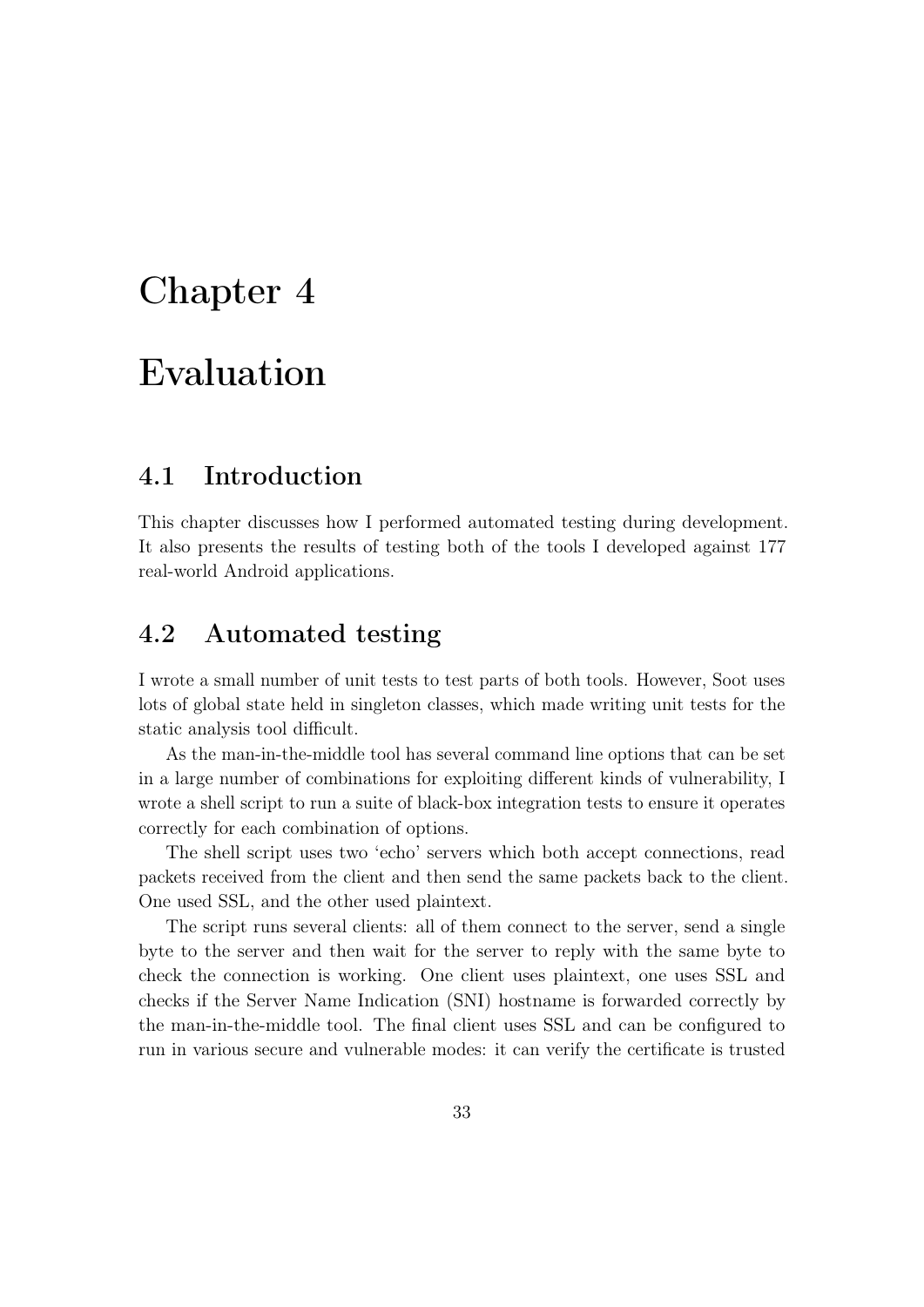# <span id="page-38-0"></span>Chapter 4

## Evaluation

## <span id="page-38-1"></span>4.1 Introduction

This chapter discusses how I performed automated testing during development. It also presents the results of testing both of the tools I developed against 177 real-world Android applications.

## <span id="page-38-2"></span>4.2 Automated testing

I wrote a small number of unit tests to test parts of both tools. However, Soot uses lots of global state held in singleton classes, which made writing unit tests for the static analysis tool difficult.

As the man-in-the-middle tool has several command line options that can be set in a large number of combinations for exploiting different kinds of vulnerability, I wrote a shell script to run a suite of black-box integration tests to ensure it operates correctly for each combination of options.

The shell script uses two 'echo' servers which both accept connections, read packets received from the client and then send the same packets back to the client. One used SSL, and the other used plaintext.

The script runs several clients: all of them connect to the server, send a single byte to the server and then wait for the server to reply with the same byte to check the connection is working. One client uses plaintext, one uses SSL and checks if the Server Name Indication (SNI) hostname is forwarded correctly by the man-in-the-middle tool. The final client uses SSL and can be configured to run in various secure and vulnerable modes: it can verify the certificate is trusted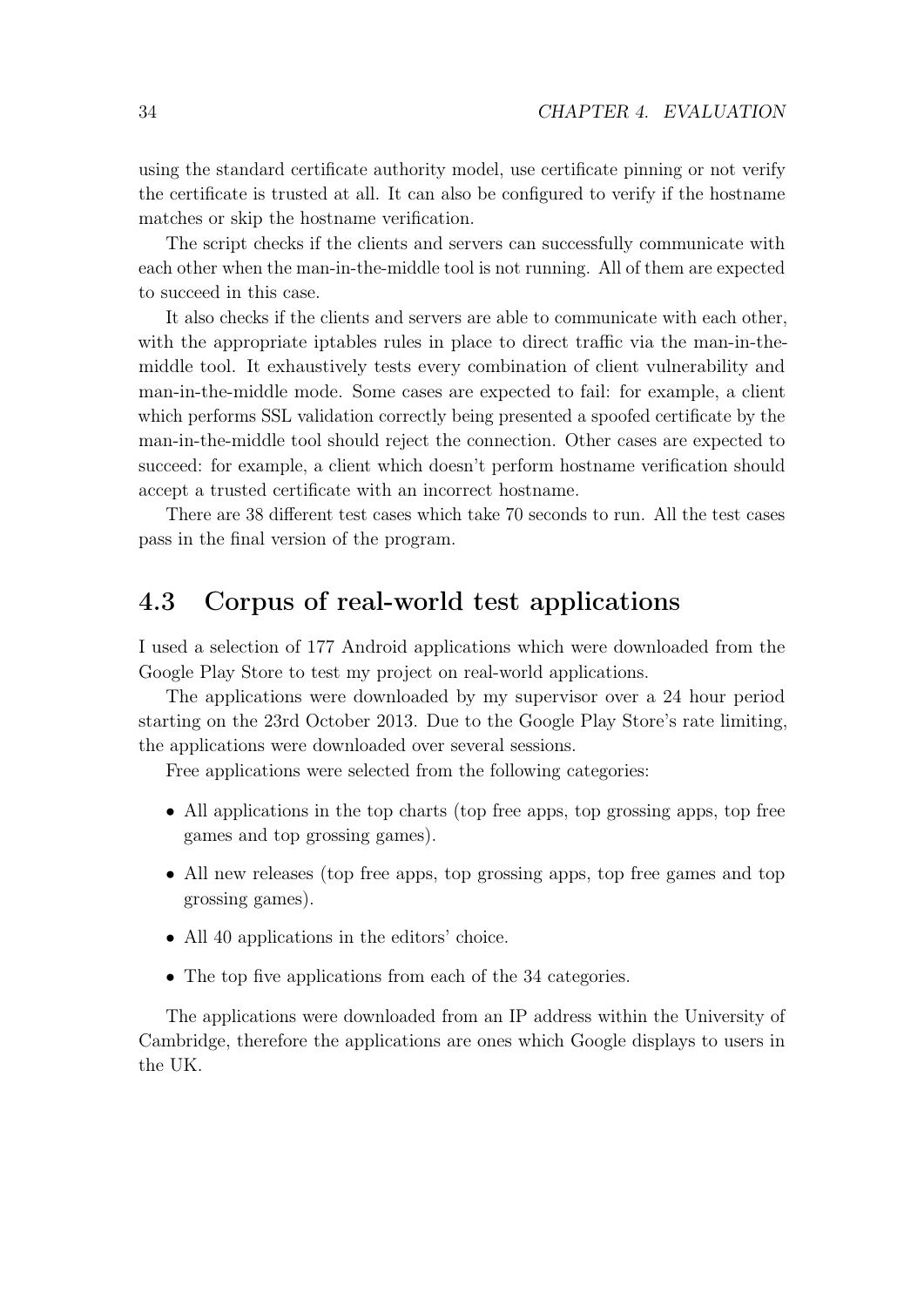using the standard certificate authority model, use certificate pinning or not verify the certificate is trusted at all. It can also be configured to verify if the hostname matches or skip the hostname verification.

The script checks if the clients and servers can successfully communicate with each other when the man-in-the-middle tool is not running. All of them are expected to succeed in this case.

It also checks if the clients and servers are able to communicate with each other, with the appropriate iptables rules in place to direct traffic via the man-in-themiddle tool. It exhaustively tests every combination of client vulnerability and man-in-the-middle mode. Some cases are expected to fail: for example, a client which performs SSL validation correctly being presented a spoofed certificate by the man-in-the-middle tool should reject the connection. Other cases are expected to succeed: for example, a client which doesn't perform hostname verification should accept a trusted certificate with an incorrect hostname.

There are 38 different test cases which take 70 seconds to run. All the test cases pass in the final version of the program.

## <span id="page-39-0"></span>4.3 Corpus of real-world test applications

I used a selection of 177 Android applications which were downloaded from the Google Play Store to test my project on real-world applications.

The applications were downloaded by my supervisor over a 24 hour period starting on the 23rd October 2013. Due to the Google Play Store's rate limiting, the applications were downloaded over several sessions.

Free applications were selected from the following categories:

- All applications in the top charts (top free apps, top grossing apps, top free games and top grossing games).
- All new releases (top free apps, top grossing apps, top free games and top grossing games).
- All 40 applications in the editors' choice.
- The top five applications from each of the 34 categories.

The applications were downloaded from an IP address within the University of Cambridge, therefore the applications are ones which Google displays to users in the UK.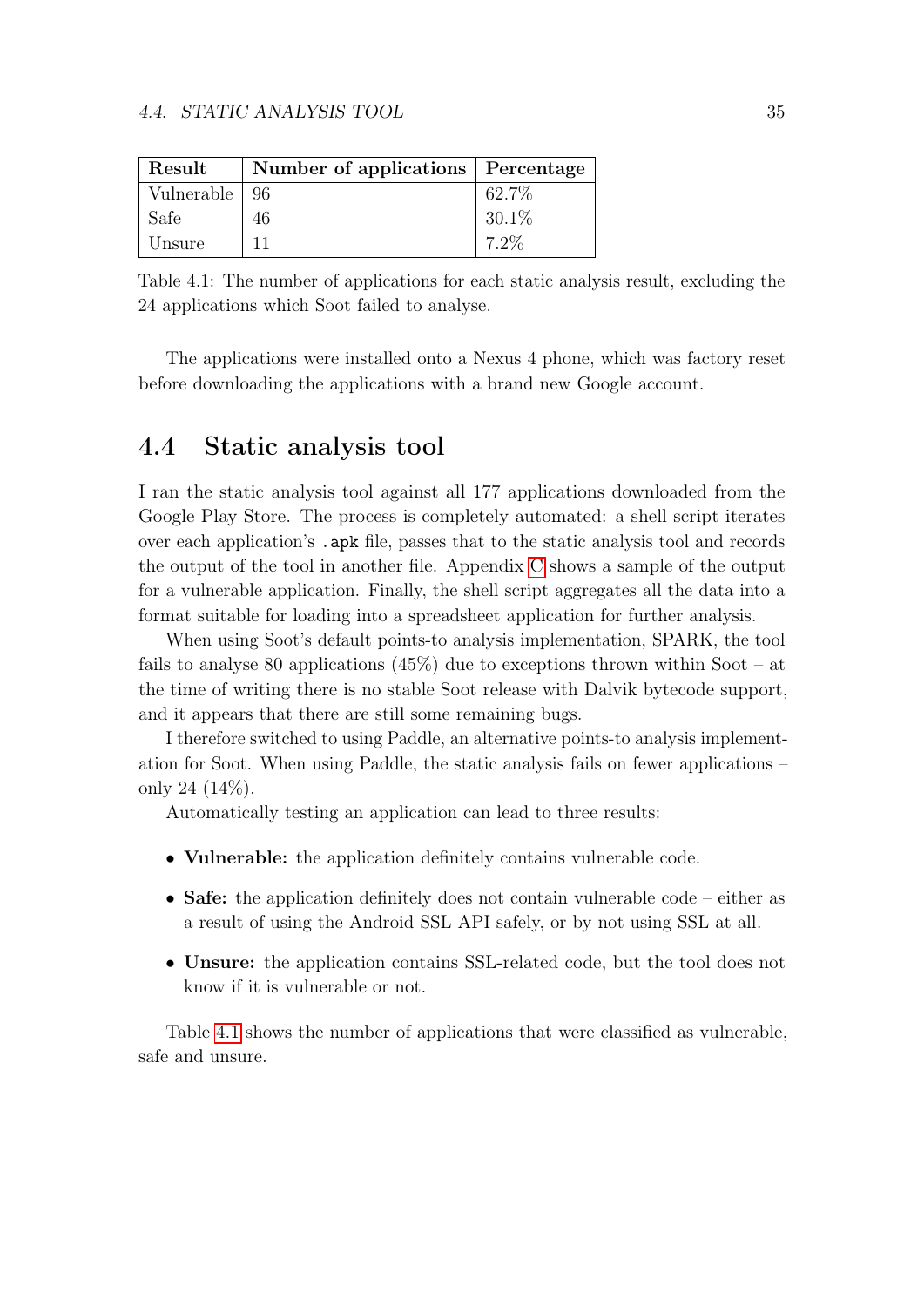| Result          | Number of applications   Percentage |          |
|-----------------|-------------------------------------|----------|
| Vulnerable   96 |                                     | 62.7%    |
| Safe            | 46                                  | $30.1\%$ |
| Unsure          |                                     | 7.2%     |

<span id="page-40-1"></span>Table 4.1: The number of applications for each static analysis result, excluding the 24 applications which Soot failed to analyse.

The applications were installed onto a Nexus 4 phone, which was factory reset before downloading the applications with a brand new Google account.

### <span id="page-40-0"></span>4.4 Static analysis tool

I ran the static analysis tool against all 177 applications downloaded from the Google Play Store. The process is completely automated: a shell script iterates over each application's .apk file, passes that to the static analysis tool and records the output of the tool in another file. Appendix [C](#page-58-0) shows a sample of the output for a vulnerable application. Finally, the shell script aggregates all the data into a format suitable for loading into a spreadsheet application for further analysis.

When using Soot's default points-to analysis implementation, SPARK, the tool fails to analyse 80 applications  $(45\%)$  due to exceptions thrown within Soot – at the time of writing there is no stable Soot release with Dalvik bytecode support, and it appears that there are still some remaining bugs.

I therefore switched to using Paddle, an alternative points-to analysis implementation for Soot. When using Paddle, the static analysis fails on fewer applications – only 24 (14%).

Automatically testing an application can lead to three results:

- Vulnerable: the application definitely contains vulnerable code.
- Safe: the application definitely does not contain vulnerable code either as a result of using the Android SSL API safely, or by not using SSL at all.
- Unsure: the application contains SSL-related code, but the tool does not know if it is vulnerable or not.

Table [4.1](#page-40-1) shows the number of applications that were classified as vulnerable, safe and unsure.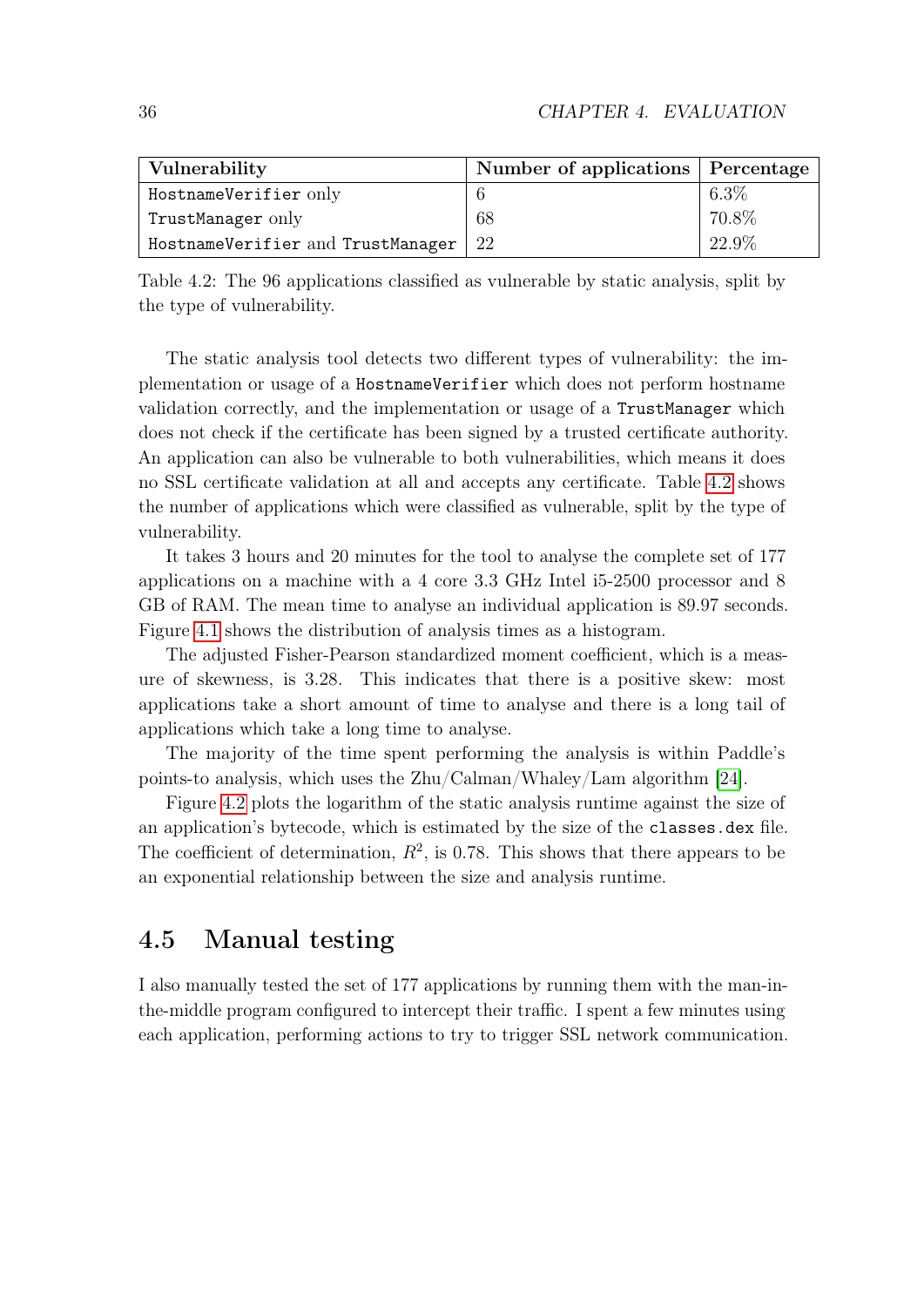| Vulnerability                     | Number of applications   Percentage |         |  |
|-----------------------------------|-------------------------------------|---------|--|
| HostnameVerifier only             |                                     | $6.3\%$ |  |
| TrustManager only                 | 68                                  | 70.8%   |  |
| HostnameVerifier and TrustManager | 22                                  | 22.9%   |  |

<span id="page-41-1"></span>Table 4.2: The 96 applications classified as vulnerable by static analysis, split by the type of vulnerability.

The static analysis tool detects two different types of vulnerability: the implementation or usage of a HostnameVerifier which does not perform hostname validation correctly, and the implementation or usage of a TrustManager which does not check if the certificate has been signed by a trusted certificate authority. An application can also be vulnerable to both vulnerabilities, which means it does no SSL certificate validation at all and accepts any certificate. Table [4.2](#page-41-1) shows the number of applications which were classified as vulnerable, split by the type of vulnerability.

It takes 3 hours and 20 minutes for the tool to analyse the complete set of 177 applications on a machine with a 4 core 3.3 GHz Intel i5-2500 processor and 8 GB of RAM. The mean time to analyse an individual application is 89.97 seconds. Figure [4.1](#page-42-0) shows the distribution of analysis times as a histogram.

The adjusted Fisher-Pearson standardized moment coefficient, which is a measure of skewness, is 3.28. This indicates that there is a positive skew: most applications take a short amount of time to analyse and there is a long tail of applications which take a long time to analyse.

The majority of the time spent performing the analysis is within Paddle's points-to analysis, which uses the Zhu/Calman/Whaley/Lam algorithm [\[24\]](#page-52-1).

Figure [4.2](#page-43-0) plots the logarithm of the static analysis runtime against the size of an application's bytecode, which is estimated by the size of the classes.dex file. The coefficient of determination,  $R^2$ , is 0.78. This shows that there appears to be an exponential relationship between the size and analysis runtime.

### <span id="page-41-0"></span>4.5 Manual testing

I also manually tested the set of 177 applications by running them with the man-inthe-middle program configured to intercept their traffic. I spent a few minutes using each application, performing actions to try to trigger SSL network communication.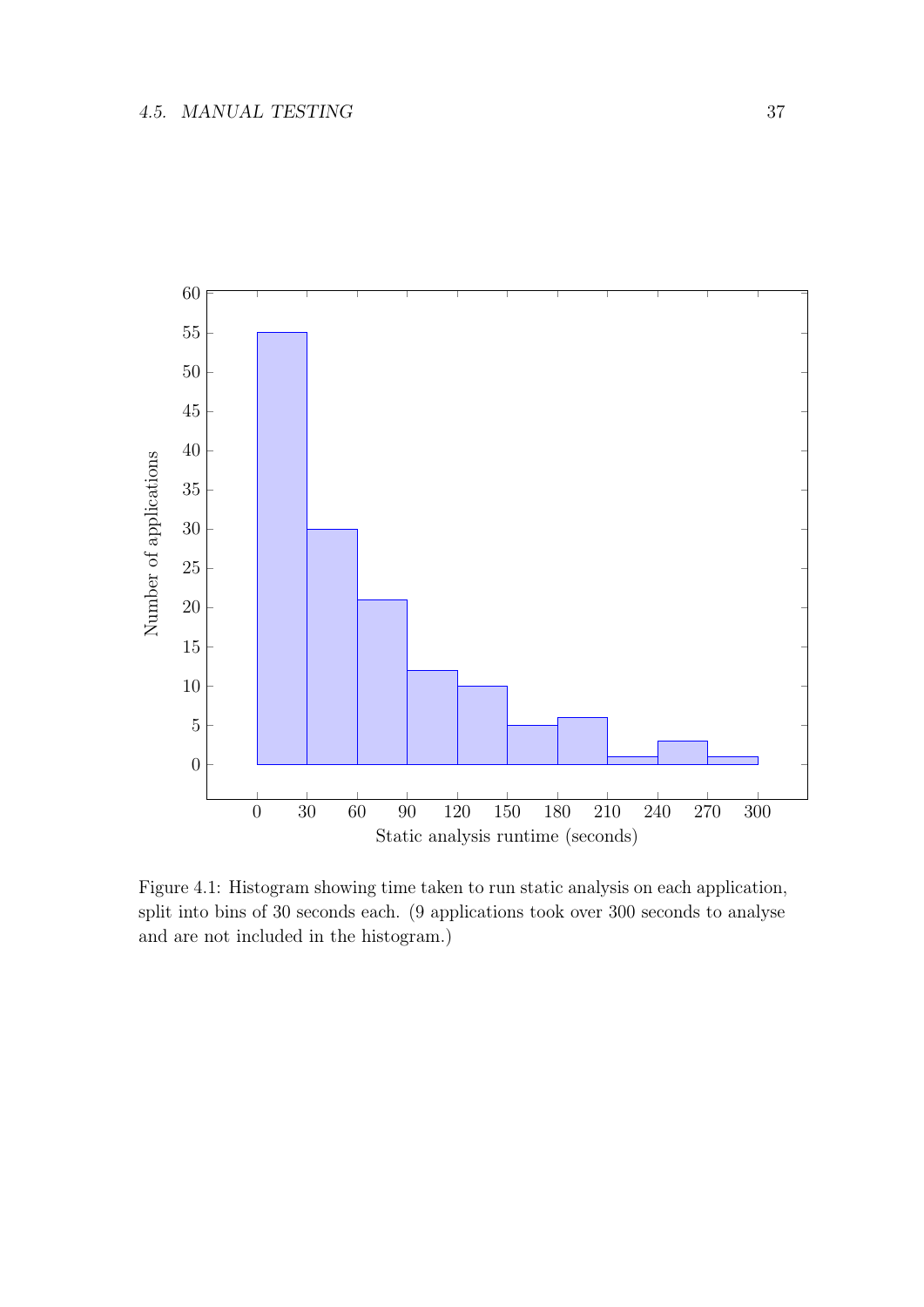

<span id="page-42-0"></span>Figure 4.1: Histogram showing time taken to run static analysis on each application, split into bins of 30 seconds each. (9 applications took over 300 seconds to analyse and are not included in the histogram.)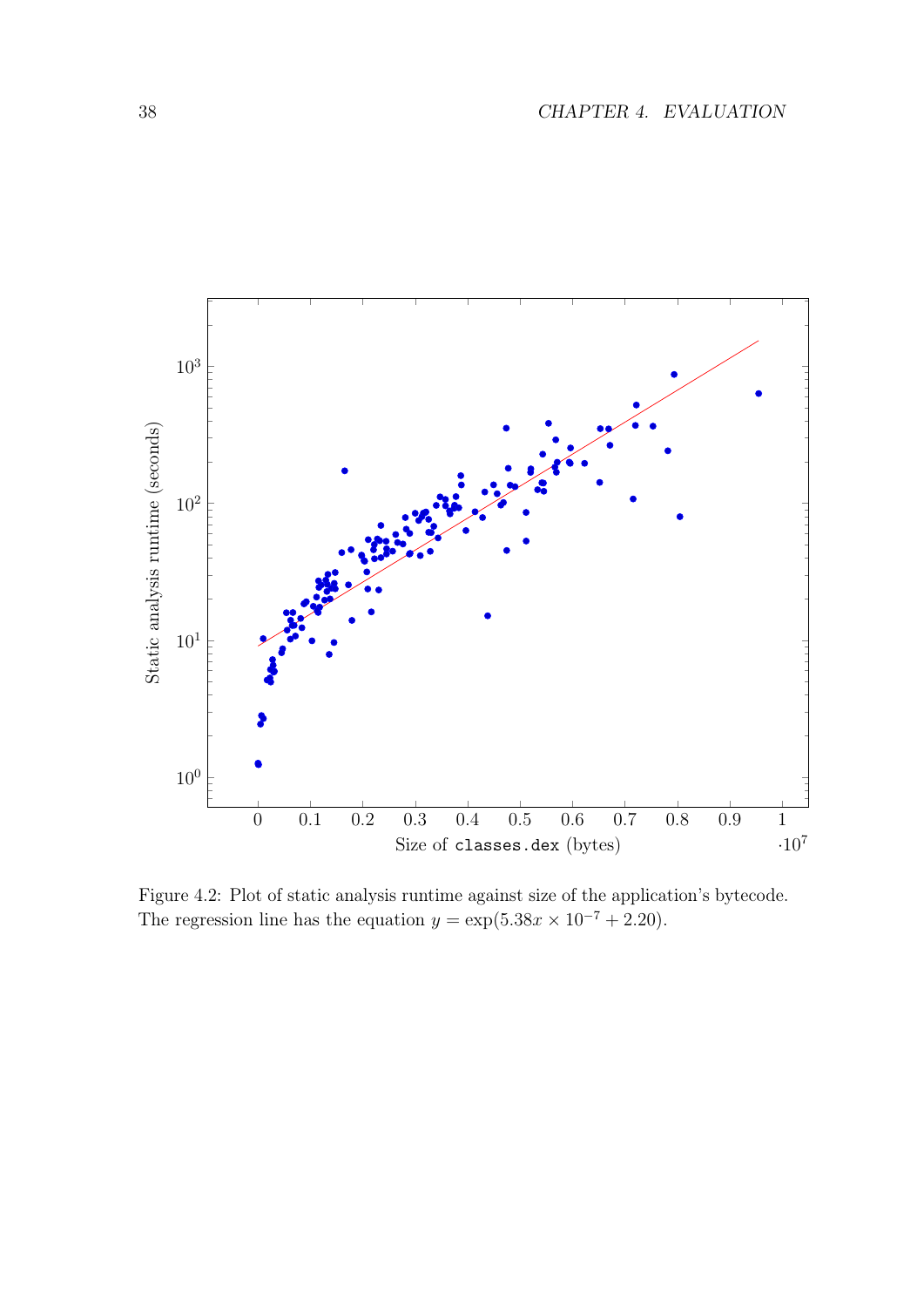

<span id="page-43-0"></span>Figure 4.2: Plot of static analysis runtime against size of the application's bytecode. The regression line has the equation  $y = \exp(5.38x \times 10^{-7} + 2.20)$ .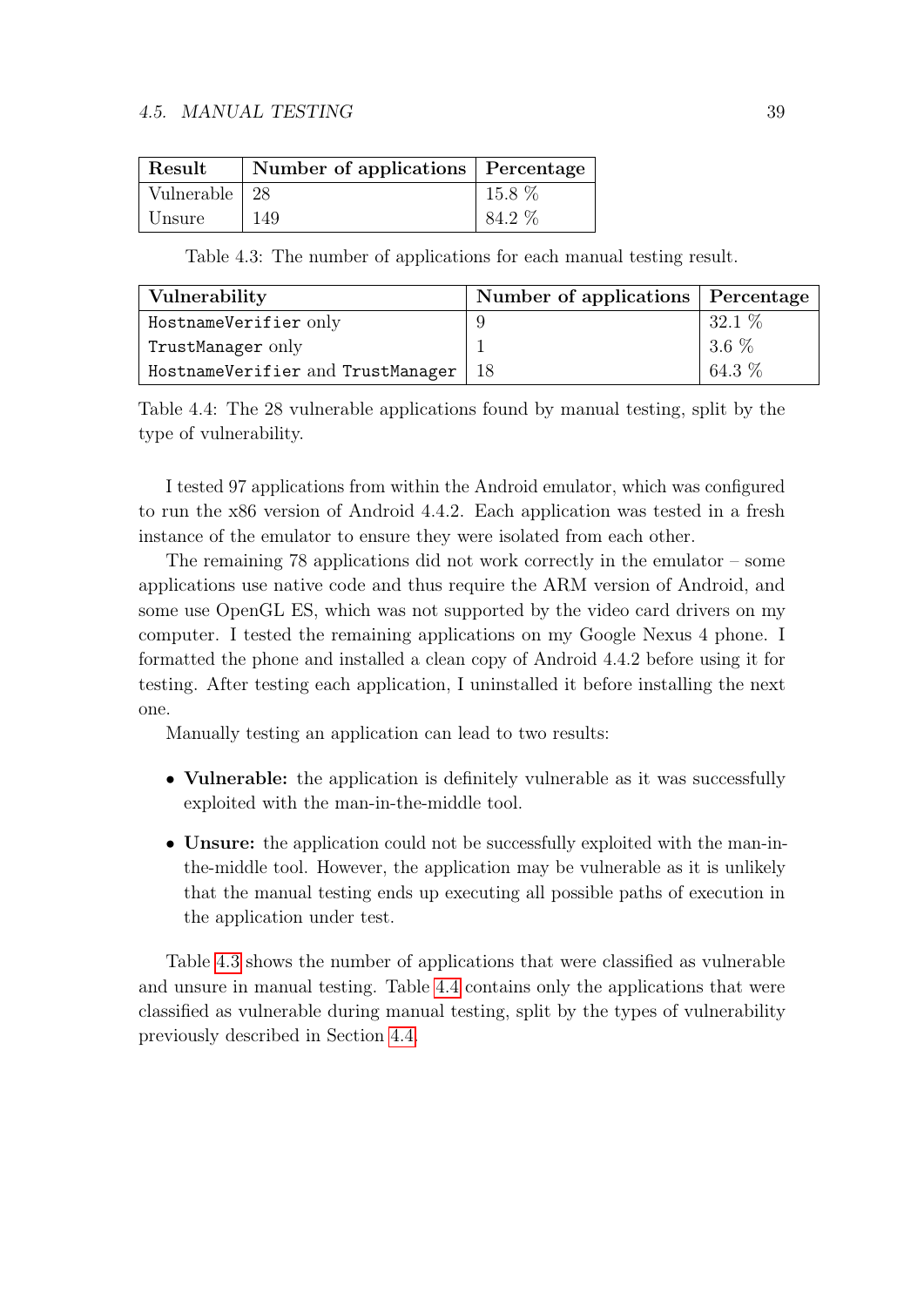| $\vert$ Result        | Number of applications   Percentage |          |
|-----------------------|-------------------------------------|----------|
| Vulnerable $\vert$ 28 |                                     | 15.8 $%$ |
| Unsure                | 149                                 | 84.2 %   |

<span id="page-44-0"></span>Table 4.3: The number of applications for each manual testing result.

| Vulnerability                     | Number of applications   Percentage |                      |  |
|-----------------------------------|-------------------------------------|----------------------|--|
| HostnameVerifier only             |                                     | $^{\circ}$ 32.1 $\%$ |  |
| TrustManager only                 |                                     | $3.6\%$              |  |
| HostnameVerifier and TrustManager | -18                                 | $64.3\%$             |  |

<span id="page-44-1"></span>Table 4.4: The 28 vulnerable applications found by manual testing, split by the type of vulnerability.

I tested 97 applications from within the Android emulator, which was configured to run the x86 version of Android 4.4.2. Each application was tested in a fresh instance of the emulator to ensure they were isolated from each other.

The remaining 78 applications did not work correctly in the emulator – some applications use native code and thus require the ARM version of Android, and some use OpenGL ES, which was not supported by the video card drivers on my computer. I tested the remaining applications on my Google Nexus 4 phone. I formatted the phone and installed a clean copy of Android 4.4.2 before using it for testing. After testing each application, I uninstalled it before installing the next one.

Manually testing an application can lead to two results:

- Vulnerable: the application is definitely vulnerable as it was successfully exploited with the man-in-the-middle tool.
- Unsure: the application could not be successfully exploited with the man-inthe-middle tool. However, the application may be vulnerable as it is unlikely that the manual testing ends up executing all possible paths of execution in the application under test.

Table [4.3](#page-44-0) shows the number of applications that were classified as vulnerable and unsure in manual testing. Table [4.4](#page-44-1) contains only the applications that were classified as vulnerable during manual testing, split by the types of vulnerability previously described in Section [4.4.](#page-40-0)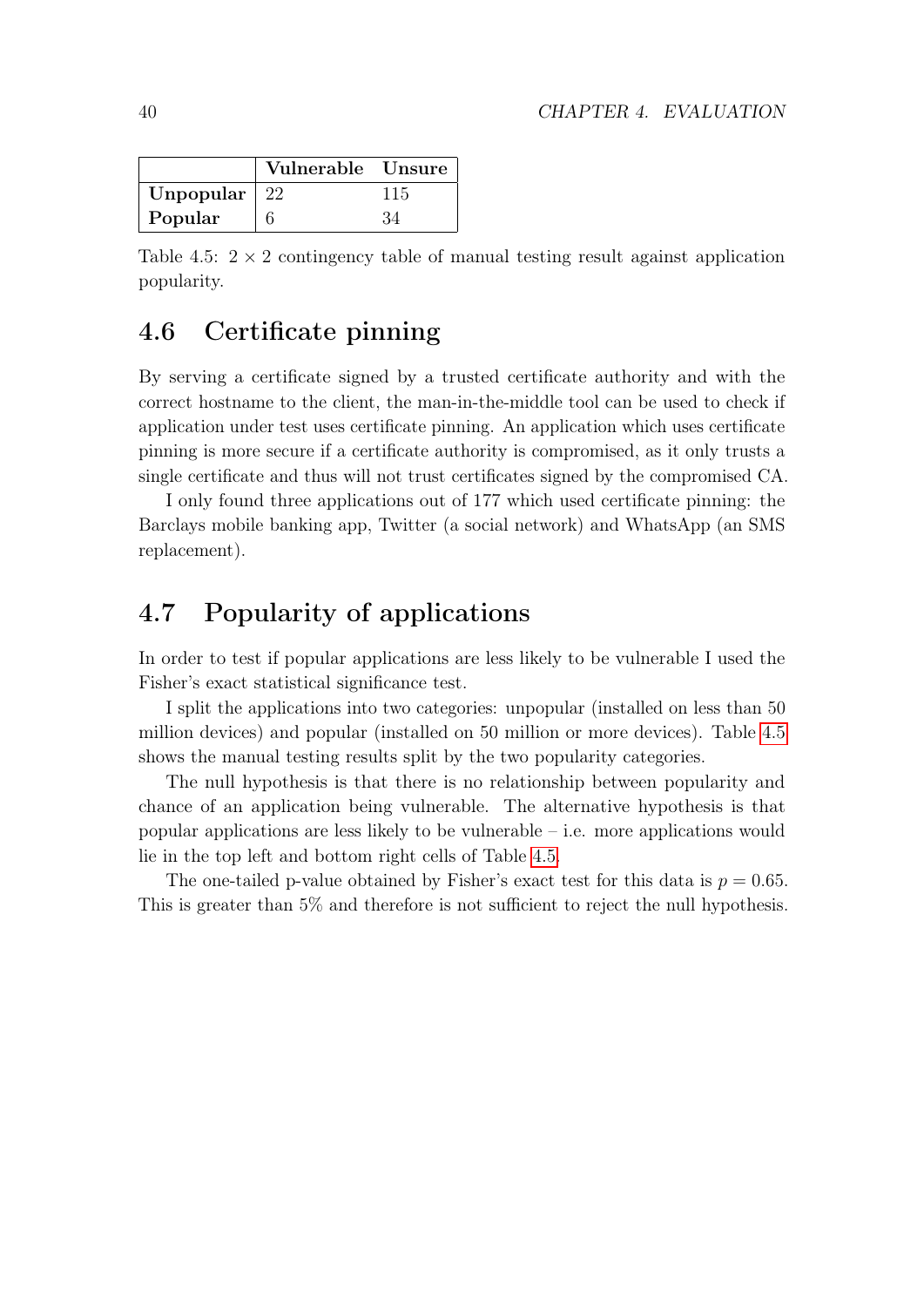|                | Vulnerable Unsure |     |
|----------------|-------------------|-----|
| Unpopular   22 |                   | 115 |
| Popular        |                   | -34 |

<span id="page-45-2"></span>Table 4.5:  $2 \times 2$  contingency table of manual testing result against application popularity.

## <span id="page-45-0"></span>4.6 Certificate pinning

By serving a certificate signed by a trusted certificate authority and with the correct hostname to the client, the man-in-the-middle tool can be used to check if application under test uses certificate pinning. An application which uses certificate pinning is more secure if a certificate authority is compromised, as it only trusts a single certificate and thus will not trust certificates signed by the compromised CA.

I only found three applications out of 177 which used certificate pinning: the Barclays mobile banking app, Twitter (a social network) and WhatsApp (an SMS replacement).

## <span id="page-45-1"></span>4.7 Popularity of applications

In order to test if popular applications are less likely to be vulnerable I used the Fisher's exact statistical significance test.

I split the applications into two categories: unpopular (installed on less than 50 million devices) and popular (installed on 50 million or more devices). Table [4.5](#page-45-2) shows the manual testing results split by the two popularity categories.

The null hypothesis is that there is no relationship between popularity and chance of an application being vulnerable. The alternative hypothesis is that popular applications are less likely to be vulnerable – i.e. more applications would lie in the top left and bottom right cells of Table [4.5.](#page-45-2)

The one-tailed p-value obtained by Fisher's exact test for this data is  $p = 0.65$ . This is greater than 5% and therefore is not sufficient to reject the null hypothesis.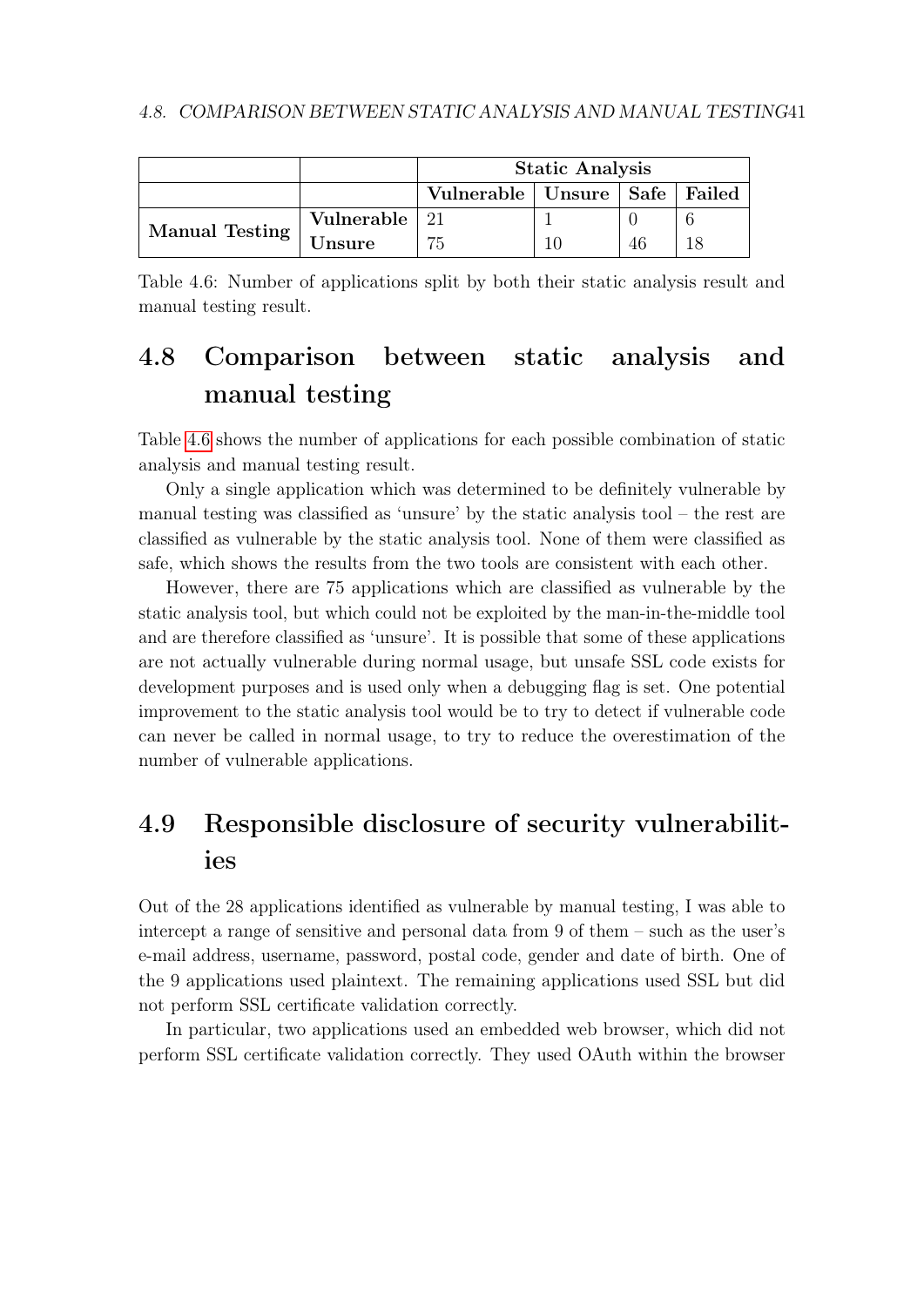|                |                               | <b>Static Analysis</b>              |  |    |  |
|----------------|-------------------------------|-------------------------------------|--|----|--|
|                |                               | Vulnerable   Unsure   Safe   Failed |  |    |  |
| Manual Testing | Vulnerable $\vert 21 \rangle$ |                                     |  |    |  |
|                | Unsure                        | 75                                  |  | 46 |  |

<span id="page-46-2"></span>Table 4.6: Number of applications split by both their static analysis result and manual testing result.

## <span id="page-46-0"></span>4.8 Comparison between static analysis and manual testing

Table [4.6](#page-46-2) shows the number of applications for each possible combination of static analysis and manual testing result.

Only a single application which was determined to be definitely vulnerable by manual testing was classified as 'unsure' by the static analysis tool – the rest are classified as vulnerable by the static analysis tool. None of them were classified as safe, which shows the results from the two tools are consistent with each other.

However, there are 75 applications which are classified as vulnerable by the static analysis tool, but which could not be exploited by the man-in-the-middle tool and are therefore classified as 'unsure'. It is possible that some of these applications are not actually vulnerable during normal usage, but unsafe SSL code exists for development purposes and is used only when a debugging flag is set. One potential improvement to the static analysis tool would be to try to detect if vulnerable code can never be called in normal usage, to try to reduce the overestimation of the number of vulnerable applications.

## <span id="page-46-1"></span>4.9 Responsible disclosure of security vulnerabilities

Out of the 28 applications identified as vulnerable by manual testing, I was able to intercept a range of sensitive and personal data from 9 of them – such as the user's e-mail address, username, password, postal code, gender and date of birth. One of the 9 applications used plaintext. The remaining applications used SSL but did not perform SSL certificate validation correctly.

In particular, two applications used an embedded web browser, which did not perform SSL certificate validation correctly. They used OAuth within the browser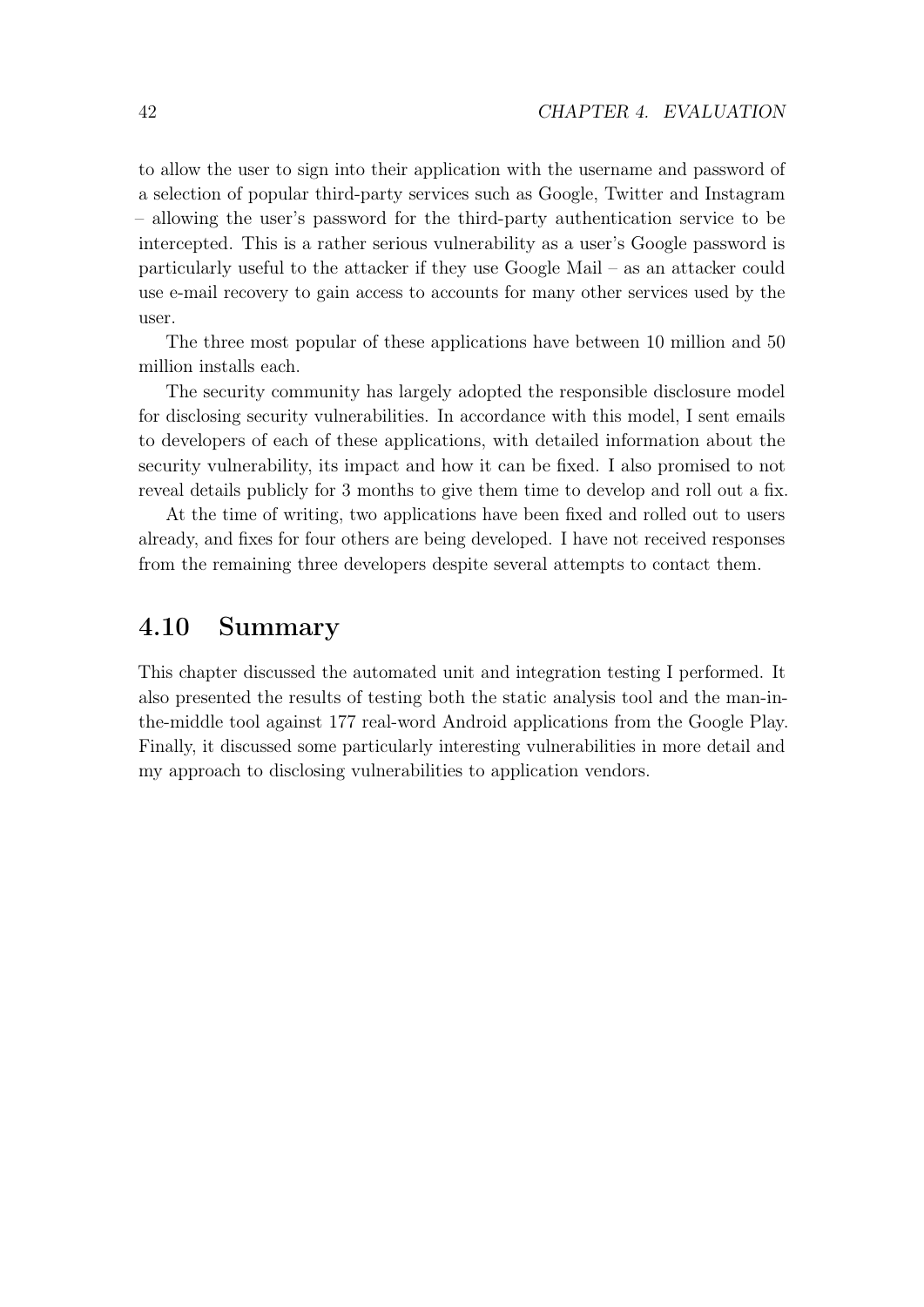to allow the user to sign into their application with the username and password of a selection of popular third-party services such as Google, Twitter and Instagram – allowing the user's password for the third-party authentication service to be intercepted. This is a rather serious vulnerability as a user's Google password is particularly useful to the attacker if they use Google Mail – as an attacker could use e-mail recovery to gain access to accounts for many other services used by the user.

The three most popular of these applications have between 10 million and 50 million installs each.

The security community has largely adopted the responsible disclosure model for disclosing security vulnerabilities. In accordance with this model, I sent emails to developers of each of these applications, with detailed information about the security vulnerability, its impact and how it can be fixed. I also promised to not reveal details publicly for 3 months to give them time to develop and roll out a fix.

At the time of writing, two applications have been fixed and rolled out to users already, and fixes for four others are being developed. I have not received responses from the remaining three developers despite several attempts to contact them.

## <span id="page-47-0"></span>4.10 Summary

This chapter discussed the automated unit and integration testing I performed. It also presented the results of testing both the static analysis tool and the man-inthe-middle tool against 177 real-word Android applications from the Google Play. Finally, it discussed some particularly interesting vulnerabilities in more detail and my approach to disclosing vulnerabilities to application vendors.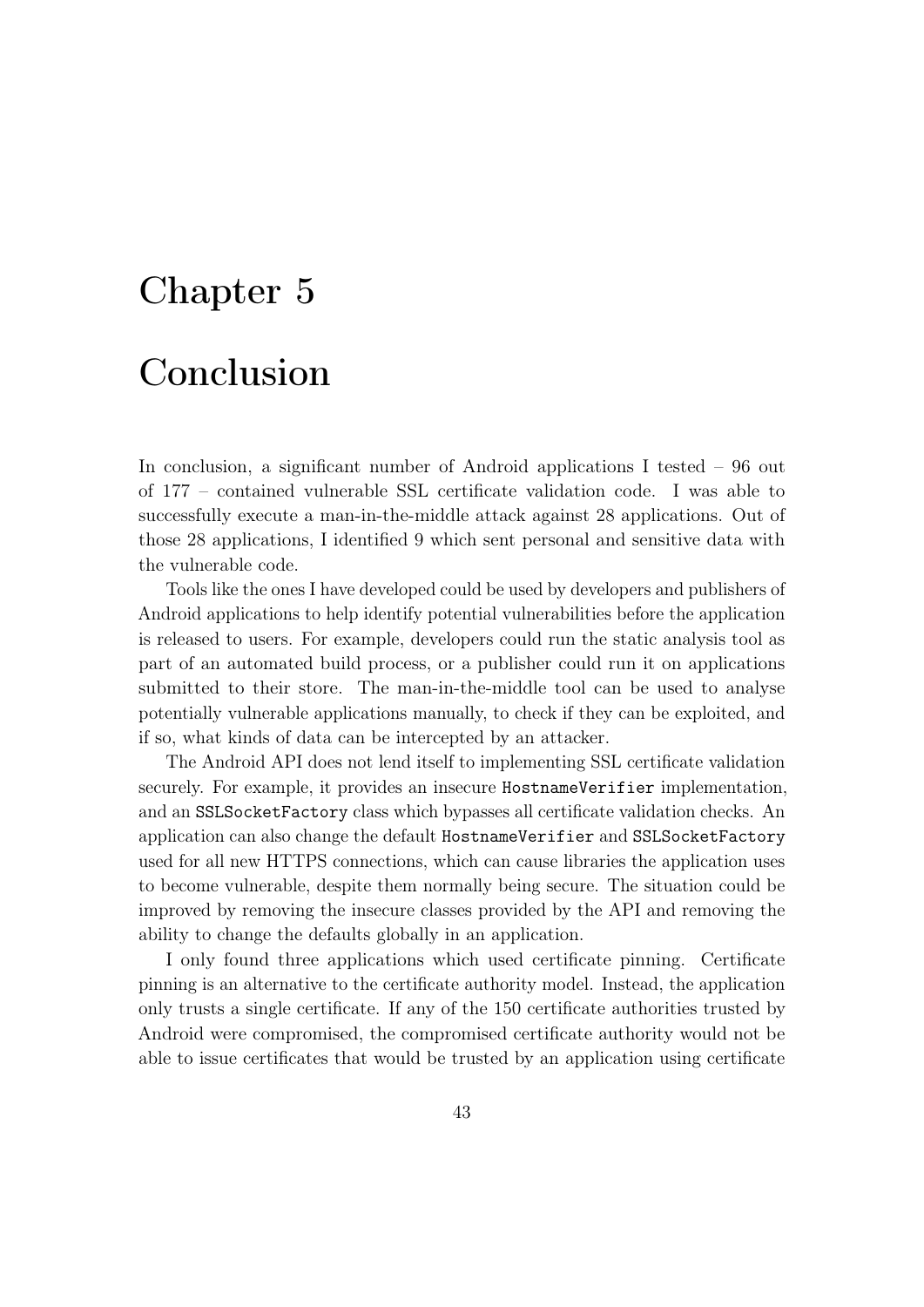# <span id="page-48-0"></span>Chapter 5 Conclusion

In conclusion, a significant number of Android applications I tested – 96 out of 177 – contained vulnerable SSL certificate validation code. I was able to successfully execute a man-in-the-middle attack against 28 applications. Out of those 28 applications, I identified 9 which sent personal and sensitive data with the vulnerable code.

Tools like the ones I have developed could be used by developers and publishers of Android applications to help identify potential vulnerabilities before the application is released to users. For example, developers could run the static analysis tool as part of an automated build process, or a publisher could run it on applications submitted to their store. The man-in-the-middle tool can be used to analyse potentially vulnerable applications manually, to check if they can be exploited, and if so, what kinds of data can be intercepted by an attacker.

The Android API does not lend itself to implementing SSL certificate validation securely. For example, it provides an insecure HostnameVerifier implementation, and an SSLSocketFactory class which bypasses all certificate validation checks. An application can also change the default HostnameVerifier and SSLSocketFactory used for all new HTTPS connections, which can cause libraries the application uses to become vulnerable, despite them normally being secure. The situation could be improved by removing the insecure classes provided by the API and removing the ability to change the defaults globally in an application.

I only found three applications which used certificate pinning. Certificate pinning is an alternative to the certificate authority model. Instead, the application only trusts a single certificate. If any of the 150 certificate authorities trusted by Android were compromised, the compromised certificate authority would not be able to issue certificates that would be trusted by an application using certificate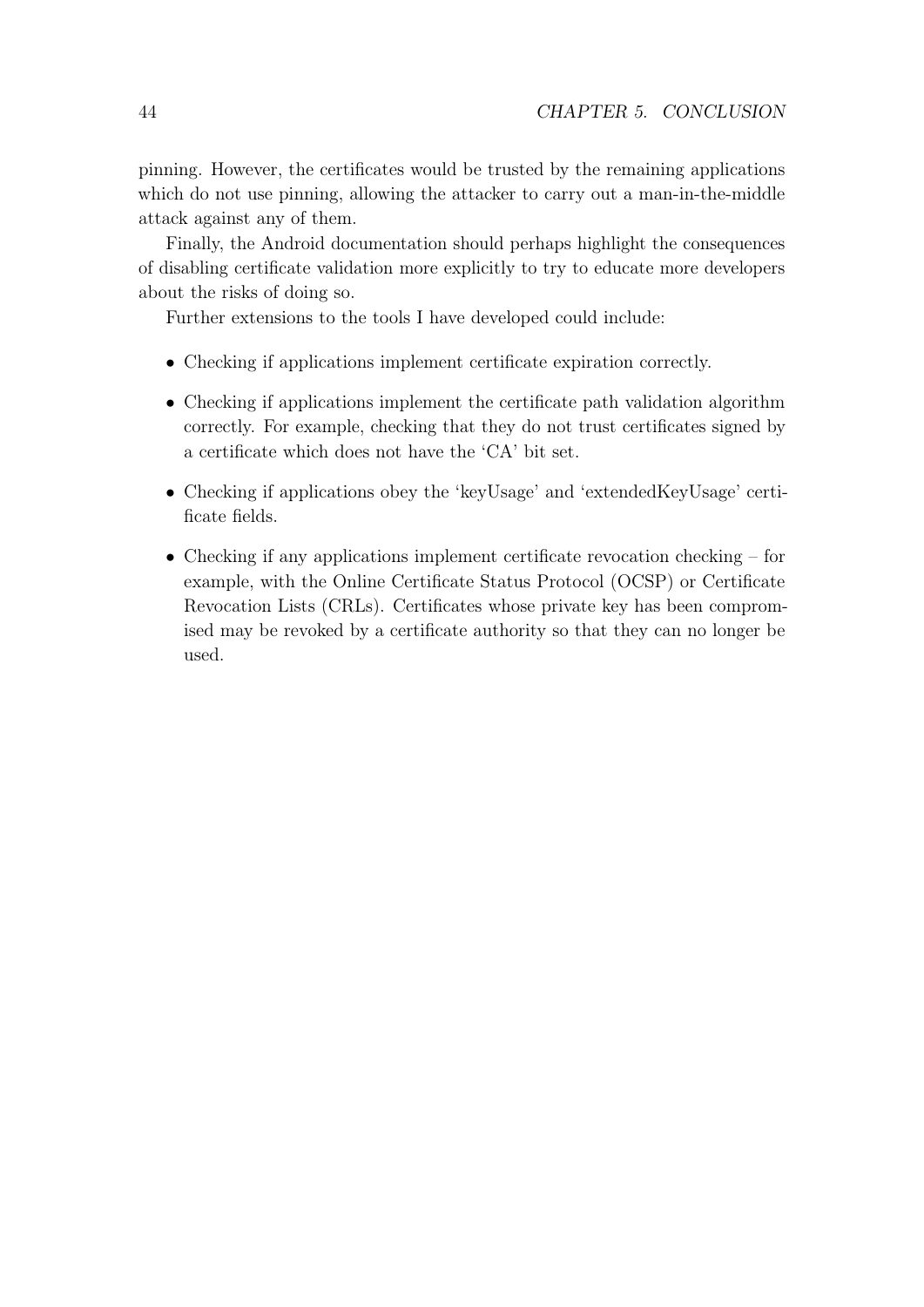pinning. However, the certificates would be trusted by the remaining applications which do not use pinning, allowing the attacker to carry out a man-in-the-middle attack against any of them.

Finally, the Android documentation should perhaps highlight the consequences of disabling certificate validation more explicitly to try to educate more developers about the risks of doing so.

Further extensions to the tools I have developed could include:

- Checking if applications implement certificate expiration correctly.
- Checking if applications implement the certificate path validation algorithm correctly. For example, checking that they do not trust certificates signed by a certificate which does not have the 'CA' bit set.
- Checking if applications obey the 'keyUsage' and 'extendedKeyUsage' certificate fields.
- Checking if any applications implement certificate revocation checking for example, with the Online Certificate Status Protocol (OCSP) or Certificate Revocation Lists (CRLs). Certificates whose private key has been compromised may be revoked by a certificate authority so that they can no longer be used.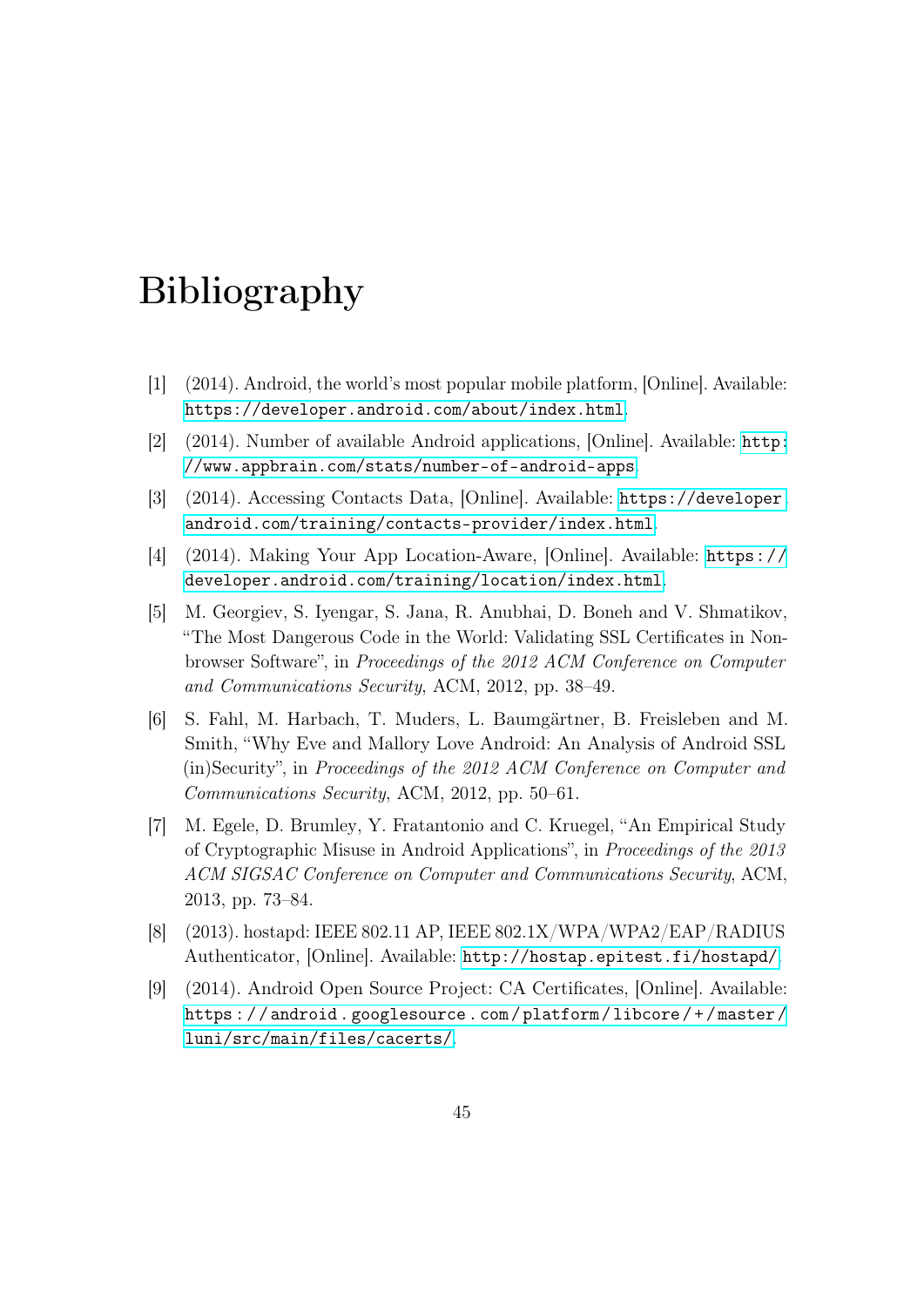## Bibliography

- <span id="page-50-0"></span>[1] (2014). Android, the world's most popular mobile platform, [Online]. Available: <https://developer.android.com/about/index.html>.
- <span id="page-50-1"></span>[2] (2014). Number of available Android applications, [Online]. Available: [http:](http://www.appbrain.com/stats/number-of-android-apps) [//www.appbrain.com/stats/number-of-android-apps](http://www.appbrain.com/stats/number-of-android-apps).
- <span id="page-50-2"></span>[3] (2014). Accessing Contacts Data, [Online]. Available: [https://developer.](https://developer.android.com/training/contacts-provider/index.html) [android.com/training/contacts-provider/index.html](https://developer.android.com/training/contacts-provider/index.html).
- <span id="page-50-3"></span>[4] (2014). Making Your App Location-Aware, [Online]. Available: [https://](https://developer.android.com/training/location/index.html) [developer.android.com/training/location/index.html](https://developer.android.com/training/location/index.html).
- <span id="page-50-4"></span>[5] M. Georgiev, S. Iyengar, S. Jana, R. Anubhai, D. Boneh and V. Shmatikov, "The Most Dangerous Code in the World: Validating SSL Certificates in Nonbrowser Software", in Proceedings of the 2012 ACM Conference on Computer and Communications Security, ACM, 2012, pp. 38–49.
- <span id="page-50-5"></span>[6] S. Fahl, M. Harbach, T. Muders, L. Baumgärtner, B. Freisleben and M. Smith, "Why Eve and Mallory Love Android: An Analysis of Android SSL (in)Security", in Proceedings of the 2012 ACM Conference on Computer and Communications Security, ACM, 2012, pp. 50–61.
- <span id="page-50-6"></span>[7] M. Egele, D. Brumley, Y. Fratantonio and C. Kruegel, "An Empirical Study of Cryptographic Misuse in Android Applications", in Proceedings of the 2013 ACM SIGSAC Conference on Computer and Communications Security, ACM, 2013, pp. 73–84.
- <span id="page-50-7"></span>[8] (2013). hostapd: IEEE 802.11 AP, IEEE 802.1X/WPA/WPA2/EAP/RADIUS Authenticator, [Online]. Available: <http://hostap.epitest.fi/hostapd/>.
- <span id="page-50-8"></span>[9] (2014). Android Open Source Project: CA Certificates, [Online]. Available: [https : / / android . googlesource . com / platform / libcore / + / master /](https://android.googlesource.com/platform/libcore/+/master/luni/src/main/files/cacerts/) [luni/src/main/files/cacerts/](https://android.googlesource.com/platform/libcore/+/master/luni/src/main/files/cacerts/).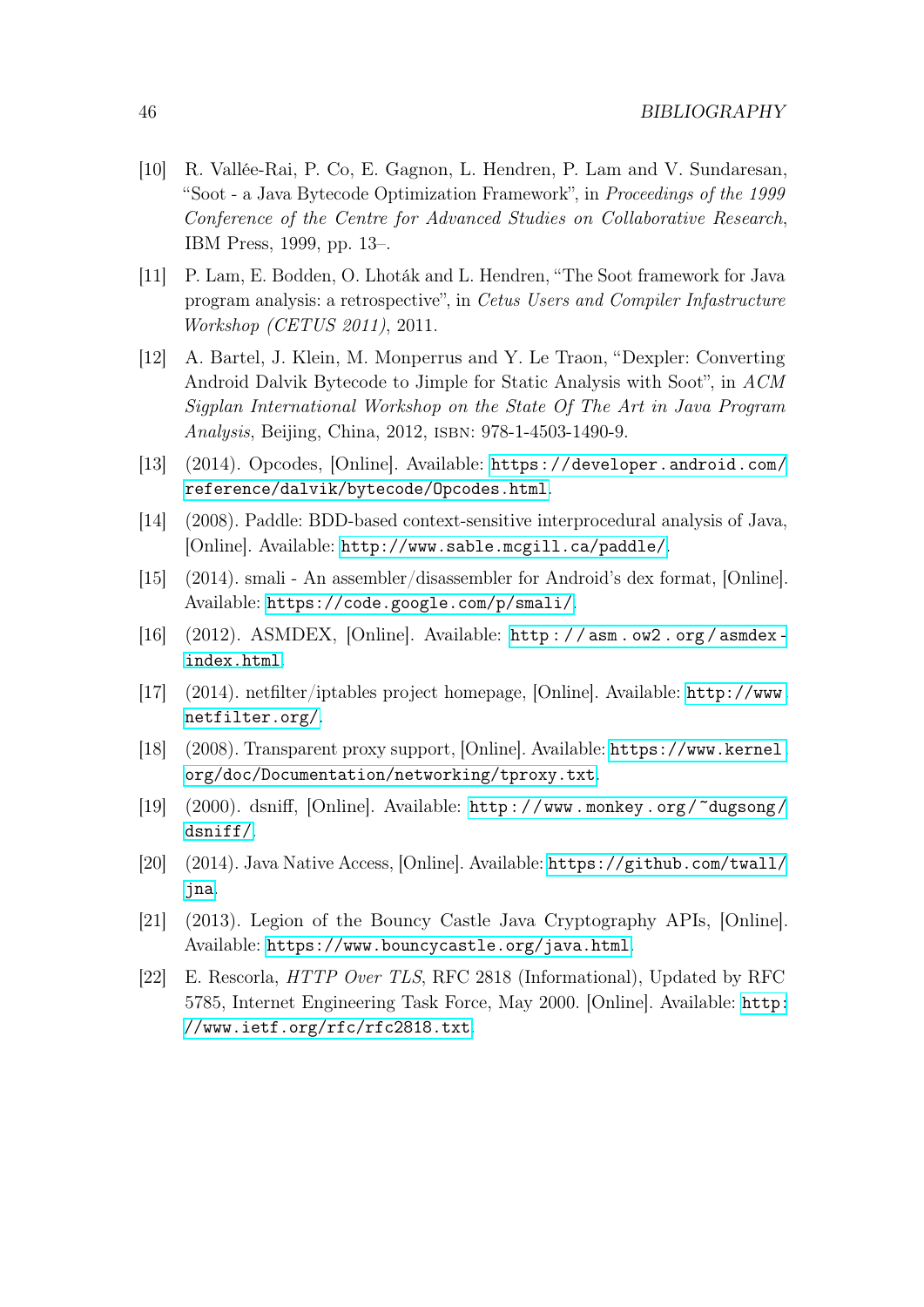- <span id="page-51-0"></span>[10] R. Vallée-Rai, P. Co, E. Gagnon, L. Hendren, P. Lam and V. Sundaresan, "Soot - a Java Bytecode Optimization Framework", in Proceedings of the 1999 Conference of the Centre for Advanced Studies on Collaborative Research, IBM Press, 1999, pp. 13–.
- <span id="page-51-1"></span>[11] P. Lam, E. Bodden, O. Lhoták and L. Hendren, "The Soot framework for Java program analysis: a retrospective", in Cetus Users and Compiler Infastructure Workshop (CETUS 2011), 2011.
- <span id="page-51-2"></span>[12] A. Bartel, J. Klein, M. Monperrus and Y. Le Traon, "Dexpler: Converting Android Dalvik Bytecode to Jimple for Static Analysis with Soot", in ACM Sigplan International Workshop on the State Of The Art in Java Program Analysis, Beijing, China, 2012, isbn: 978-1-4503-1490-9.
- <span id="page-51-3"></span>[13] (2014). Opcodes, [Online]. Available: [https://developer.android.com/](https://developer.android.com/reference/dalvik/bytecode/Opcodes.html) [reference/dalvik/bytecode/Opcodes.html](https://developer.android.com/reference/dalvik/bytecode/Opcodes.html).
- <span id="page-51-4"></span>[14] (2008). Paddle: BDD-based context-sensitive interprocedural analysis of Java, [Online]. Available: <http://www.sable.mcgill.ca/paddle/>.
- <span id="page-51-5"></span>[15] (2014). smali - An assembler/disassembler for Android's dex format, [Online]. Available: <https://code.google.com/p/smali/>.
- <span id="page-51-6"></span>[16] (2012). ASMDEX, [Online]. Available: http://asm.ow2.org/asmdex[index.html](http://asm.ow2.org/asmdex-index.html).
- <span id="page-51-7"></span>[17] (2014). netfilter/iptables project homepage, [Online]. Available: [http://www.](http://www.netfilter.org/) [netfilter.org/](http://www.netfilter.org/).
- <span id="page-51-8"></span>[18] (2008). Transparent proxy support, [Online]. Available: [https://www.kernel.](https://www.kernel.org/doc/Documentation/networking/tproxy.txt) [org/doc/Documentation/networking/tproxy.txt](https://www.kernel.org/doc/Documentation/networking/tproxy.txt).
- <span id="page-51-9"></span>[19] (2000). dsniff, [Online]. Available: [http : / / www . monkey . org / ~dugsong /](http://www.monkey.org/~dugsong/dsniff/) [dsniff/](http://www.monkey.org/~dugsong/dsniff/).
- <span id="page-51-10"></span>[20] (2014). Java Native Access, [Online]. Available: [https://github.com/twall/](https://github.com/twall/jna) [jna](https://github.com/twall/jna).
- <span id="page-51-11"></span>[21] (2013). Legion of the Bouncy Castle Java Cryptography APIs, [Online]. Available: <https://www.bouncycastle.org/java.html>.
- <span id="page-51-12"></span>[22] E. Rescorla, HTTP Over TLS, RFC 2818 (Informational), Updated by RFC 5785, Internet Engineering Task Force, May 2000. [Online]. Available: [http:](http://www.ietf.org/rfc/rfc2818.txt) [//www.ietf.org/rfc/rfc2818.txt](http://www.ietf.org/rfc/rfc2818.txt).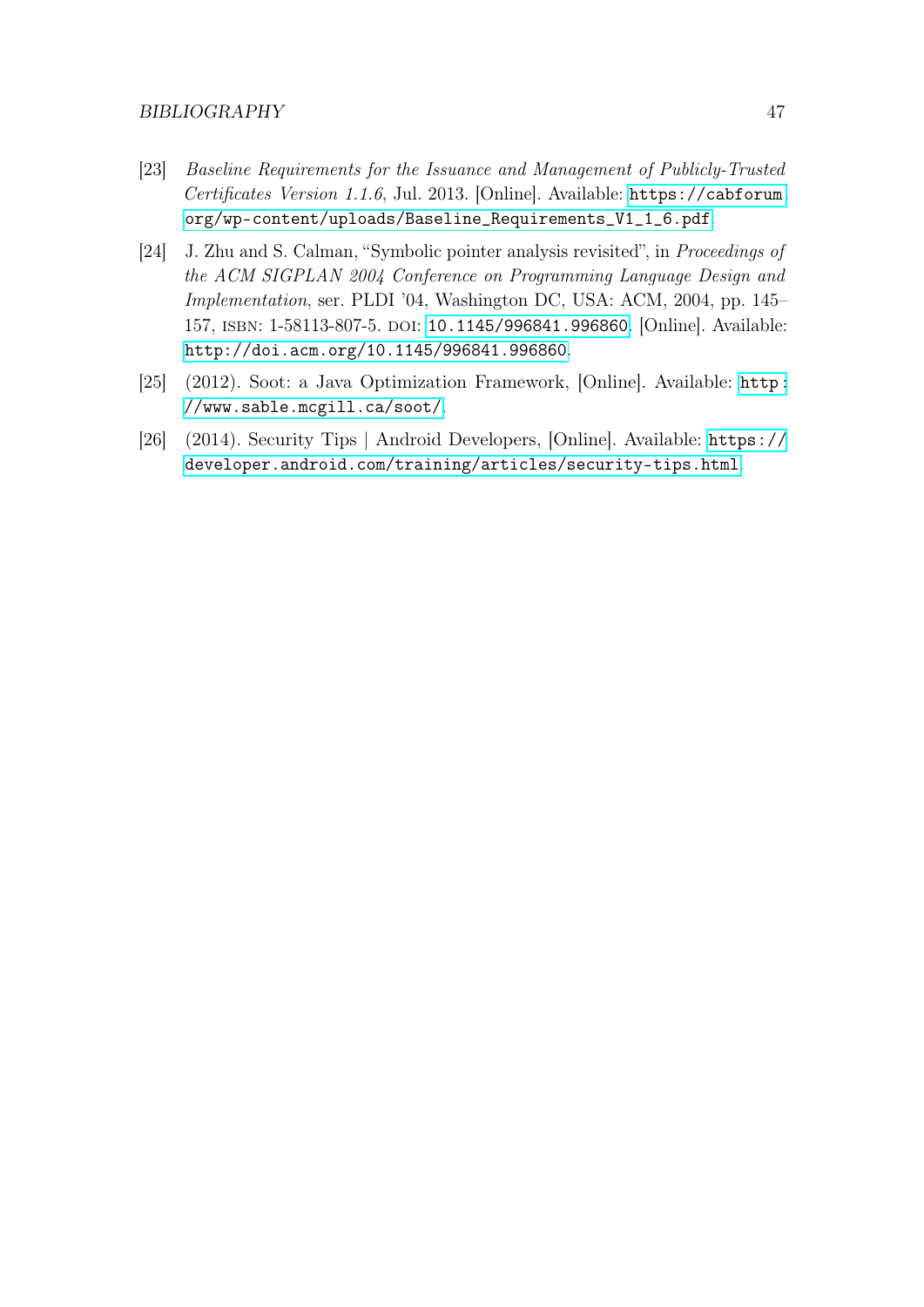- <span id="page-52-0"></span>[23] Baseline Requirements for the Issuance and Management of Publicly-Trusted Certificates Version 1.1.6, Jul. 2013. [Online]. Available: [https://cabforum.](https://cabforum.org/wp-content/uploads/Baseline_Requirements_V1_1_6.pdf) [org/wp-content/uploads/Baseline\\_Requirements\\_V1\\_1\\_6.pdf](https://cabforum.org/wp-content/uploads/Baseline_Requirements_V1_1_6.pdf).
- <span id="page-52-1"></span>[24] J. Zhu and S. Calman, "Symbolic pointer analysis revisited", in Proceedings of the ACM SIGPLAN 2004 Conference on Programming Language Design and Implementation, ser. PLDI '04, Washington DC, USA: ACM, 2004, pp. 145– 157, isbn: 1-58113-807-5. doi: [10.1145/996841.996860](http://dx.doi.org/10.1145/996841.996860). [Online]. Available: <http://doi.acm.org/10.1145/996841.996860>.
- <span id="page-52-2"></span>[25] (2012). Soot: a Java Optimization Framework, [Online]. Available: [http:](http://www.sable.mcgill.ca/soot/) [//www.sable.mcgill.ca/soot/](http://www.sable.mcgill.ca/soot/).
- <span id="page-52-3"></span>[26] (2014). Security Tips | Android Developers, [Online]. Available: [https://](https://developer.android.com/training/articles/security-tips.html) [developer.android.com/training/articles/security-tips.html](https://developer.android.com/training/articles/security-tips.html).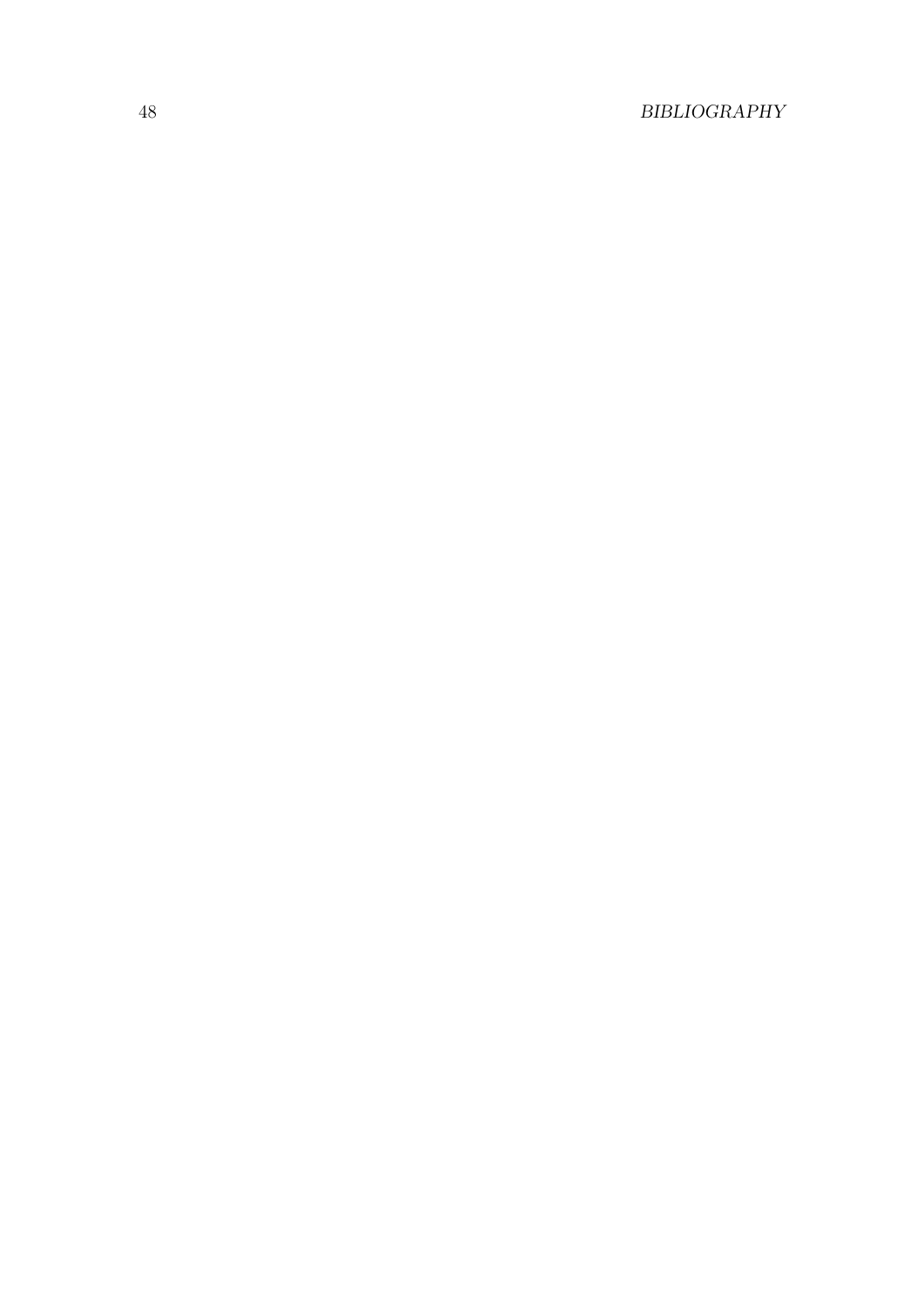## BIBLIOGRAPHY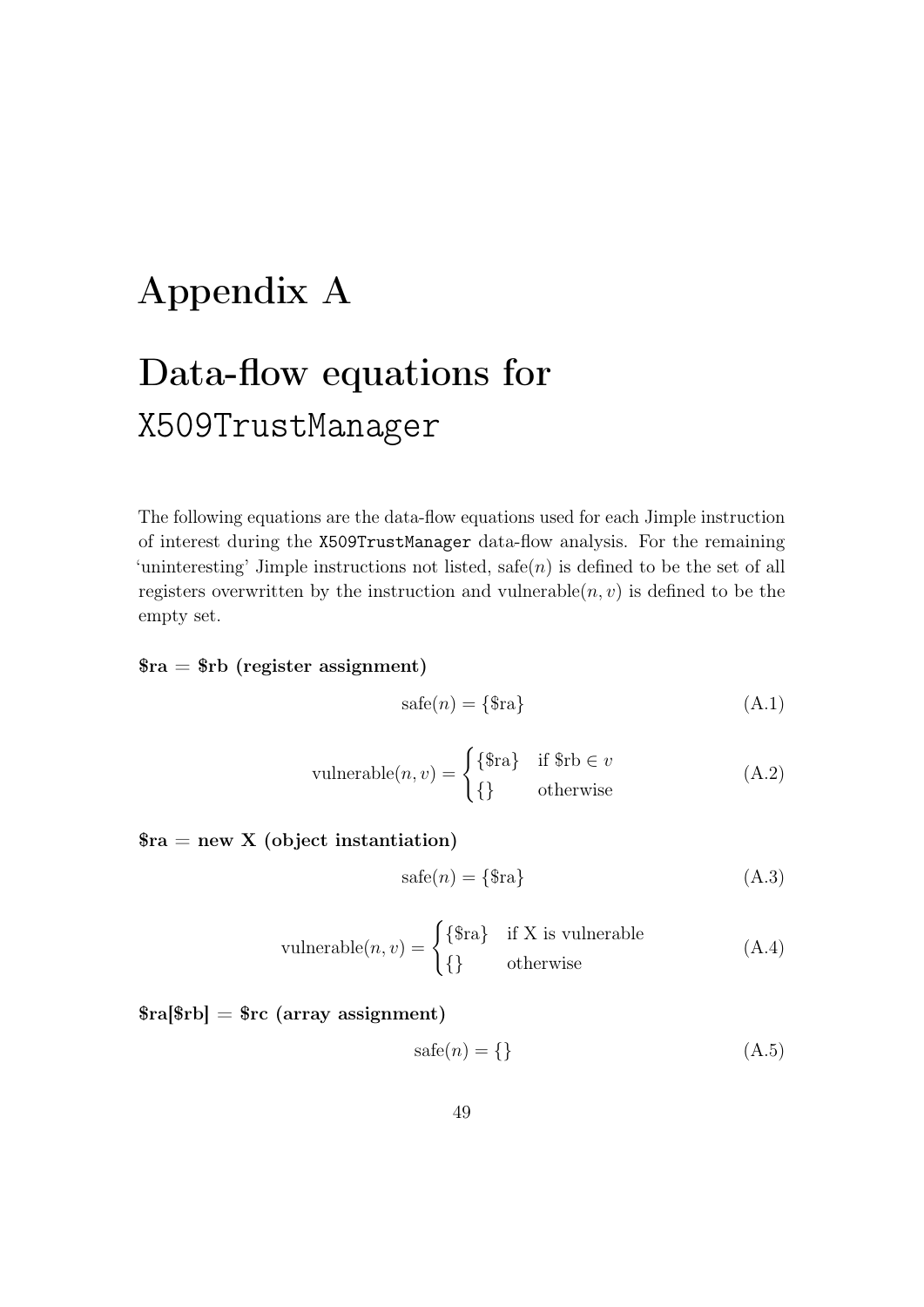## <span id="page-54-0"></span>Appendix A

## Data-flow equations for X509TrustManager

The following equations are the data-flow equations used for each Jimple instruction of interest during the X509TrustManager data-flow analysis. For the remaining 'uninteresting' Jimple instructions not listed, safe $(n)$  is defined to be the set of all registers overwritten by the instruction and vulnerable $(n, v)$  is defined to be the empty set.

#### $s_{ra} =$   $s_{rb}$  (register assignment)

$$
safe(n) = \{\$ra\} \tag{A.1}
$$

$$
vunderable(n, v) = \begin{cases} {\$ra\} & \text{if $srb \in v$} \\ {\{\} & \text{otherwise} \end{cases}
$$
 (A.2)

 $a = new X (object instantiation)$ 

$$
safe(n) = \{\$ra\} \tag{A.3}
$$

$$
vulnerable(n, v) = \begin{cases} {\$ra\} & \text{if X is vulnerable} \\ {\} & \text{otherwise} \end{cases}
$$
 (A.4)

 $\frac{\pi}{3}$ ra $\frac{\pi}{3}$ rb $\frac{\pi}{3}$  = \$rc (array assignment)

$$
safe(n) = \{\}\tag{A.5}
$$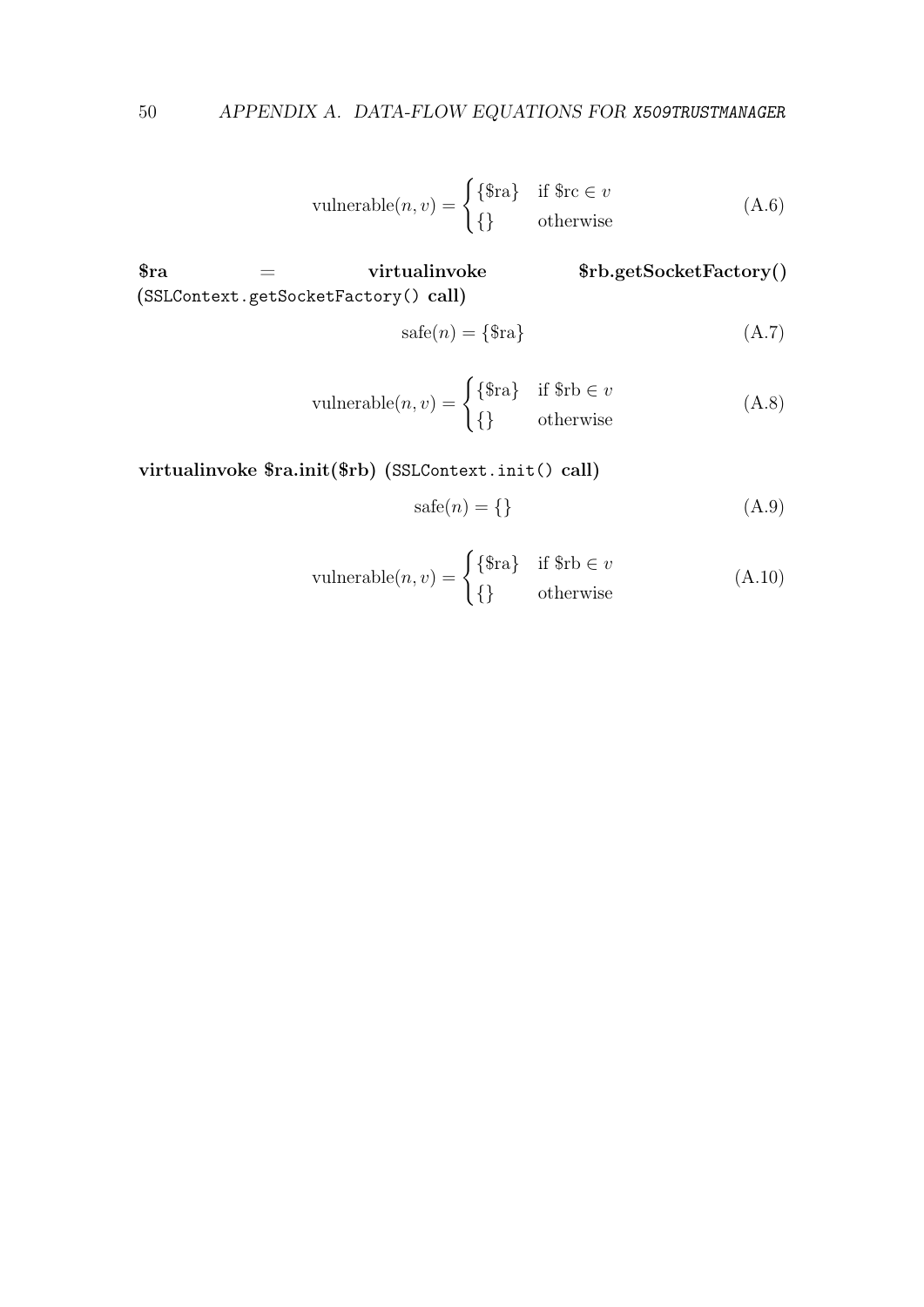$$
vunderable(n, v) = \begin{cases} {\$ra\} & \text{if } \$rc \in v \\ {\{\} & \text{otherwise} \end{cases}
$$
 (A.6)

 $\operatorname{\$rba} \qquad \qquad = \qquad \qquad \text{virtual invoke} \qquad \qquad \operatorname{\$rb.getSocketFactory()}$ (SSLContext.getSocketFactory() call)

$$
safe(n) = \{\$ra\} \tag{A.7}
$$

$$
vunderable(n, v) = \begin{cases} {\$ra\} & \text{if $srb \in v$} \\ {\{\} & \text{otherwise} \end{cases}
$$
 (A.8)

virtualinvoke \$ra.init(\$rb) (SSLContext.init() call)

$$
safe(n) = \{\}\tag{A.9}
$$

$$
vunderable(n, v) = \begin{cases} {\$ra\} & \text{if $srb \in v$} \\ {\{\} & \text{otherwise} \end{cases}
$$
 (A.10)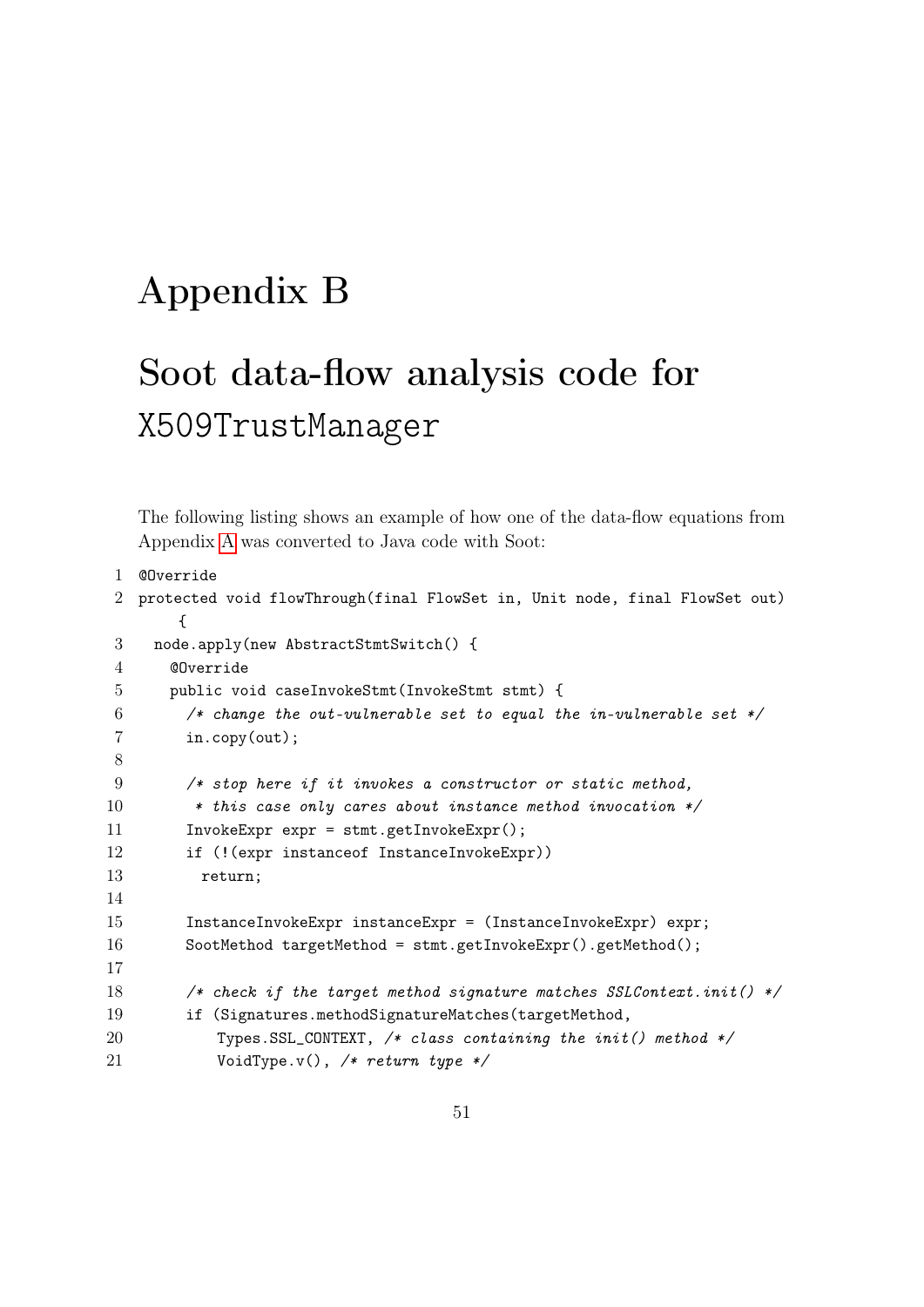## <span id="page-56-0"></span>Appendix B

## Soot data-flow analysis code for X509TrustManager

The following listing shows an example of how one of the data-flow equations from Appendix [A](#page-54-0) was converted to Java code with Soot:

```
1 @Override
2 protected void flowThrough(final FlowSet in, Unit node, final FlowSet out)
       {
3 node.apply(new AbstractStmtSwitch() {
4 @Override
5 public void caseInvokeStmt(InvokeStmt stmt) {
6 /* change the out-vulnerable set to equal the in-vulnerable set */
7 in.copy(out);
8
9 /* stop here if it invokes a constructor or static method,
10 * this case only cares about instance method invocation */11 InvokeExpr expr = stmt.getInvokeExpr();
12 if (!(expr instanceof InstanceInvokeExpr))
13 return;
14
15 InstanceInvokeExpr instanceExpr = (InstanceInvokeExpr) expr;
16 SootMethod targetMethod = stmt.getInvokeExpr().getMethod();
17
18 /* check if the target method signature matches SSLContext.init() */
19 if (Signatures.methodSignatureMatches(targetMethod,
20 Types.SSL_CONTEXT, /* class containing the init() method */
21 VoidType.v(), /* return type */
```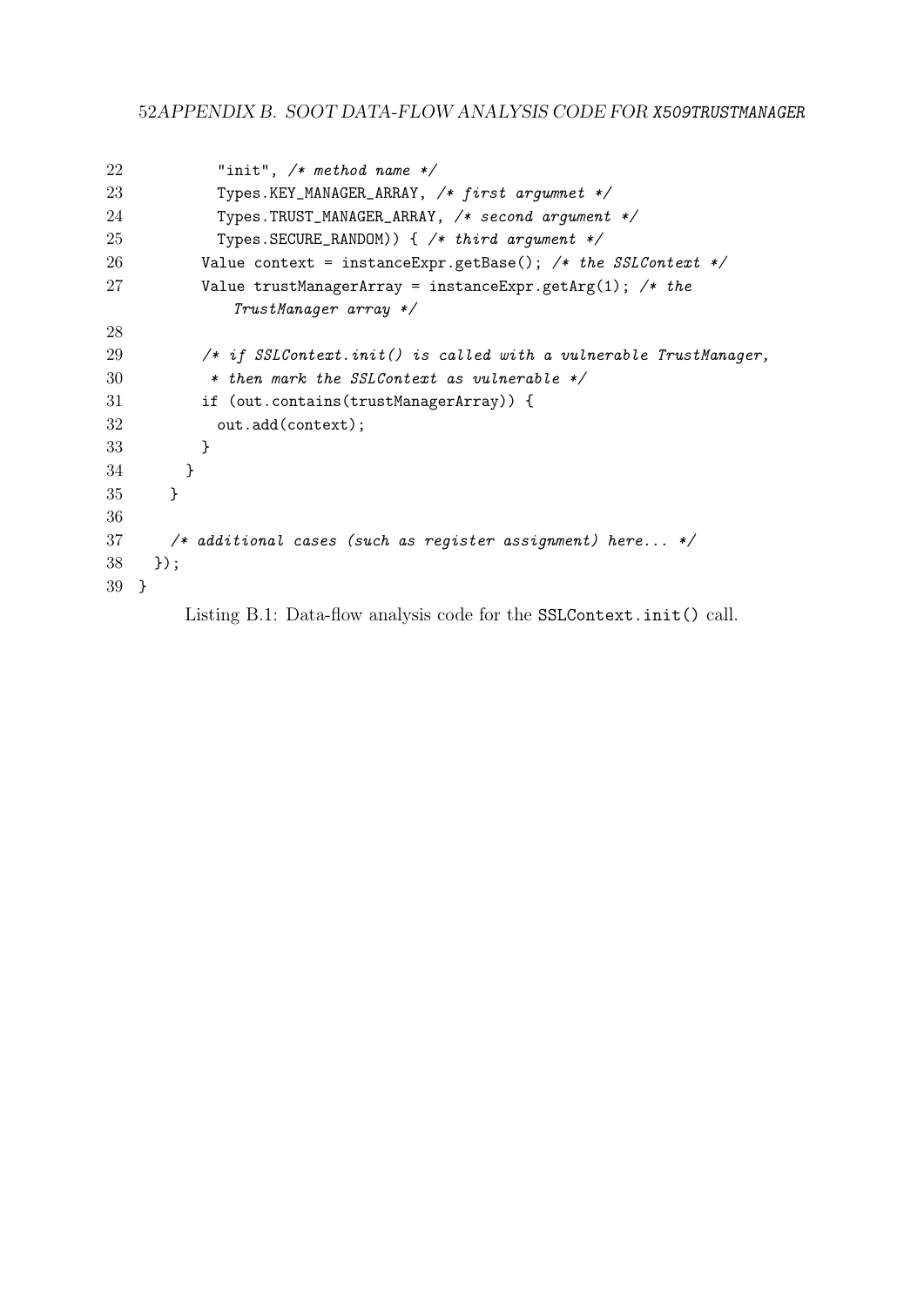```
22 "init", /* method name */23 Types.KEY_MANAGER_ARRAY, /* first argumnet */
24 Types.TRUST_MANAGER_ARRAY, /* second argument */
25 Types.SECURE_RANDOM)) { /* third argument */
26 Value context = instanceExpr.getBase(); /* the SSLContext */
27 Value trustManagerArray = instanceExpr.getArg(1); /* theTrustManager array */
28
29 /* if SSLContext.init() is called with a vulnerable TrustManager,
30 \rightarrow then mark the SSLContext as vulnerable */31 if (out.contains(trustManagerArray)) {
32 out.add(context);
33 }
34 }
35 }
36
37 /* additional cases (such as register assignment) here... */
38 });
39 }
```
Listing B.1: Data-flow analysis code for the SSLContext.init() call.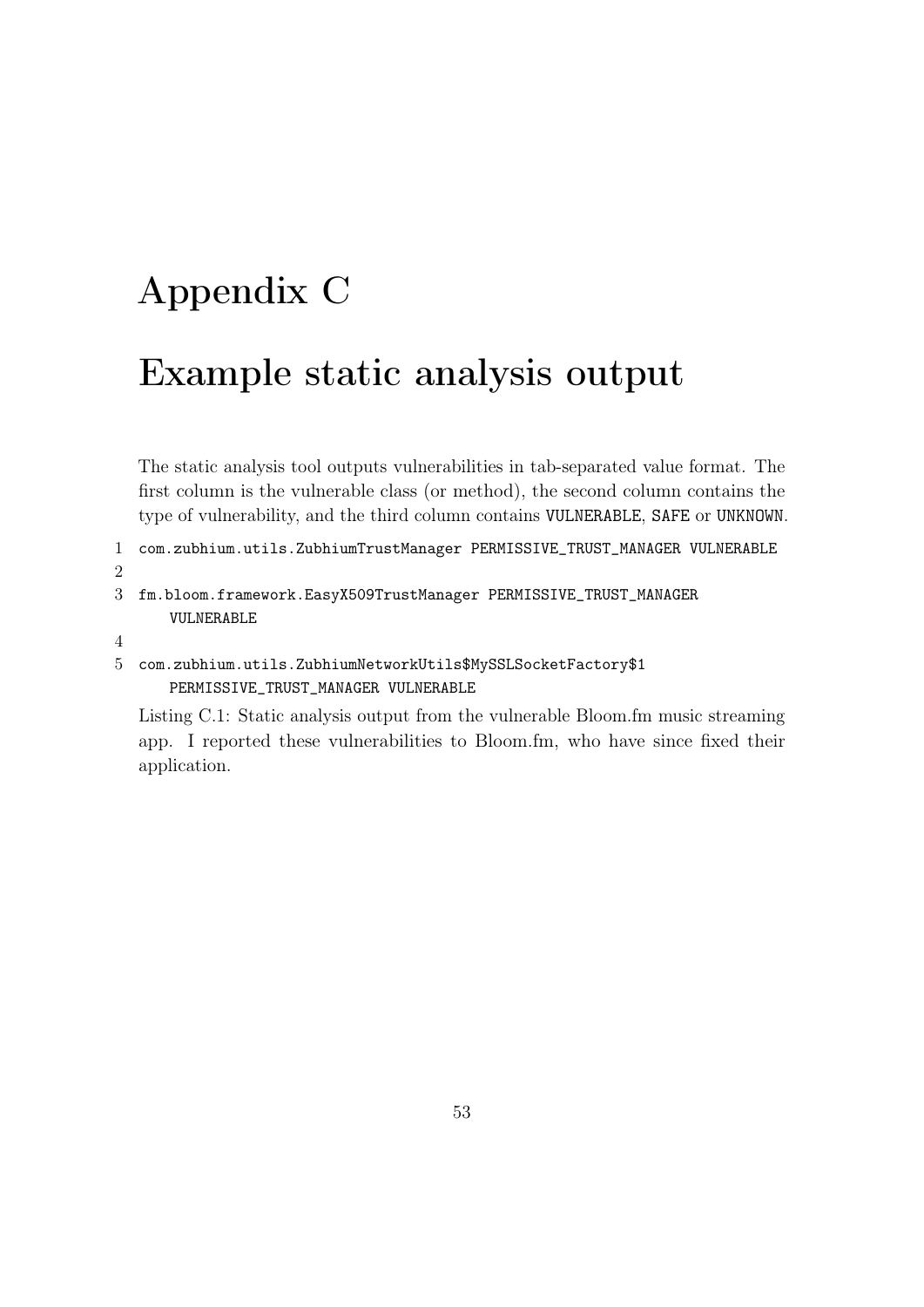## <span id="page-58-0"></span>Appendix C

## Example static analysis output

The static analysis tool outputs vulnerabilities in tab-separated value format. The first column is the vulnerable class (or method), the second column contains the type of vulnerability, and the third column contains VULNERABLE, SAFE or UNKNOWN.

1 com.zubhium.utils.ZubhiumTrustManager PERMISSIVE\_TRUST\_MANAGER VULNERABLE  $\mathfrak{D}$ 

```
3 fm.bloom.framework.EasyX509TrustManager PERMISSIVE_TRUST_MANAGER
      VULNERABLE
```
4

Listing C.1: Static analysis output from the vulnerable Bloom.fm music streaming app. I reported these vulnerabilities to Bloom.fm, who have since fixed their application.

<sup>5</sup> com.zubhium.utils.ZubhiumNetworkUtils\$MySSLSocketFactory\$1 PERMISSIVE\_TRUST\_MANAGER VULNERABLE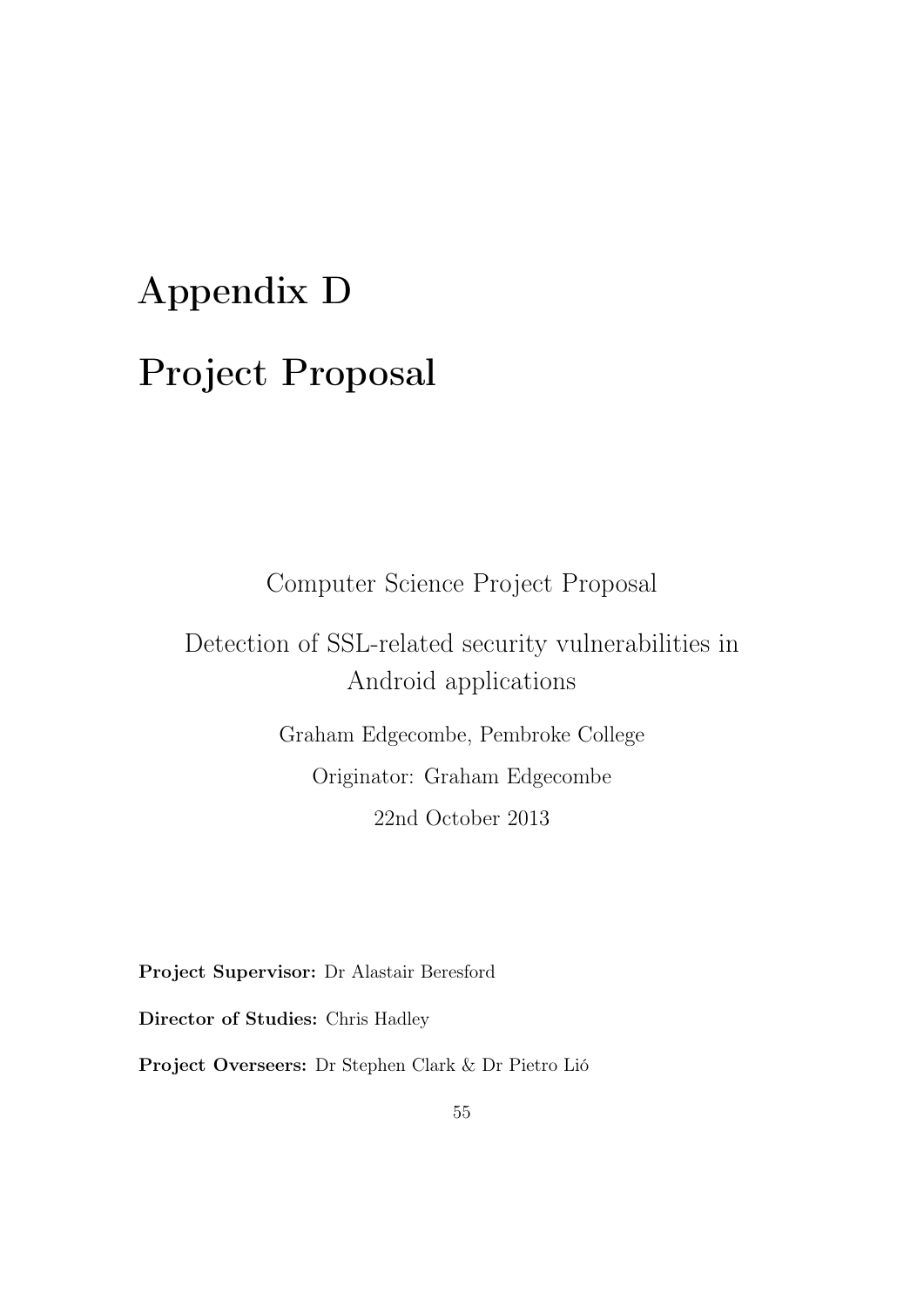# <span id="page-60-0"></span>Appendix D Project Proposal

Computer Science Project Proposal

## Detection of SSL-related security vulnerabilities in Android applications

Graham Edgecombe, Pembroke College Originator: Graham Edgecombe 22nd October 2013

Project Supervisor: Dr Alastair Beresford

Director of Studies: Chris Hadley

Project Overseers: Dr Stephen Clark & Dr Pietro Lió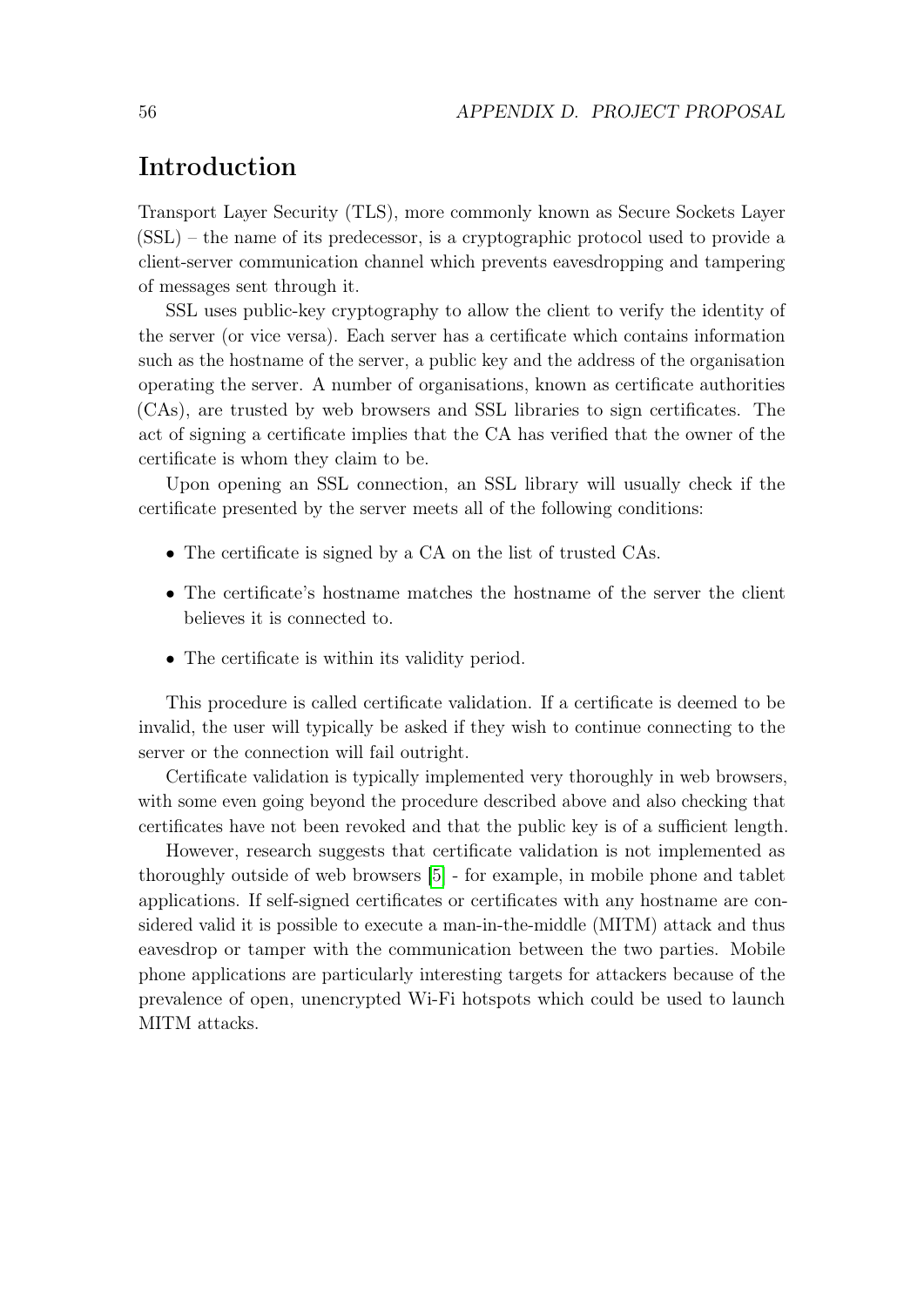## Introduction

Transport Layer Security (TLS), more commonly known as Secure Sockets Layer (SSL) – the name of its predecessor, is a cryptographic protocol used to provide a client-server communication channel which prevents eavesdropping and tampering of messages sent through it.

SSL uses public-key cryptography to allow the client to verify the identity of the server (or vice versa). Each server has a certificate which contains information such as the hostname of the server, a public key and the address of the organisation operating the server. A number of organisations, known as certificate authorities (CAs), are trusted by web browsers and SSL libraries to sign certificates. The act of signing a certificate implies that the CA has verified that the owner of the certificate is whom they claim to be.

Upon opening an SSL connection, an SSL library will usually check if the certificate presented by the server meets all of the following conditions:

- The certificate is signed by a CA on the list of trusted CAs.
- The certificate's hostname matches the hostname of the server the client believes it is connected to.
- The certificate is within its validity period.

This procedure is called certificate validation. If a certificate is deemed to be invalid, the user will typically be asked if they wish to continue connecting to the server or the connection will fail outright.

Certificate validation is typically implemented very thoroughly in web browsers, with some even going beyond the procedure described above and also checking that certificates have not been revoked and that the public key is of a sufficient length.

However, research suggests that certificate validation is not implemented as thoroughly outside of web browsers [\[5\]](#page-50-4) - for example, in mobile phone and tablet applications. If self-signed certificates or certificates with any hostname are considered valid it is possible to execute a man-in-the-middle (MITM) attack and thus eavesdrop or tamper with the communication between the two parties. Mobile phone applications are particularly interesting targets for attackers because of the prevalence of open, unencrypted Wi-Fi hotspots which could be used to launch MITM attacks.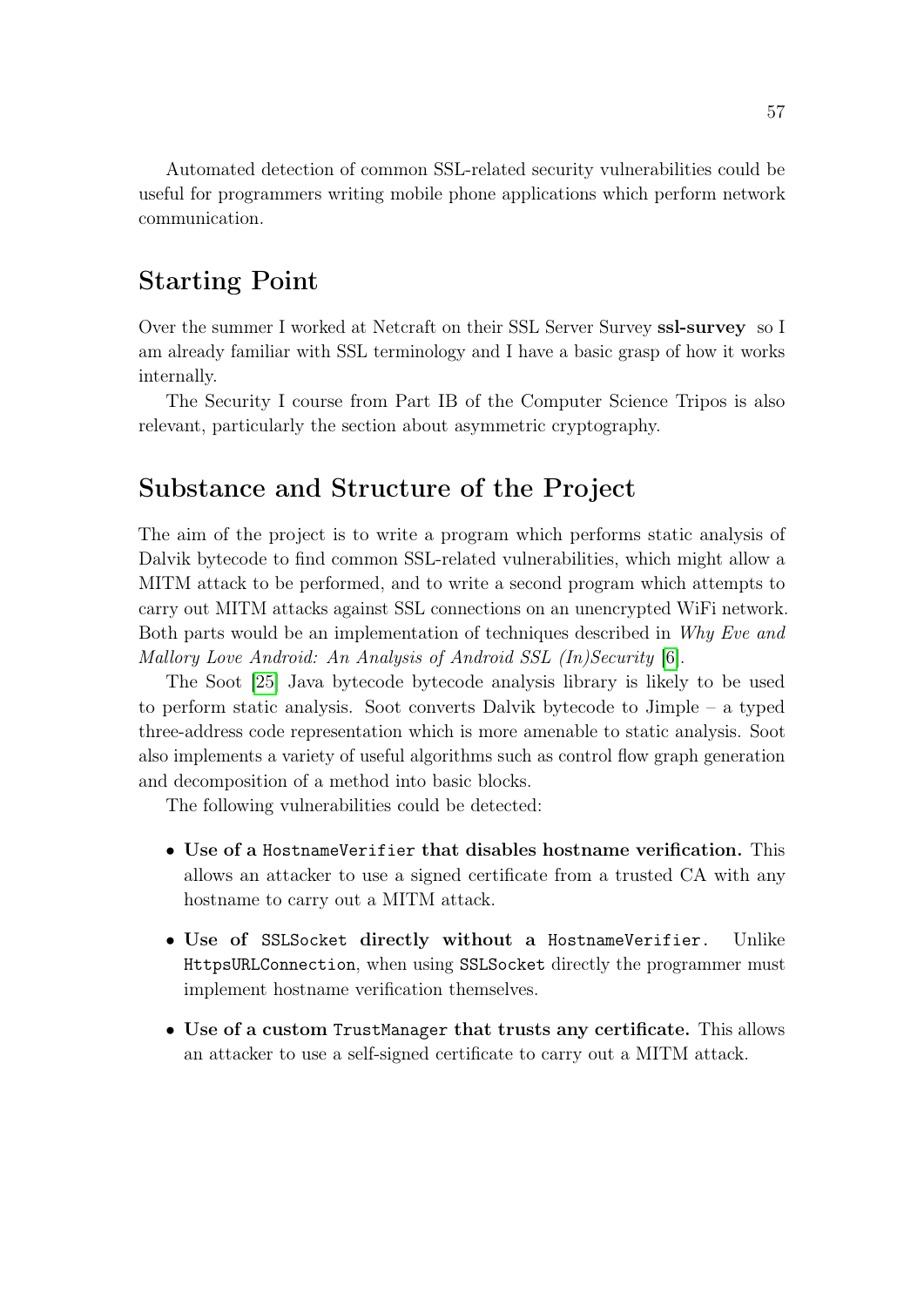Automated detection of common SSL-related security vulnerabilities could be useful for programmers writing mobile phone applications which perform network communication.

## Starting Point

Over the summer I worked at Netcraft on their SSL Server Survey ssl-survey so I am already familiar with SSL terminology and I have a basic grasp of how it works internally.

The Security I course from Part IB of the Computer Science Tripos is also relevant, particularly the section about asymmetric cryptography.

## Substance and Structure of the Project

The aim of the project is to write a program which performs static analysis of Dalvik bytecode to find common SSL-related vulnerabilities, which might allow a MITM attack to be performed, and to write a second program which attempts to carry out MITM attacks against SSL connections on an unencrypted WiFi network. Both parts would be an implementation of techniques described in Why Eve and Mallory Love Android: An Analysis of Android SSL (In)Security [\[6\]](#page-50-5).

The Soot [\[25\]](#page-52-2) Java bytecode bytecode analysis library is likely to be used to perform static analysis. Soot converts Dalvik bytecode to Jimple – a typed three-address code representation which is more amenable to static analysis. Soot also implements a variety of useful algorithms such as control flow graph generation and decomposition of a method into basic blocks.

The following vulnerabilities could be detected:

- Use of a HostnameVerifier that disables hostname verification. This allows an attacker to use a signed certificate from a trusted CA with any hostname to carry out a MITM attack.
- Use of SSLSocket directly without a HostnameVerifier. Unlike HttpsURLConnection, when using SSLSocket directly the programmer must implement hostname verification themselves.
- Use of a custom TrustManager that trusts any certificate. This allows an attacker to use a self-signed certificate to carry out a MITM attack.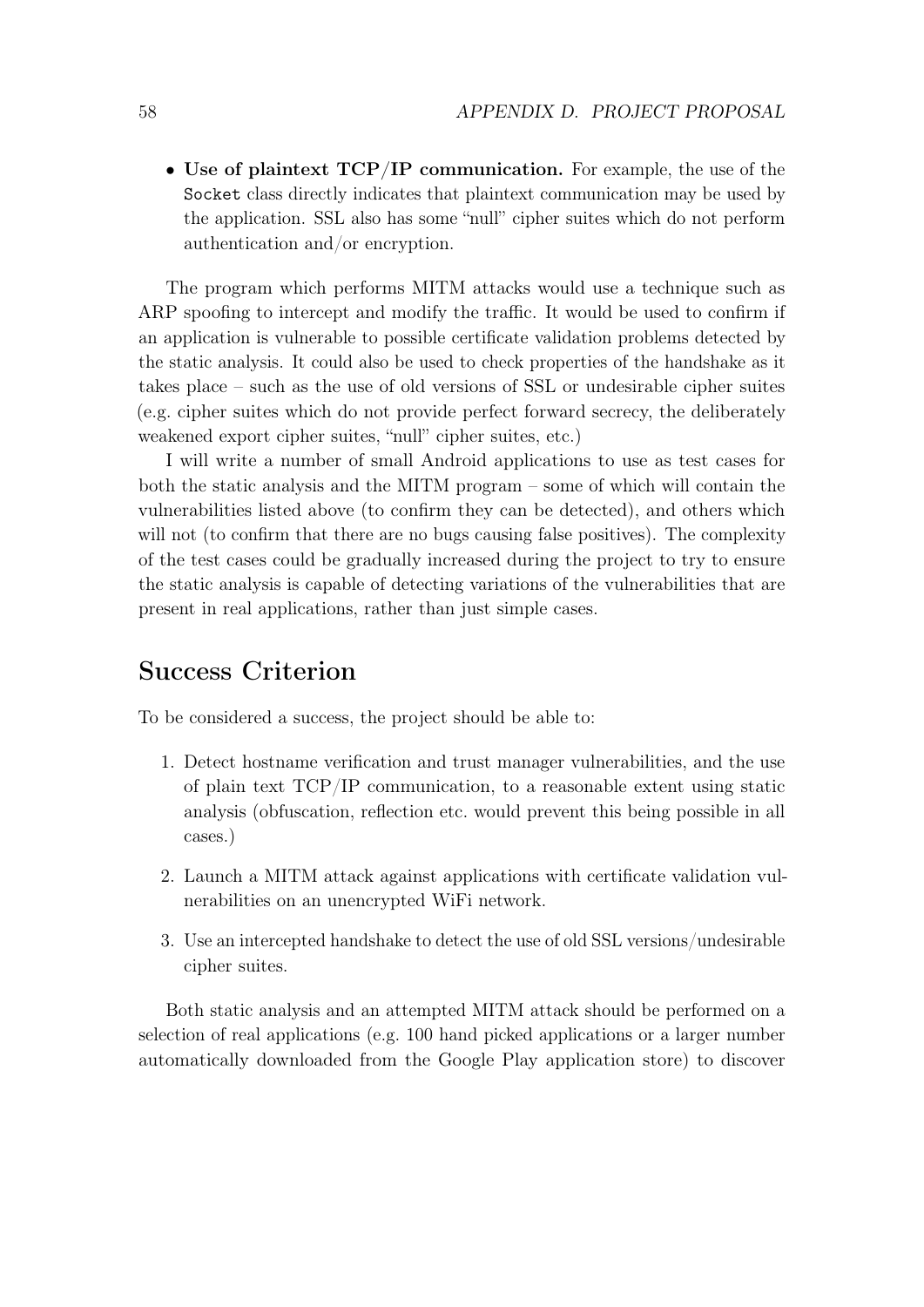• Use of plaintext TCP/IP communication. For example, the use of the Socket class directly indicates that plaintext communication may be used by the application. SSL also has some "null" cipher suites which do not perform authentication and/or encryption.

The program which performs MITM attacks would use a technique such as ARP spoofing to intercept and modify the traffic. It would be used to confirm if an application is vulnerable to possible certificate validation problems detected by the static analysis. It could also be used to check properties of the handshake as it takes place – such as the use of old versions of SSL or undesirable cipher suites (e.g. cipher suites which do not provide perfect forward secrecy, the deliberately weakened export cipher suites, "null" cipher suites, etc.)

I will write a number of small Android applications to use as test cases for both the static analysis and the MITM program – some of which will contain the vulnerabilities listed above (to confirm they can be detected), and others which will not (to confirm that there are no bugs causing false positives). The complexity of the test cases could be gradually increased during the project to try to ensure the static analysis is capable of detecting variations of the vulnerabilities that are present in real applications, rather than just simple cases.

## Success Criterion

To be considered a success, the project should be able to:

- 1. Detect hostname verification and trust manager vulnerabilities, and the use of plain text TCP/IP communication, to a reasonable extent using static analysis (obfuscation, reflection etc. would prevent this being possible in all cases.)
- 2. Launch a MITM attack against applications with certificate validation vulnerabilities on an unencrypted WiFi network.
- 3. Use an intercepted handshake to detect the use of old SSL versions/undesirable cipher suites.

Both static analysis and an attempted MITM attack should be performed on a selection of real applications (e.g. 100 hand picked applications or a larger number automatically downloaded from the Google Play application store) to discover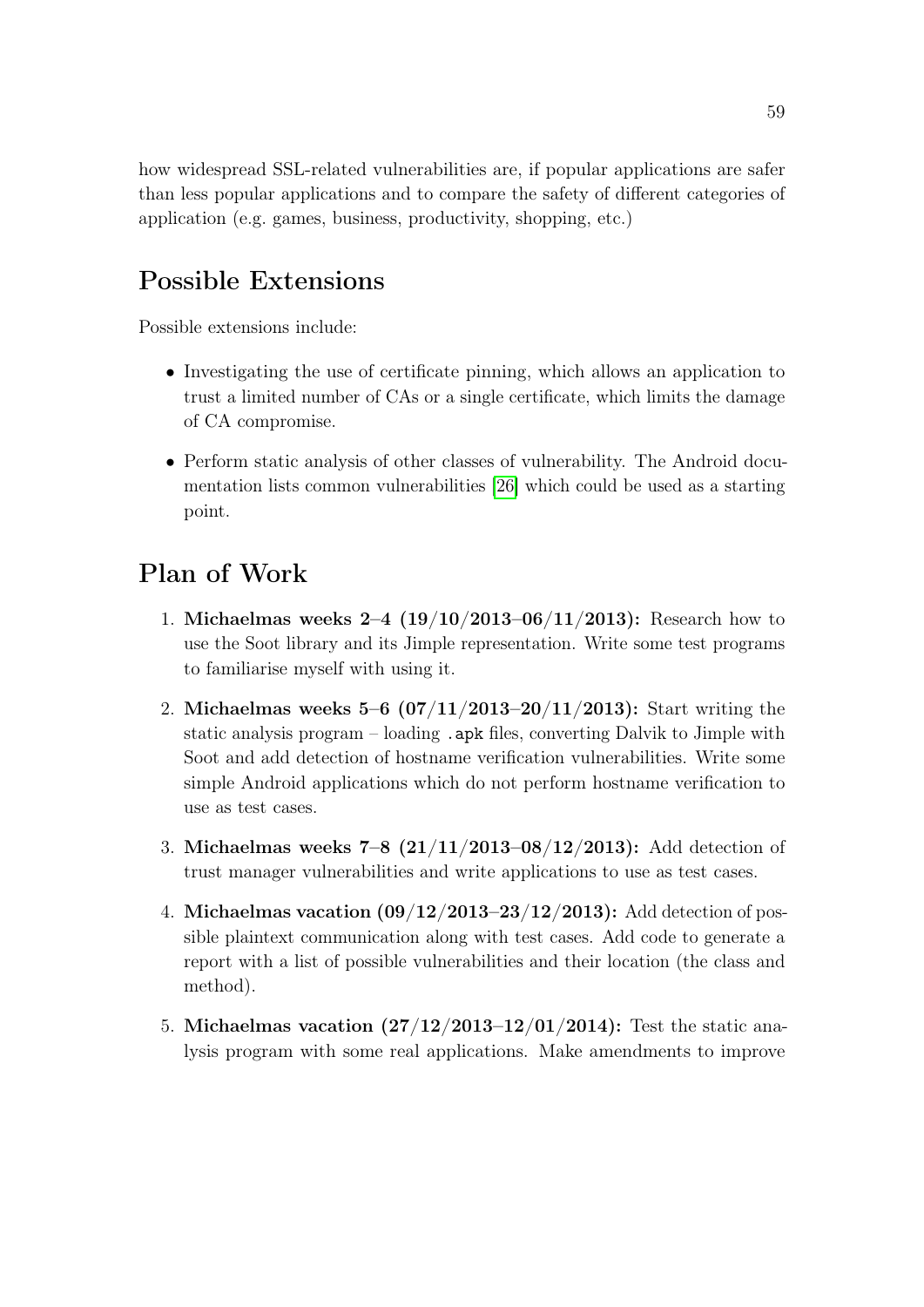how widespread SSL-related vulnerabilities are, if popular applications are safer than less popular applications and to compare the safety of different categories of application (e.g. games, business, productivity, shopping, etc.)

## Possible Extensions

Possible extensions include:

- Investigating the use of certificate pinning, which allows an application to trust a limited number of CAs or a single certificate, which limits the damage of CA compromise.
- Perform static analysis of other classes of vulnerability. The Android documentation lists common vulnerabilities [\[26\]](#page-52-3) which could be used as a starting point.

## Plan of Work

- 1. Michaelmas weeks  $2-4$   $(19/10/2013-06/11/2013)$ : Research how to use the Soot library and its Jimple representation. Write some test programs to familiarise myself with using it.
- 2. Michaelmas weeks  $5-6$   $(07/11/2013-20/11/2013)$ : Start writing the static analysis program – loading .apk files, converting Dalvik to Jimple with Soot and add detection of hostname verification vulnerabilities. Write some simple Android applications which do not perform hostname verification to use as test cases.
- 3. Michaelmas weeks  $7-8$   $(21/11/2013-08/12/2013)$ : Add detection of trust manager vulnerabilities and write applications to use as test cases.
- 4. Michaelmas vacation  $(09/12/2013-23/12/2013)$ : Add detection of possible plaintext communication along with test cases. Add code to generate a report with a list of possible vulnerabilities and their location (the class and method).
- 5. Michaelmas vacation  $\left(\frac{27}{12}\right)\left(\frac{2013}{-12}\right)\left(\frac{2014}{201}\right)$ : Test the static analysis program with some real applications. Make amendments to improve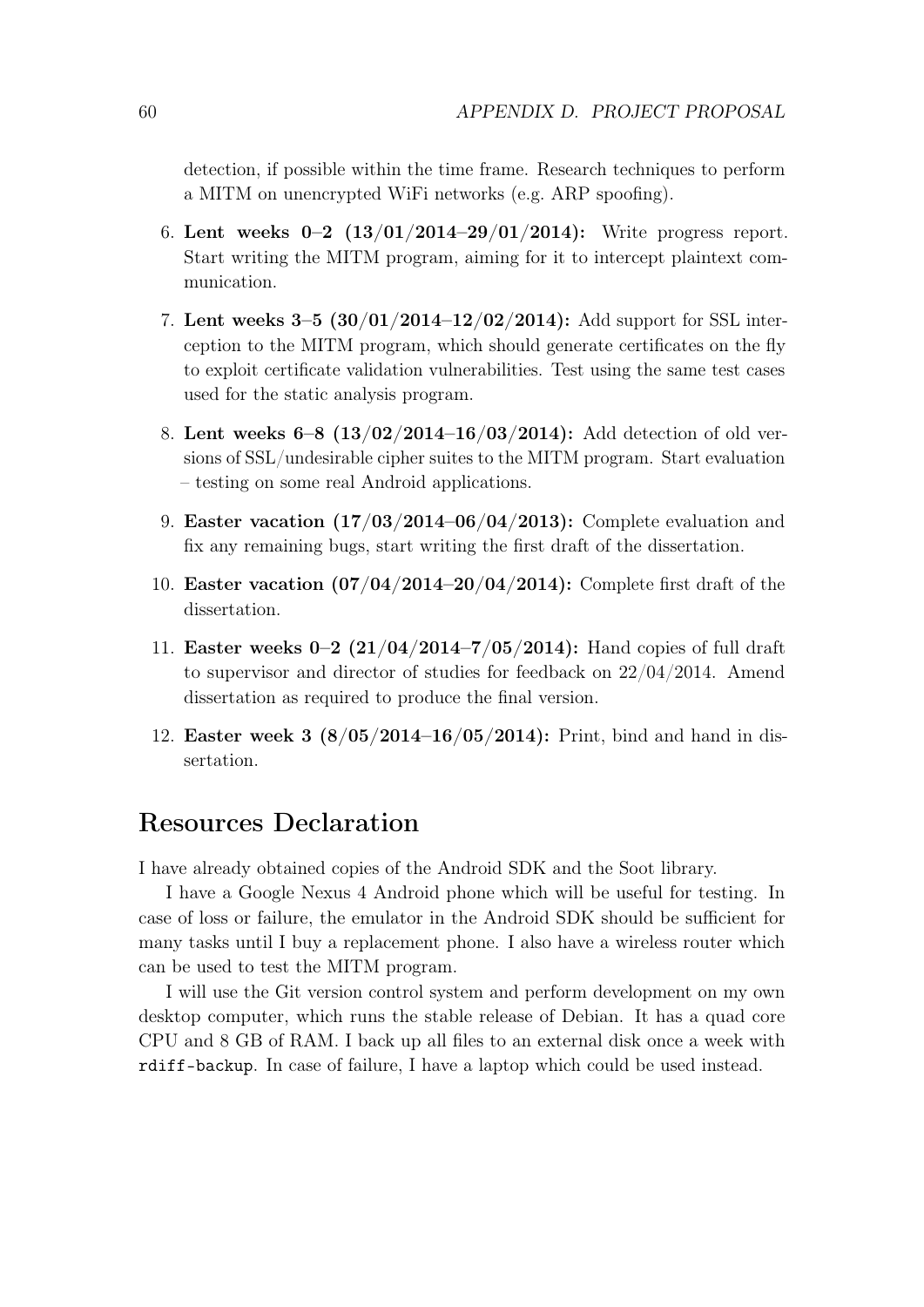detection, if possible within the time frame. Research techniques to perform a MITM on unencrypted WiFi networks (e.g. ARP spoofing).

- 6. Lent weeks  $0-2$   $(13/01/2014-29/01/2014)$ : Write progress report. Start writing the MITM program, aiming for it to intercept plaintext communication.
- 7. Lent weeks  $3-5$   $(30/01/2014-12/02/2014)$ : Add support for SSL interception to the MITM program, which should generate certificates on the fly to exploit certificate validation vulnerabilities. Test using the same test cases used for the static analysis program.
- 8. Lent weeks  $6-8$   $(13/02/2014-16/03/2014)$ : Add detection of old versions of SSL/undesirable cipher suites to the MITM program. Start evaluation – testing on some real Android applications.
- 9. Easter vacation (17/03/2014–06/04/2013): Complete evaluation and fix any remaining bugs, start writing the first draft of the dissertation.
- 10. Easter vacation (07/04/2014–20/04/2014): Complete first draft of the dissertation.
- 11. **Easter weeks 0–2 (21/04/2014–7/05/2014):** Hand copies of full draft to supervisor and director of studies for feedback on 22/04/2014. Amend dissertation as required to produce the final version.
- 12. **Easter week 3 (8/05/2014–16/05/2014):** Print, bind and hand in dissertation.

## Resources Declaration

I have already obtained copies of the Android SDK and the Soot library.

I have a Google Nexus 4 Android phone which will be useful for testing. In case of loss or failure, the emulator in the Android SDK should be sufficient for many tasks until I buy a replacement phone. I also have a wireless router which can be used to test the MITM program.

I will use the Git version control system and perform development on my own desktop computer, which runs the stable release of Debian. It has a quad core CPU and 8 GB of RAM. I back up all files to an external disk once a week with rdiff-backup. In case of failure, I have a laptop which could be used instead.